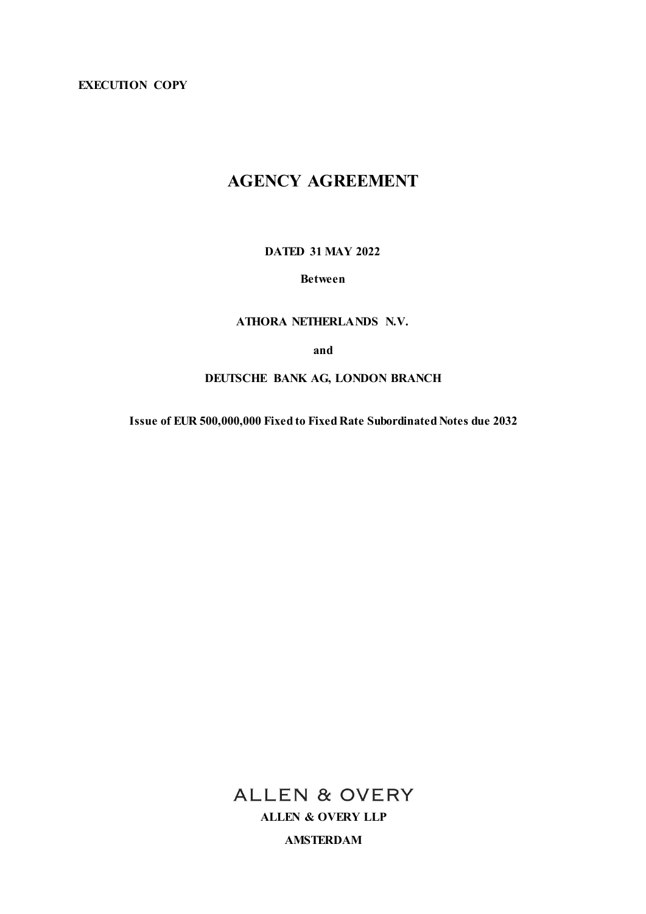**EXECUTION COPY**

# **AGENCY AGREEMENT**

**DATED 31 MAY 2022**

**Between**

**ATHORA NETHERLANDS N.V.**

**and**

**DEUTSCHE BANK AG, LONDON BRANCH**

**Issue of EUR 500,000,000 Fixed to Fixed Rate Subordinated Notes due 2032**

**ALLEN & OVERY ALLEN & OVERY LLP AMSTERDAM**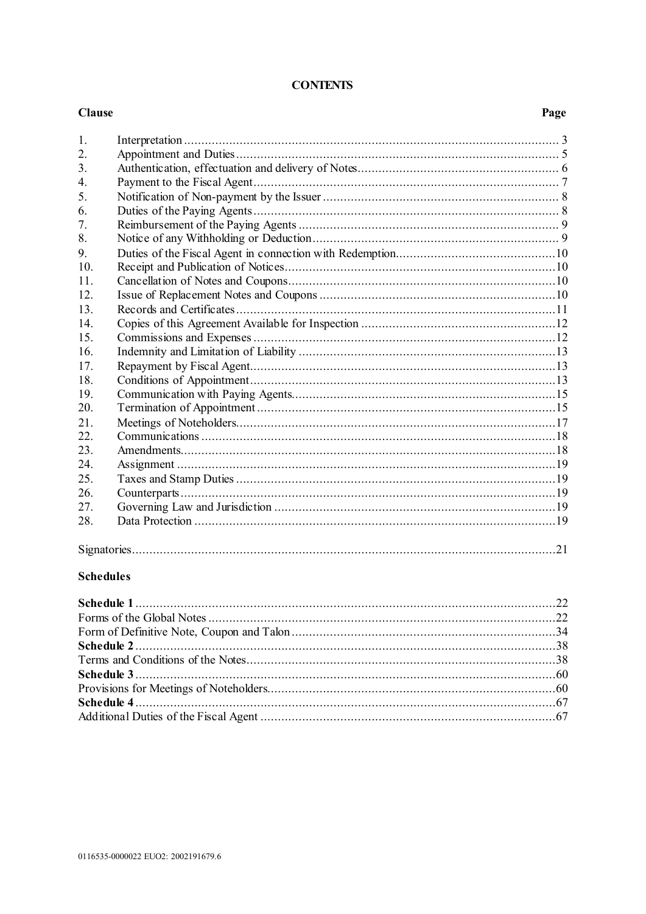| 1.  |  |
|-----|--|
| 2.  |  |
| 3.  |  |
| 4.  |  |
| 5.  |  |
| 6.  |  |
| 7.  |  |
| 8.  |  |
| 9.  |  |
| 10. |  |
| 11. |  |
| 12. |  |
| 13. |  |
| 14. |  |
| 15. |  |
| 16. |  |
| 17. |  |
| 18. |  |
| 19. |  |
| 20. |  |
| 21. |  |
| 22. |  |
| 23. |  |
| 24. |  |
| 25. |  |
| 26. |  |
| 27. |  |
| 28. |  |
|     |  |
|     |  |

# **Schedules**

**Clause** 

# **CONTENTS**

Page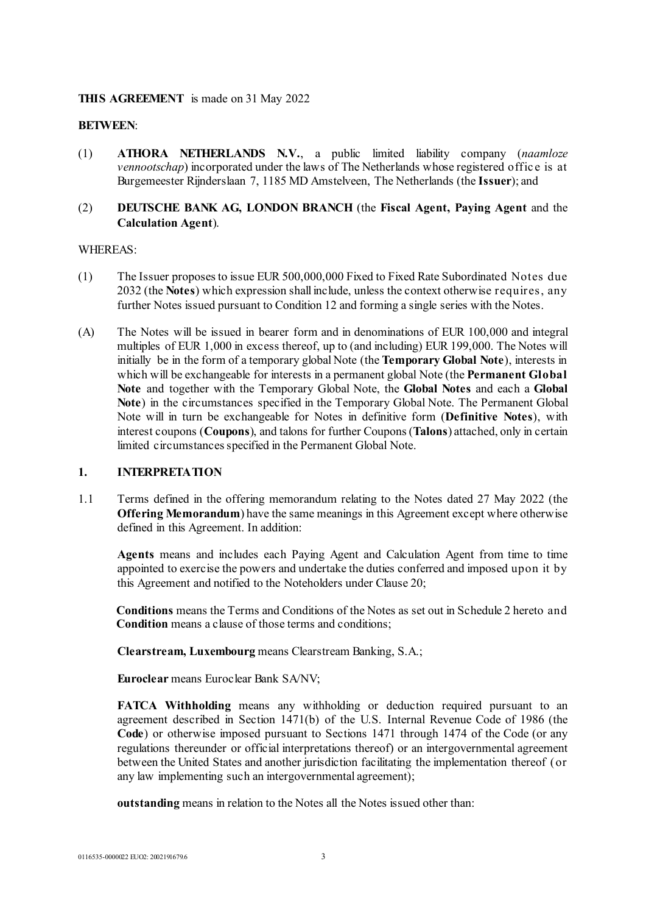# **THIS AGREEMENT** is made on 31 May 2022

### **BETWEEN**:

(1) **ATHORA NETHERLANDS N.V.**, a public limited liability company (*naamloze vennootschap*) incorporated under the laws of The Netherlands whose registered office is at Burgemeester Rijnderslaan 7, 1185 MD Amstelveen, The Netherlands (the **Issuer**); and

# (2) **DEUTSCHE BANK AG, LONDON BRANCH** (the **Fiscal Agent, Paying Agent** and the **Calculation Agent**).

### WHEREAS:

- (1) The Issuer proposes to issue EUR 500,000,000 Fixed to Fixed Rate Subordinated Notes due 2032 (the **Notes**) which expression shall include, unless the context otherwise requires, any further Notes issued pursuant to Condition 12 and forming a single series with the Notes.
- (A) The Notes will be issued in bearer form and in denominations of EUR 100,000 and integral multiples of EUR 1,000 in excess thereof, up to (and including) EUR 199,000. The Notes will initially be in the form of a temporary global Note (the **Temporary Global Note**), interests in which will be exchangeable for interests in a permanent global Note (the **Permanent Global Note** and together with the Temporary Global Note, the **Global Notes** and each a **Global Note**) in the circumstances specified in the Temporary Global Note. The Permanent Global Note will in turn be exchangeable for Notes in definitive form (**Definitive Notes**), with interest coupons (**Coupons**), and talons for further Coupons (**Talons**) attached, only in certain limited circumstances specified in the Permanent Global Note.

### **1. INTERPRETATION**

1.1 Terms defined in the offering memorandum relating to the Notes dated 27 May 2022 (the **Offering Memorandum**) have the same meanings in this Agreement except where otherwise defined in this Agreement. In addition:

**Agents** means and includes each Paying Agent and Calculation Agent from time to time appointed to exercise the powers and undertake the duties conferred and imposed upon it by this Agreement and notified to the Noteholders under Clause 20;

**Conditions** means the Terms and Conditions of the Notes as set out in Schedule 2 hereto and **Condition** means a clause of those terms and conditions;

**Clearstream, Luxembourg** means Clearstream Banking, S.A.;

**Euroclear** means Euroclear Bank SA/NV;

**FATCA Withholding** means any withholding or deduction required pursuant to an agreement described in Section 1471(b) of the U.S. Internal Revenue Code of 1986 (the **Code**) or otherwise imposed pursuant to Sections 1471 through 1474 of the Code (or any regulations thereunder or official interpretations thereof) or an intergovernmental agreement between the United States and another jurisdiction facilitating the implementation thereof (or any law implementing such an intergovernmental agreement);

**outstanding** means in relation to the Notes all the Notes issued other than: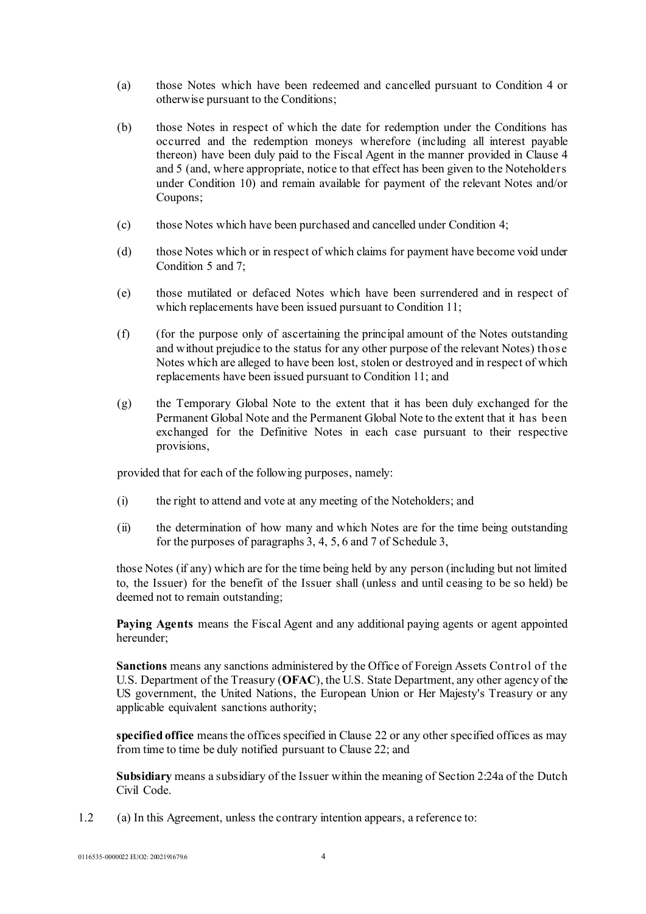- (a) those Notes which have been redeemed and cancelled pursuant to Condition 4 or otherwise pursuant to the Conditions;
- (b) those Notes in respect of which the date for redemption under the Conditions has occurred and the redemption moneys wherefore (including all interest payable thereon) have been duly paid to the Fiscal Agent in the manner provided in Clause 4 and 5 (and, where appropriate, notice to that effect has been given to the Noteholders under Condition 10) and remain available for payment of the relevant Notes and/or Coupons;
- (c) those Notes which have been purchased and cancelled under Condition 4;
- (d) those Notes which or in respect of which claims for payment have become void under Condition 5 and 7;
- (e) those mutilated or defaced Notes which have been surrendered and in respect of which replacements have been issued pursuant to Condition 11;
- (f) (for the purpose only of ascertaining the principal amount of the Notes outstanding and without prejudice to the status for any other purpose of the relevant Notes) those Notes which are alleged to have been lost, stolen or destroyed and in respect of which replacements have been issued pursuant to Condition 11; and
- (g) the Temporary Global Note to the extent that it has been duly exchanged for the Permanent Global Note and the Permanent Global Note to the extent that it has been exchanged for the Definitive Notes in each case pursuant to their respective provisions,

provided that for each of the following purposes, namely:

- (i) the right to attend and vote at any meeting of the Noteholders; and
- (ii) the determination of how many and which Notes are for the time being outstanding for the purposes of paragraphs 3, 4, 5, 6 and 7 o[f Schedule 3,](#page-59-0)

those Notes (if any) which are for the time being held by any person (including but not limited to, the Issuer) for the benefit of the Issuer shall (unless and until ceasing to be so held) be deemed not to remain outstanding;

**Paying Agents** means the Fiscal Agent and any additional paying agents or agent appointed hereunder;

**Sanctions** means any sanctions administered by the Office of Foreign Assets Control of the U.S. Department of the Treasury (**OFAC**), the U.S. State Department, any other agency of the US government, the United Nations, the European Union or Her Majesty's Treasury or any applicable equivalent sanctions authority;

**specified office** means the offices specified in Clause 22 or any other specified offices as may from time to time be duly notified pursuant to Clause 22; and

**Subsidiary** means a subsidiary of the Issuer within the meaning of Section 2:24a of the Dutch Civil Code.

1.2 (a) In this Agreement, unless the contrary intention appears, a reference to: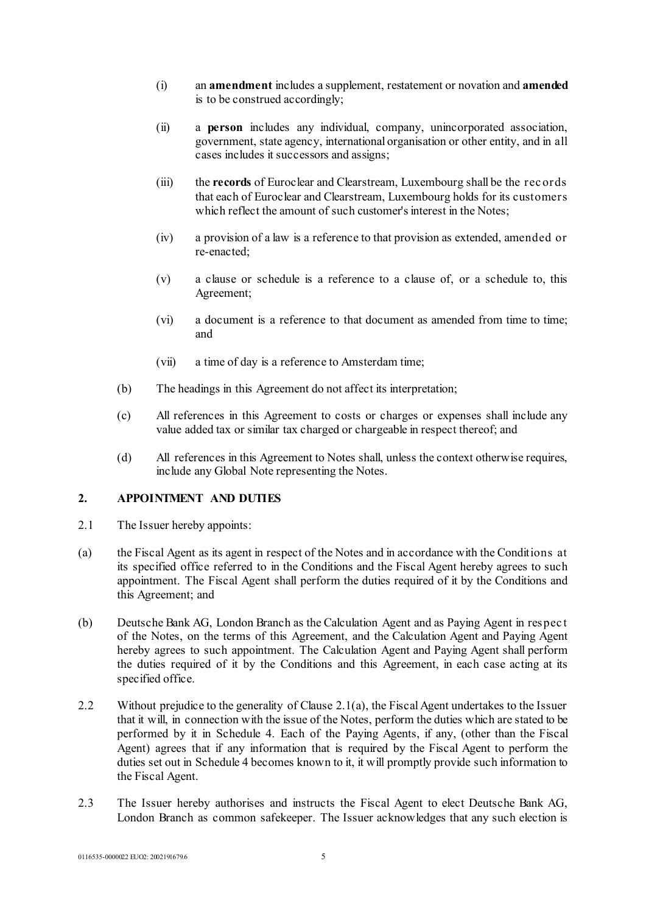- (i) an **amendment** includes a supplement, restatement or novation and **amended** is to be construed accordingly;
- (ii) a **person** includes any individual, company, unincorporated association, government, state agency, international organisation or other entity, and in all cases includes it successors and assigns;
- (iii) the **records** of Euroclear and Clearstream, Luxembourg shall be the rec ords that each of Euroclear and Clearstream, Luxembourg holds for its customers which reflect the amount of such customer's interest in the Notes;
- (iv) a provision of a law is a reference to that provision as extended, amended or re-enacted;
- (v) a clause or schedule is a reference to a clause of, or a schedule to, this Agreement;
- (vi) a document is a reference to that document as amended from time to time; and
- (vii) a time of day is a reference to Amsterdam time;
- (b) The headings in this Agreement do not affect its interpretation;
- (c) All references in this Agreement to costs or charges or expenses shall include any value added tax or similar tax charged or chargeable in respect thereof; and
- (d) All references in this Agreement to Notes shall, unless the context otherwise requires, include any Global Note representing the Notes.

# **2. APPOINTMENT AND DUTIES**

- <span id="page-4-0"></span>2.1 The Issuer hereby appoints:
- (a) the Fiscal Agent as its agent in respect of the Notes and in accordance with the Conditions at its specified office referred to in the Conditions and the Fiscal Agent hereby agrees to such appointment. The Fiscal Agent shall perform the duties required of it by the Conditions and this Agreement; and
- (b) Deutsche Bank AG, London Branch as the Calculation Agent and as Paying Agent in respec t of the Notes, on the terms of this Agreement, and the Calculation Agent and Paying Agent hereby agrees to such appointment. The Calculation Agent and Paying Agent shall perform the duties required of it by the Conditions and this Agreement, in each case acting at its specified office.
- 2.2 Without prejudice to the generality of Clause [2.1\(a\),](#page-4-0) the Fiscal Agent undertakes to the Issuer that it will, in connection with the issue of the Notes, perform the duties which are stated to be performed by it in [Schedule 4.](#page-66-0) Each of the Paying Agents, if any, (other than the Fiscal Agent) agrees that if any information that is required by the Fiscal Agent to perform the duties set out in [Schedule 4](#page-66-0) becomes known to it, it will promptly provide such information to the Fiscal Agent.
- 2.3 The Issuer hereby authorises and instructs the Fiscal Agent to elect Deutsche Bank AG, London Branch as common safekeeper. The Issuer acknowledges that any such election is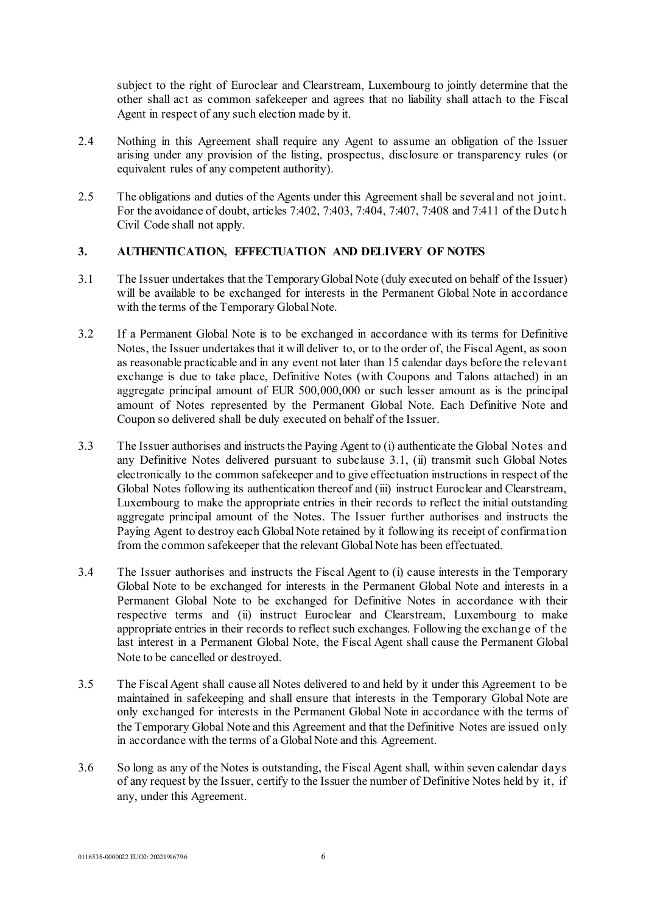subject to the right of Euroclear and Clearstream, Luxembourg to jointly determine that the other shall act as common safekeeper and agrees that no liability shall attach to the Fiscal Agent in respect of any such election made by it.

- 2.4 Nothing in this Agreement shall require any Agent to assume an obligation of the Issuer arising under any provision of the listing, prospectus, disclosure or transparency rules (or equivalent rules of any competent authority).
- 2.5 The obligations and duties of the Agents under this Agreement shall be several and not joint. For the avoidance of doubt, articles 7:402, 7:403, 7:404, 7:407, 7:408 and 7:411 of the Dutc h Civil Code shall not apply.

# **3. AUTHENTICATION, EFFECTUATION AND DELIVERY OF NOTES**

- <span id="page-5-0"></span>3.1 The Issuer undertakes that the Temporary Global Note (duly executed on behalf of the Issuer) will be available to be exchanged for interests in the Permanent Global Note in accordance with the terms of the Temporary Global Note.
- 3.2 If a Permanent Global Note is to be exchanged in accordance with its terms for Definitive Notes, the Issuer undertakes that it will deliver to, or to the order of, the Fiscal Agent, as soon as reasonable practicable and in any event not later than 15 calendar days before the relevant exchange is due to take place, Definitive Notes (with Coupons and Talons attached) in an aggregate principal amount of EUR 500,000,000 or such lesser amount as is the principal amount of Notes represented by the Permanent Global Note. Each Definitive Note and Coupon so delivered shall be duly executed on behalf of the Issuer.
- 3.3 The Issuer authorises and instructs the Paying Agent to (i) authenticate the Global Notes and any Definitive Notes delivered pursuant to subclause [3.1,](#page-5-0) (ii) transmit such Global Notes electronically to the common safekeeper and to give effectuation instructions in respect of the Global Notes following its authentication thereof and (iii) instruct Euroclear and Clearstream, Luxembourg to make the appropriate entries in their records to reflect the initial outstanding aggregate principal amount of the Notes. The Issuer further authorises and instructs the Paying Agent to destroy each Global Note retained by it following its receipt of confirmation from the common safekeeper that the relevant Global Note has been effectuated.
- 3.4 The Issuer authorises and instructs the Fiscal Agent to (i) cause interests in the Temporary Global Note to be exchanged for interests in the Permanent Global Note and interests in a Permanent Global Note to be exchanged for Definitive Notes in accordance with their respective terms and (ii) instruct Euroclear and Clearstream, Luxembourg to make appropriate entries in their records to reflect such exchanges. Following the exchange of the last interest in a Permanent Global Note, the Fiscal Agent shall cause the Permanent Global Note to be cancelled or destroyed.
- 3.5 The Fiscal Agent shall cause all Notes delivered to and held by it under this Agreement to be maintained in safekeeping and shall ensure that interests in the Temporary Global Note are only exchanged for interests in the Permanent Global Note in accordance with the terms of the Temporary Global Note and this Agreement and that the Definitive Notes are issued only in accordance with the terms of a Global Note and this Agreement.
- 3.6 So long as any of the Notes is outstanding, the Fiscal Agent shall, within seven calendar days of any request by the Issuer, certify to the Issuer the number of Definitive Notes held by it, if any, under this Agreement.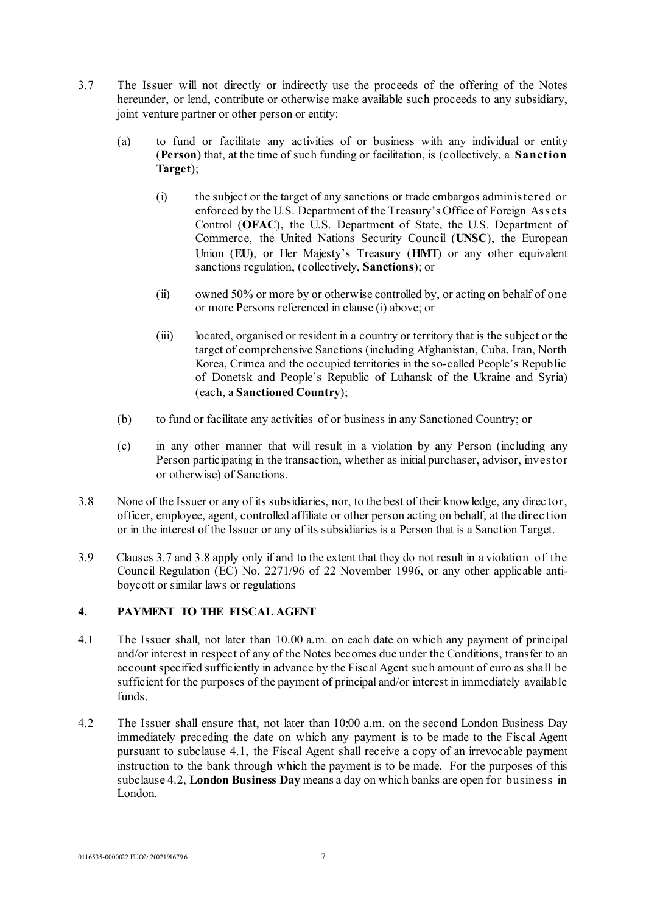- 3.7 The Issuer will not directly or indirectly use the proceeds of the offering of the Notes hereunder, or lend, contribute or otherwise make available such proceeds to any subsidiary, joint venture partner or other person or entity:
	- (a) to fund or facilitate any activities of or business with any individual or entity (**Person**) that, at the time of such funding or facilitation, is (collectively, a **Sanction Target**);
		- (i) the subject or the target of any sanctions or trade embargos administered or enforced by the U.S. Department of the Treasury's Office of Foreign Assets Control (**OFAC**), the U.S. Department of State, the U.S. Department of Commerce, the United Nations Security Council (**UNSC**), the European Union (**EU**), or Her Majesty's Treasury (**HMT**) or any other equivalent sanctions regulation, (collectively, **Sanctions**); or
		- (ii) owned 50% or more by or otherwise controlled by, or acting on behalf of one or more Persons referenced in clause (i) above; or
		- (iii) located, organised or resident in a country or territory that is the subject or the target of comprehensive Sanctions (including Afghanistan, Cuba, Iran, North Korea, Crimea and the occupied territories in the so-called People's Republic of Donetsk and People's Republic of Luhansk of the Ukraine and Syria) (each, a **Sanctioned Country**);
	- (b) to fund or facilitate any activities of or business in any Sanctioned Country; or
	- (c) in any other manner that will result in a violation by any Person (including any Person participating in the transaction, whether as initial purchaser, advisor, investor or otherwise) of Sanctions.
- 3.8 None of the Issuer or any of its subsidiaries, nor, to the best of their knowledge, any direc tor, officer, employee, agent, controlled affiliate or other person acting on behalf, at the direc tion or in the interest of the Issuer or any of its subsidiaries is a Person that is a Sanction Target.
- 3.9 Clauses 3.7 and 3.8 apply only if and to the extent that they do not result in a violation of the Council Regulation (EC) No. 2271/96 of 22 November 1996, or any other applicable antiboycott or similar laws or regulations

# <span id="page-6-2"></span><span id="page-6-0"></span>**4. PAYMENT TO THE FISCAL AGENT**

- 4.1 The Issuer shall, not later than 10.00 a.m. on each date on which any payment of principal and/or interest in respect of any of the Notes becomes due under the Conditions, transfer to an account specified sufficiently in advance by the Fiscal Agent such amount of euro as shall be sufficient for the purposes of the payment of principal and/or interest in immediately available funds.
- <span id="page-6-1"></span>4.2 The Issuer shall ensure that, not later than 10:00 a.m. on the second London Business Day immediately preceding the date on which any payment is to be made to the Fiscal Agent pursuant to subclause [4.1](#page-6-0), the Fiscal Agent shall receive a copy of an irrevocable payment instruction to the bank through which the payment is to be made. For the purposes of this subclause [4.2,](#page-6-1) **London Business Day** means a day on which banks are open for business in London.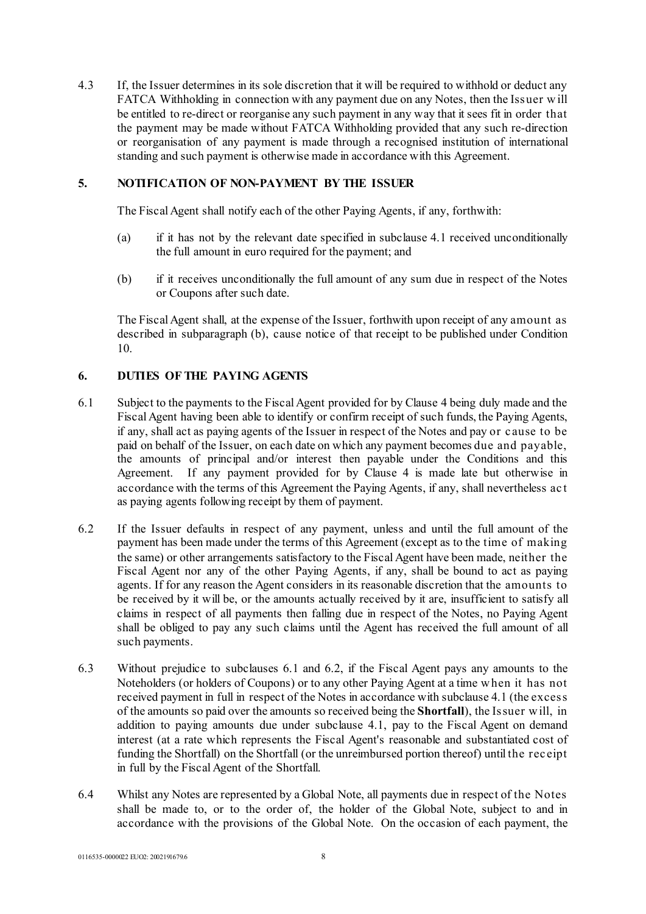4.3 If, the Issuer determines in its sole discretion that it will be required to withhold or deduct any FATCA Withholding in connection with any payment due on any Notes, then the Issuer w ill be entitled to re-direct or reorganise any such payment in any way that it sees fit in order that the payment may be made without FATCA Withholding provided that any such re-direction or reorganisation of any payment is made through a recognised institution of international standing and such payment is otherwise made in accordance with this Agreement.

# **5. NOTIFICATION OF NON-PAYMENT BY THE ISSUER**

The Fiscal Agent shall notify each of the other Paying Agents, if any, forthwith:

- (a) if it has not by the relevant date specified in subclause [4.1](#page-6-0) received unconditionally the full amount in euro required for the payment; and
- <span id="page-7-0"></span>(b) if it receives unconditionally the full amount of any sum due in respect of the Notes or Coupons after such date.

The Fiscal Agent shall, at the expense of the Issuer, forthwith upon receipt of any amount as described in subparagraph [\(b\)](#page-7-0), cause notice of that receipt to be published under Condition 10.

# <span id="page-7-1"></span>**6. DUTIES OF THE PAYING AGENTS**

- 6.1 Subject to the payments to the Fiscal Agent provided for by Clause [4](#page-6-2) being duly made and the Fiscal Agent having been able to identify or confirm receipt of such funds, the Paying Agents, if any, shall act as paying agents of the Issuer in respect of the Notes and pay or c ause to be paid on behalf of the Issuer, on each date on which any payment becomes due and payable, the amounts of principal and/or interest then payable under the Conditions and this Agreement. If any payment provided for by Clause [4](#page-6-2) is made late but otherwise in accordance with the terms of this Agreement the Paying Agents, if any, shall nevertheless ac t as paying agents following receipt by them of payment.
- <span id="page-7-2"></span>6.2 If the Issuer defaults in respect of any payment, unless and until the full amount of the payment has been made under the terms of this Agreement (except as to the time of making the same) or other arrangements satisfactory to the Fiscal Agent have been made, neither the Fiscal Agent nor any of the other Paying Agents, if any, shall be bound to act as paying agents. If for any reason the Agent considers in its reasonable discretion that the amounts to be received by it will be, or the amounts actually received by it are, insufficient to satisfy all claims in respect of all payments then falling due in respect of the Notes, no Paying Agent shall be obliged to pay any such claims until the Agent has received the full amount of all such payments.
- 6.3 Without prejudice to subclauses [6.1](#page-7-1) an[d 6.2](#page-7-2), if the Fiscal Agent pays any amounts to the Noteholders (or holders of Coupons) or to any other Paying Agent at a time w hen it has not received payment in full in respect of the Notes in accordance with subclause [4.1](#page-6-0) (the excess of the amounts so paid over the amounts so received being the **Shortfall**), the Issuer w ill, in addition to paying amounts due under subclause [4.1](#page-6-0), pay to the Fiscal Agent on demand interest (at a rate which represents the Fiscal Agent's reasonable and substantiated cost of funding the Shortfall) on the Shortfall (or the unreimbursed portion thereof) until the rec eipt in full by the Fiscal Agent of the Shortfall.
- 6.4 Whilst any Notes are represented by a Global Note, all payments due in respect of the Notes shall be made to, or to the order of, the holder of the Global Note, subject to and in accordance with the provisions of the Global Note. On the occasion of each payment, the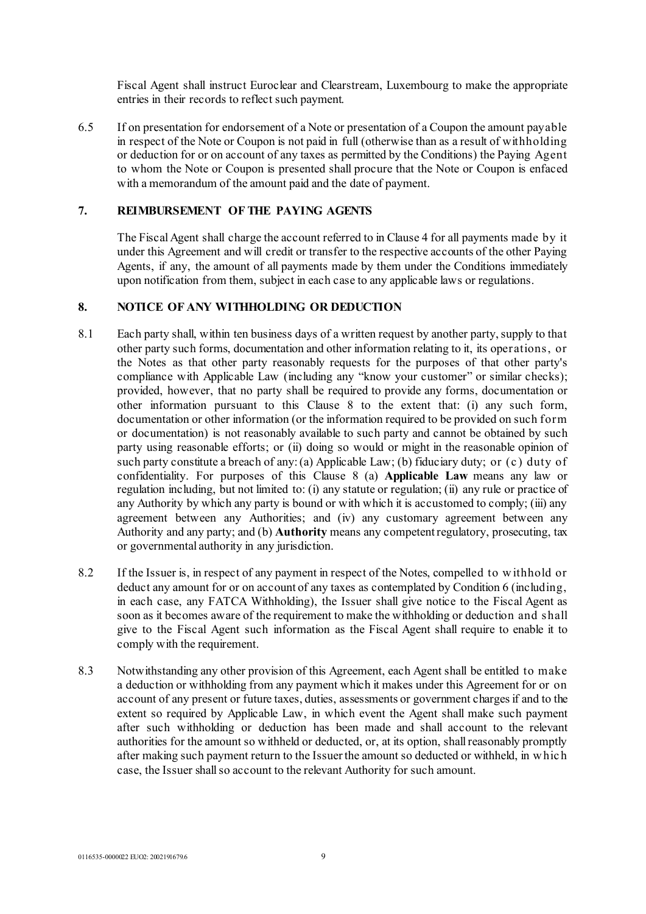Fiscal Agent shall instruct Euroclear and Clearstream, Luxembourg to make the appropriate entries in their records to reflect such payment.

6.5 If on presentation for endorsement of a Note or presentation of a Coupon the amount payable in respect of the Note or Coupon is not paid in full (otherwise than as a result of withholding or deduction for or on account of any taxes as permitted by the Conditions) the Paying Agent to whom the Note or Coupon is presented shall procure that the Note or Coupon is enfaced with a memorandum of the amount paid and the date of payment.

# **7. REIMBURSEMENT OF THE PAYING AGENTS**

The Fiscal Agent shall charge the account referred to in Clause [4](#page-6-2) for all payments made by it under this Agreement and will credit or transfer to the respective accounts of the other Paying Agents, if any, the amount of all payments made by them under the Conditions immediately upon notification from them, subject in each case to any applicable laws or regulations.

# **8. NOTICE OF ANY WITHHOLDING OR DEDUCTION**

- 8.1 Each party shall, within ten business days of a written request by another party, supply to that other party such forms, documentation and other information relating to it, its operations, or the Notes as that other party reasonably requests for the purposes of that other party's compliance with Applicable Law (including any "know your customer" or similar checks); provided, however, that no party shall be required to provide any forms, documentation or other information pursuant to this Clause 8 to the extent that: (i) any such form, documentation or other information (or the information required to be provided on such form or documentation) is not reasonably available to such party and cannot be obtained by such party using reasonable efforts; or (ii) doing so would or might in the reasonable opinion of such party constitute a breach of any: (a) Applicable Law; (b) fiduciary duty; or (c) duty of confidentiality. For purposes of this Clause 8 (a) **Applicable Law** means any law or regulation including, but not limited to: (i) any statute or regulation; (ii) any rule or practice of any Authority by which any party is bound or with which it is accustomed to comply; (iii) any agreement between any Authorities; and (iv) any customary agreement between any Authority and any party; and (b) **Authority** means any competent regulatory, prosecuting, tax or governmental authority in any jurisdiction.
- 8.2 If the Issuer is, in respect of any payment in respect of the Notes, compelled to w ithhold or deduct any amount for or on account of any taxes as contemplated by Condition 6 (including, in each case, any FATCA Withholding), the Issuer shall give notice to the Fiscal Agent as soon as it becomes aware of the requirement to make the withholding or deduction and shall give to the Fiscal Agent such information as the Fiscal Agent shall require to enable it to comply with the requirement.
- 8.3 Notwithstanding any other provision of this Agreement, each Agent shall be entitled to make a deduction or withholding from any payment which it makes under this Agreement for or on account of any present or future taxes, duties, assessments or government charges if and to the extent so required by Applicable Law, in which event the Agent shall make such payment after such withholding or deduction has been made and shall account to the relevant authorities for the amount so withheld or deducted, or, at its option, shall reasonably promptly after making such payment return to the Issuer the amount so deducted or withheld, in w hich case, the Issuer shall so account to the relevant Authority for such amount.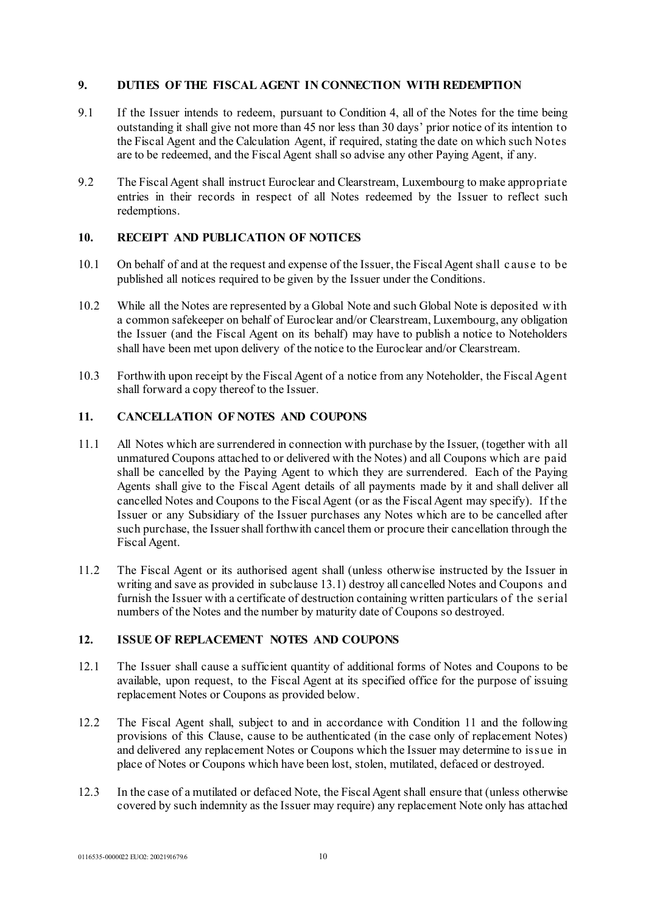## **9. DUTIES OF THE FISCAL AGENT IN CONNECTION WITH REDEMPTION**

- 9.1 If the Issuer intends to redeem, pursuant to Condition 4, all of the Notes for the time being outstanding it shall give not more than 45 nor less than 30 days' prior notice of its intention to the Fiscal Agent and the Calculation Agent, if required, stating the date on which such Notes are to be redeemed, and the Fiscal Agent shall so advise any other Paying Agent, if any.
- 9.2 The Fiscal Agent shall instruct Euroclear and Clearstream, Luxembourg to make appropriate entries in their records in respect of all Notes redeemed by the Issuer to reflect such redemptions.

# **10. RECEIPT AND PUBLICATION OF NOTICES**

- 10.1 On behalf of and at the request and expense of the Issuer, the Fiscal Agent shall c ause to be published all notices required to be given by the Issuer under the Conditions.
- 10.2 While all the Notes are represented by a Global Note and such Global Note is deposited w ith a common safekeeper on behalf of Euroclear and/or Clearstream, Luxembourg, any obligation the Issuer (and the Fiscal Agent on its behalf) may have to publish a notice to Noteholders shall have been met upon delivery of the notice to the Euroclear and/or Clearstream.
- 10.3 Forthwith upon receipt by the Fiscal Agent of a notice from any Noteholder, the Fiscal Agent shall forward a copy thereof to the Issuer.

# **11. CANCELLATION OF NOTES AND COUPONS**

- 11.1 All Notes which are surrendered in connection with purchase by the Issuer, (together with all unmatured Coupons attached to or delivered with the Notes) and all Coupons which are paid shall be cancelled by the Paying Agent to which they are surrendered. Each of the Paying Agents shall give to the Fiscal Agent details of all payments made by it and shall deliver all cancelled Notes and Coupons to the Fiscal Agent (or as the Fiscal Agent may specify). If the Issuer or any Subsidiary of the Issuer purchases any Notes which are to be cancelled after such purchase, the Issuer shall forthwith cancel them or procure their cancellation through the Fiscal Agent.
- 11.2 The Fiscal Agent or its authorised agent shall (unless otherwise instructed by the Issuer in writing and save as provided in subclause 13.1) destroy all cancelled Notes and Coupons and furnish the Issuer with a certificate of destruction containing written particulars of the serial numbers of the Notes and the number by maturity date of Coupons so destroyed.

# **12. ISSUE OF REPLACEMENT NOTES AND COUPONS**

- 12.1 The Issuer shall cause a sufficient quantity of additional forms of Notes and Coupons to be available, upon request, to the Fiscal Agent at its specified office for the purpose of issuing replacement Notes or Coupons as provided below.
- 12.2 The Fiscal Agent shall, subject to and in accordance with Condition 11 and the following provisions of this Clause, cause to be authenticated (in the case only of replacement Notes) and delivered any replacement Notes or Coupons which the Issuer may determine to issue in place of Notes or Coupons which have been lost, stolen, mutilated, defaced or destroyed.
- 12.3 In the case of a mutilated or defaced Note, the Fiscal Agent shall ensure that (unless otherwise covered by such indemnity as the Issuer may require) any replacement Note only has attached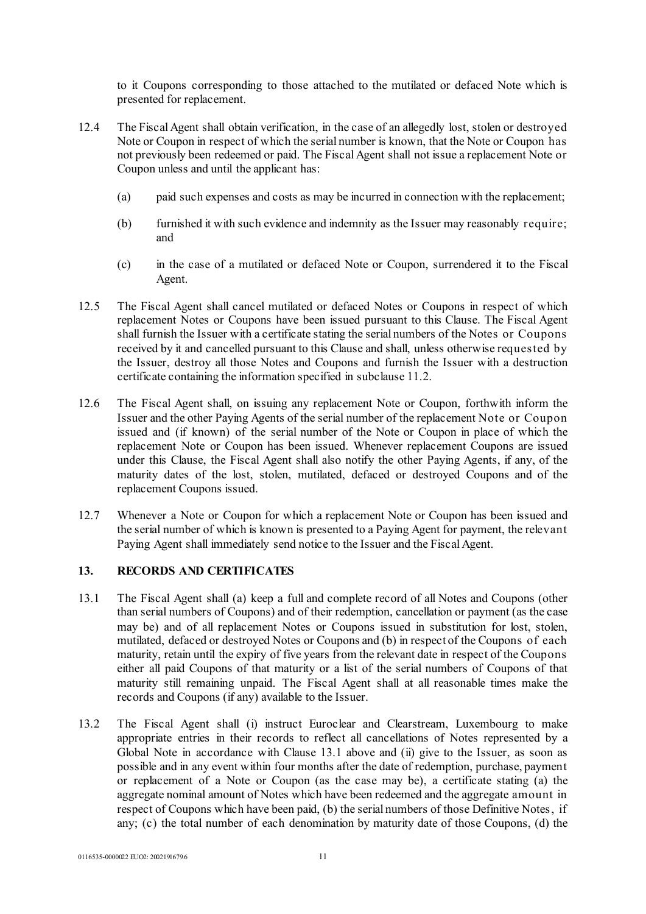to it Coupons corresponding to those attached to the mutilated or defaced Note which is presented for replacement.

- 12.4 The Fiscal Agent shall obtain verification, in the case of an allegedly lost, stolen or destroyed Note or Coupon in respect of which the serial number is known, that the Note or Coupon has not previously been redeemed or paid. The Fiscal Agent shall not issue a replacement Note or Coupon unless and until the applicant has:
	- (a) paid such expenses and costs as may be incurred in connection with the replacement;
	- (b) furnished it with such evidence and indemnity as the Issuer may reasonably require; and
	- (c) in the case of a mutilated or defaced Note or Coupon, surrendered it to the Fiscal Agent.
- 12.5 The Fiscal Agent shall cancel mutilated or defaced Notes or Coupons in respect of which replacement Notes or Coupons have been issued pursuant to this Clause. The Fiscal Agent shall furnish the Issuer with a certificate stating the serial numbers of the Notes or Coupons received by it and cancelled pursuant to this Clause and shall, unless otherwise requested by the Issuer, destroy all those Notes and Coupons and furnish the Issuer with a destruction certificate containing the information specified in subclause 11.2.
- 12.6 The Fiscal Agent shall, on issuing any replacement Note or Coupon, forthwith inform the Issuer and the other Paying Agents of the serial number of the replacement Note or Coupon issued and (if known) of the serial number of the Note or Coupon in place of which the replacement Note or Coupon has been issued. Whenever replacement Coupons are issued under this Clause, the Fiscal Agent shall also notify the other Paying Agents, if any, of the maturity dates of the lost, stolen, mutilated, defaced or destroyed Coupons and of the replacement Coupons issued.
- 12.7 Whenever a Note or Coupon for which a replacement Note or Coupon has been issued and the serial number of which is known is presented to a Paying Agent for payment, the relevant Paying Agent shall immediately send notice to the Issuer and the Fiscal Agent.

# **13. RECORDS AND CERTIFICATES**

- 13.1 The Fiscal Agent shall (a) keep a full and complete record of all Notes and Coupons (other than serial numbers of Coupons) and of their redemption, cancellation or payment (as the case may be) and of all replacement Notes or Coupons issued in substitution for lost, stolen, mutilated, defaced or destroyed Notes or Coupons and (b) in respect of the Coupons of each maturity, retain until the expiry of five years from the relevant date in respect of the Coupons either all paid Coupons of that maturity or a list of the serial numbers of Coupons of that maturity still remaining unpaid. The Fiscal Agent shall at all reasonable times make the records and Coupons (if any) available to the Issuer.
- 13.2 The Fiscal Agent shall (i) instruct Euroclear and Clearstream, Luxembourg to make appropriate entries in their records to reflect all cancellations of Notes represented by a Global Note in accordance with Clause 13.1 above and (ii) give to the Issuer, as soon as possible and in any event within four months after the date of redemption, purchase, payment or replacement of a Note or Coupon (as the case may be), a certificate stating (a) the aggregate nominal amount of Notes which have been redeemed and the aggregate amount in respect of Coupons which have been paid, (b) the serial numbers of those Definitive Notes, if any; (c) the total number of each denomination by maturity date of those Coupons, (d) the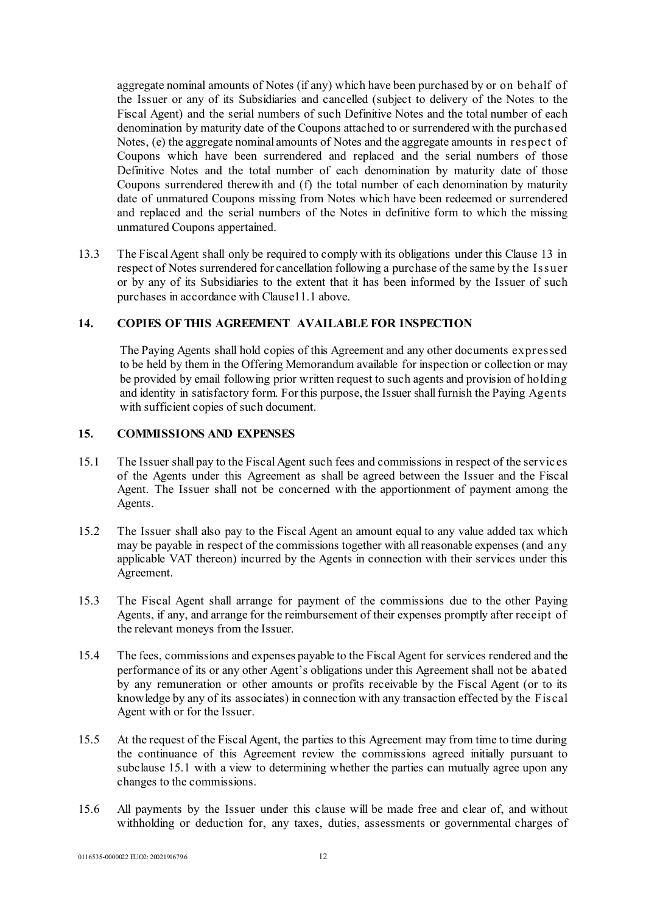aggregate nominal amounts of Notes (if any) which have been purchased by or on behalf of the Issuer or any of its Subsidiaries and cancelled (subject to delivery of the Notes to the Fiscal Agent) and the serial numbers of such Definitive Notes and the total number of each denomination by maturity date of the Coupons attached to or surrendered with the purchased Notes, (e) the aggregate nominal amounts of Notes and the aggregate amounts in respect of Coupons which have been surrendered and replaced and the serial numbers of those Definitive Notes and the total number of each denomination by maturity date of those Coupons surrendered therewith and (f) the total number of each denomination by maturity date of unmatured Coupons missing from Notes which have been redeemed or surrendered and replaced and the serial numbers of the Notes in definitive form to which the missing unmatured Coupons appertained.

13.3 The Fiscal Agent shall only be required to comply with its obligations under this Clause 13 in respect of Notes surrendered for cancellation following a purchase of the same by the Issuer or by any of its Subsidiaries to the extent that it has been informed by the Issuer of such purchases in accordance with Clause11.1 above.

# **14. COPIES OF THIS AGREEMENT AVAILABLE FOR INSPECTION**

The Paying Agents shall hold copies of this Agreement and any other documents expressed to be held by them in the Offering Memorandum available for inspection or collection or may be provided by email following prior written request to such agents and provision of holding and identity in satisfactory form. For this purpose, the Issuer shall furnish the Paying Agents with sufficient copies of such document.

# **15. COMMISSIONS AND EXPENSES**

- 15.1 The Issuer shall pay to the Fiscal Agent such fees and commissions in respect of the servic es of the Agents under this Agreement as shall be agreed between the Issuer and the Fiscal Agent. The Issuer shall not be concerned with the apportionment of payment among the Agents.
- 15.2 The Issuer shall also pay to the Fiscal Agent an amount equal to any value added tax which may be payable in respect of the commissions together with all reasonable expenses (and any applicable VAT thereon) incurred by the Agents in connection with their services under this Agreement.
- 15.3 The Fiscal Agent shall arrange for payment of the commissions due to the other Paying Agents, if any, and arrange for the reimbursement of their expenses promptly after receipt of the relevant moneys from the Issuer.
- 15.4 The fees, commissions and expenses payable to the Fiscal Agent for services rendered and the performance of its or any other Agent's obligations under this Agreement shall not be abated by any remuneration or other amounts or profits receivable by the Fiscal Agent (or to its knowledge by any of its associates) in connection with any transaction effected by the Fiscal Agent with or for the Issuer.
- 15.5 At the request of the Fiscal Agent, the parties to this Agreement may from time to time during the continuance of this Agreement review the commissions agreed initially pursuant to subclause 15.1 with a view to determining whether the parties can mutually agree upon any changes to the commissions.
- 15.6 All payments by the Issuer under this clause will be made free and clear of, and without withholding or deduction for, any taxes, duties, assessments or governmental charges of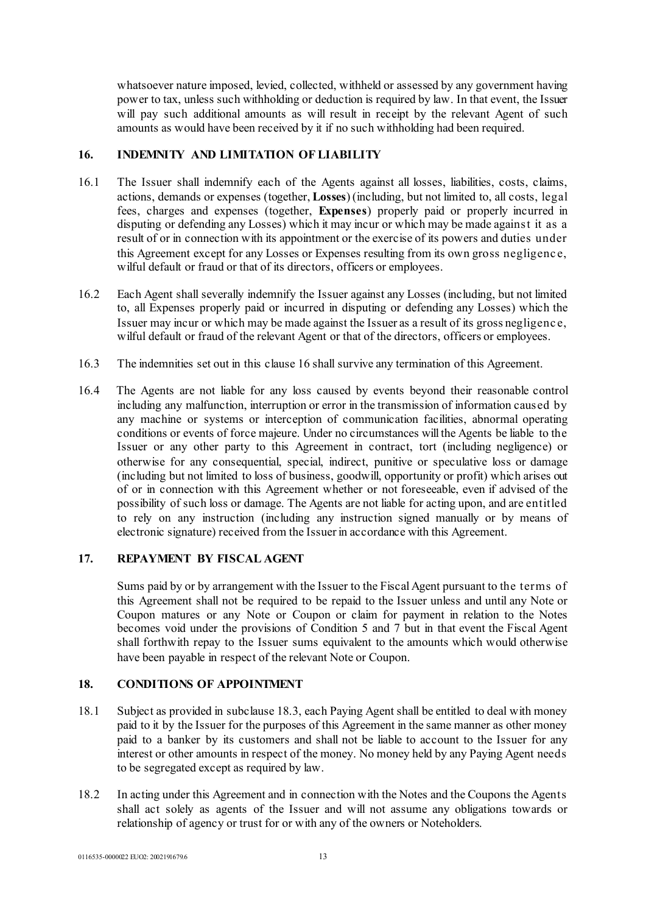whatsoever nature imposed, levied, collected, withheld or assessed by any government having power to tax, unless such withholding or deduction is required by law. In that event, the Issuer will pay such additional amounts as will result in receipt by the relevant Agent of such amounts as would have been received by it if no such withholding had been required.

# **16. INDEMNITY AND LIMITATION OF LIABILITY**

- 16.1 The Issuer shall indemnify each of the Agents against all losses, liabilities, costs, claims, actions, demands or expenses (together, **Losses**) (including, but not limited to, all costs, legal fees, charges and expenses (together, **Expenses**) properly paid or properly incurred in disputing or defending any Losses) which it may incur or which may be made against it as a result of or in connection with its appointment or the exercise of its powers and duties under this Agreement except for any Losses or Expenses resulting from its own gross negligence, wilful default or fraud or that of its directors, officers or employees.
- 16.2 Each Agent shall severally indemnify the Issuer against any Losses (including, but not limited to, all Expenses properly paid or incurred in disputing or defending any Losses) which the Issuer may incur or which may be made against the Issuer as a result of its gross negligenc e, wilful default or fraud of the relevant Agent or that of the directors, officers or employees.
- 16.3 The indemnities set out in this clause 16 shall survive any termination of this Agreement.
- 16.4 The Agents are not liable for any loss caused by events beyond their reasonable control including any malfunction, interruption or error in the transmission of information caused by any machine or systems or interception of communication facilities, abnormal operating conditions or events of force majeure. Under no circumstances will the Agents be liable to the Issuer or any other party to this Agreement in contract, tort (including negligence) or otherwise for any consequential, special, indirect, punitive or speculative loss or damage (including but not limited to loss of business, goodwill, opportunity or profit) which arises out of or in connection with this Agreement whether or not foreseeable, even if advised of the possibility of such loss or damage. The Agents are not liable for acting upon, and are entitled to rely on any instruction (including any instruction signed manually or by means of electronic signature) received from the Issuer in accordance with this Agreement.

# **17. REPAYMENT BY FISCAL AGENT**

Sums paid by or by arrangement with the Issuer to the Fiscal Agent pursuant to the terms of this Agreement shall not be required to be repaid to the Issuer unless and until any Note or Coupon matures or any Note or Coupon or claim for payment in relation to the Notes becomes void under the provisions of Condition 5 and 7 but in that event the Fiscal Agent shall forthwith repay to the Issuer sums equivalent to the amounts which would otherwise have been payable in respect of the relevant Note or Coupon.

# **18. CONDITIONS OF APPOINTMENT**

- 18.1 Subject as provided in subclause 18.3, each Paying Agent shall be entitled to deal with money paid to it by the Issuer for the purposes of this Agreement in the same manner as other money paid to a banker by its customers and shall not be liable to account to the Issuer for any interest or other amounts in respect of the money. No money held by any Paying Agent needs to be segregated except as required by law.
- 18.2 In acting under this Agreement and in connection with the Notes and the Coupons the Agents shall act solely as agents of the Issuer and will not assume any obligations towards or relationship of agency or trust for or with any of the owners or Noteholders.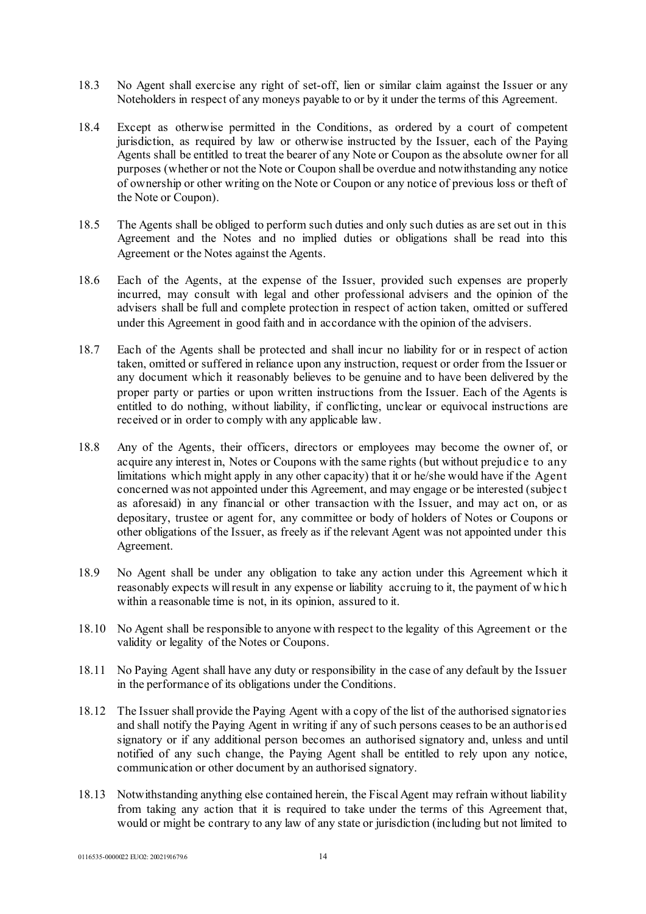- 18.3 No Agent shall exercise any right of set-off, lien or similar claim against the Issuer or any Noteholders in respect of any moneys payable to or by it under the terms of this Agreement.
- 18.4 Except as otherwise permitted in the Conditions, as ordered by a court of competent jurisdiction, as required by law or otherwise instructed by the Issuer, each of the Paying Agents shall be entitled to treat the bearer of any Note or Coupon as the absolute owner for all purposes (whether or not the Note or Coupon shall be overdue and notwithstanding any notice of ownership or other writing on the Note or Coupon or any notice of previous loss or theft of the Note or Coupon).
- 18.5 The Agents shall be obliged to perform such duties and only such duties as are set out in this Agreement and the Notes and no implied duties or obligations shall be read into this Agreement or the Notes against the Agents.
- 18.6 Each of the Agents, at the expense of the Issuer, provided such expenses are properly incurred, may consult with legal and other professional advisers and the opinion of the advisers shall be full and complete protection in respect of action taken, omitted or suffered under this Agreement in good faith and in accordance with the opinion of the advisers.
- 18.7 Each of the Agents shall be protected and shall incur no liability for or in respect of action taken, omitted or suffered in reliance upon any instruction, request or order from the Issuer or any document which it reasonably believes to be genuine and to have been delivered by the proper party or parties or upon written instructions from the Issuer. Each of the Agents is entitled to do nothing, without liability, if conflicting, unclear or equivocal instructions are received or in order to comply with any applicable law.
- 18.8 Any of the Agents, their officers, directors or employees may become the owner of, or acquire any interest in, Notes or Coupons with the same rights (but without prejudic e to any limitations which might apply in any other capacity) that it or he/she would have if the Agent concerned was not appointed under this Agreement, and may engage or be interested (subjec t as aforesaid) in any financial or other transaction with the Issuer, and may act on, or as depositary, trustee or agent for, any committee or body of holders of Notes or Coupons or other obligations of the Issuer, as freely as if the relevant Agent was not appointed under this Agreement.
- 18.9 No Agent shall be under any obligation to take any action under this Agreement which it reasonably expects will result in any expense or liability accruing to it, the payment of w hic h within a reasonable time is not, in its opinion, assured to it.
- 18.10 No Agent shall be responsible to anyone with respect to the legality of this Agreement or the validity or legality of the Notes or Coupons.
- 18.11 No Paying Agent shall have any duty or responsibility in the case of any default by the Issuer in the performance of its obligations under the Conditions.
- 18.12 The Issuer shall provide the Paying Agent with a copy of the list of the authorised signatories and shall notify the Paying Agent in writing if any of such persons ceases to be an authorised signatory or if any additional person becomes an authorised signatory and, unless and until notified of any such change, the Paying Agent shall be entitled to rely upon any notice, communication or other document by an authorised signatory.
- 18.13 Notwithstanding anything else contained herein, the Fiscal Agent may refrain without liability from taking any action that it is required to take under the terms of this Agreement that, would or might be contrary to any law of any state or jurisdiction (including but not limited to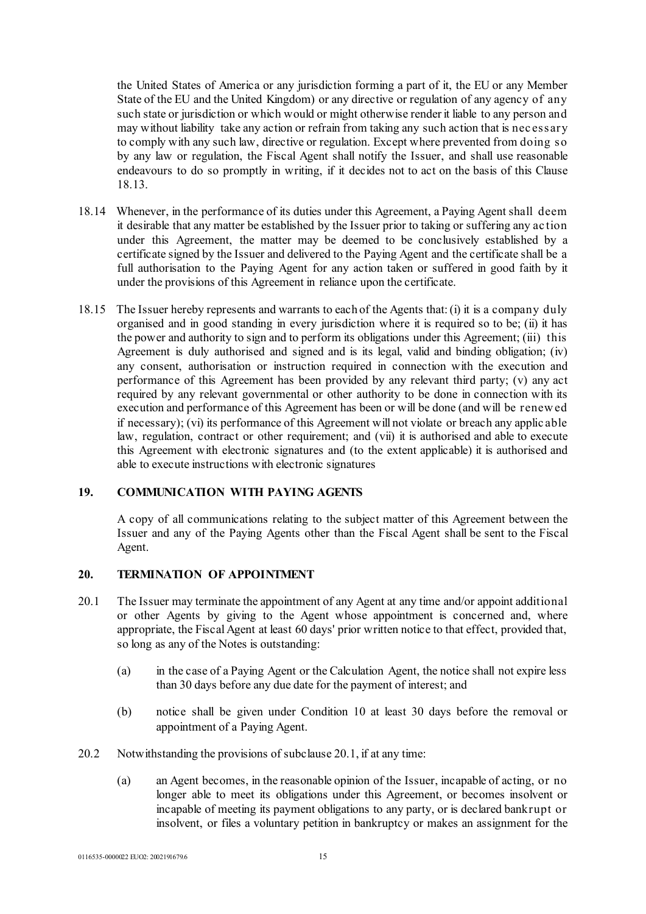the United States of America or any jurisdiction forming a part of it, the EU or any Member State of the EU and the United Kingdom) or any directive or regulation of any agency of any such state or jurisdiction or which would or might otherwise render it liable to any person and may without liability take any action or refrain from taking any such action that is nec essary to comply with any such law, directive or regulation. Except where prevented from doing so by any law or regulation, the Fiscal Agent shall notify the Issuer, and shall use reasonable endeavours to do so promptly in writing, if it decides not to act on the basis of this Clause 18.13.

- 18.14 Whenever, in the performance of its duties under this Agreement, a Paying Agent shall deem it desirable that any matter be established by the Issuer prior to taking or suffering any ac tion under this Agreement, the matter may be deemed to be conclusively established by a certificate signed by the Issuer and delivered to the Paying Agent and the certificate shall be a full authorisation to the Paying Agent for any action taken or suffered in good faith by it under the provisions of this Agreement in reliance upon the certificate.
- 18.15 The Issuer hereby represents and warrants to each of the Agents that: (i) it is a company duly organised and in good standing in every jurisdiction where it is required so to be; (ii) it has the power and authority to sign and to perform its obligations under this Agreement; (iii) this Agreement is duly authorised and signed and is its legal, valid and binding obligation; (iv) any consent, authorisation or instruction required in connection with the execution and performance of this Agreement has been provided by any relevant third party; (v) any act required by any relevant governmental or other authority to be done in connection with its execution and performance of this Agreement has been or will be done (and will be renew ed if necessary); (vi) its performance of this Agreement will not violate or breach any applic able law, regulation, contract or other requirement; and (vii) it is authorised and able to execute this Agreement with electronic signatures and (to the extent applicable) it is authorised and able to execute instructions with electronic signatures

# **19. COMMUNICATION WITH PAYING AGENTS**

A copy of all communications relating to the subject matter of this Agreement between the Issuer and any of the Paying Agents other than the Fiscal Agent shall be sent to the Fiscal Agent.

### **20. TERMINATION OF APPOINTMENT**

- 20.1 The Issuer may terminate the appointment of any Agent at any time and/or appoint additional or other Agents by giving to the Agent whose appointment is concerned and, where appropriate, the Fiscal Agent at least 60 days' prior written notice to that effect, provided that, so long as any of the Notes is outstanding:
	- (a) in the case of a Paying Agent or the Calculation Agent, the notice shall not expire less than 30 days before any due date for the payment of interest; and
	- (b) notice shall be given under Condition 10 at least 30 days before the removal or appointment of a Paying Agent.
- 20.2 Notwithstanding the provisions of subclause 20.1, if at any time:
	- (a) an Agent becomes, in the reasonable opinion of the Issuer, incapable of acting, or no longer able to meet its obligations under this Agreement, or becomes insolvent or incapable of meeting its payment obligations to any party, or is declared bankrupt or insolvent, or files a voluntary petition in bankruptcy or makes an assignment for the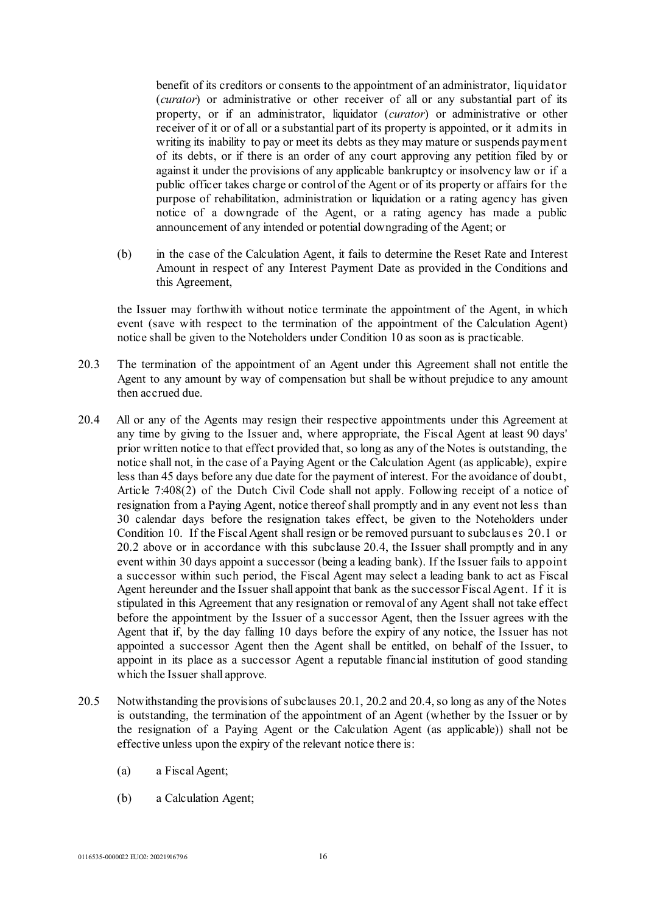benefit of its creditors or consents to the appointment of an administrator, liquidator (*curator*) or administrative or other receiver of all or any substantial part of its property, or if an administrator, liquidator (*curator*) or administrative or other receiver of it or of all or a substantial part of its property is appointed, or it admits in writing its inability to pay or meet its debts as they may mature or suspends payment of its debts, or if there is an order of any court approving any petition filed by or against it under the provisions of any applicable bankruptcy or insolvency law or if a public officer takes charge or control of the Agent or of its property or affairs for the purpose of rehabilitation, administration or liquidation or a rating agency has given notice of a downgrade of the Agent, or a rating agency has made a public announcement of any intended or potential downgrading of the Agent; or

(b) in the case of the Calculation Agent, it fails to determine the Reset Rate and Interest Amount in respect of any Interest Payment Date as provided in the Conditions and this Agreement,

the Issuer may forthwith without notice terminate the appointment of the Agent, in which event (save with respect to the termination of the appointment of the Calculation Agent) notice shall be given to the Noteholders under Condition 10 as soon as is practicable.

- 20.3 The termination of the appointment of an Agent under this Agreement shall not entitle the Agent to any amount by way of compensation but shall be without prejudice to any amount then accrued due.
- <span id="page-15-0"></span>20.4 All or any of the Agents may resign their respective appointments under this Agreement at any time by giving to the Issuer and, where appropriate, the Fiscal Agent at least 90 days' prior written notice to that effect provided that, so long as any of the Notes is outstanding, the notice shall not, in the case of a Paying Agent or the Calculation Agent (as applicable), expire less than 45 days before any due date for the payment of interest. For the avoidance of doubt, Article 7:408(2) of the Dutch Civil Code shall not apply. Following receipt of a notice of resignation from a Paying Agent, notice thereof shall promptly and in any event not less than 30 calendar days before the resignation takes effect, be given to the Noteholders under Condition 10. If the Fiscal Agent shall resign or be removed pursuant to subclauses 20.1 or 20.2 above or in accordance with this subclause [20.4](#page-15-0), the Issuer shall promptly and in any event within 30 days appoint a successor (being a leading bank). If the Issuer fails to appoint a successor within such period, the Fiscal Agent may select a leading bank to act as Fiscal Agent hereunder and the Issuer shall appoint that bank as the successor Fiscal Agent. If it is stipulated in this Agreement that any resignation or removal of any Agent shall not take effect before the appointment by the Issuer of a successor Agent, then the Issuer agrees with the Agent that if, by the day falling 10 days before the expiry of any notice, the Issuer has not appointed a successor Agent then the Agent shall be entitled, on behalf of the Issuer, to appoint in its place as a successor Agent a reputable financial institution of good standing which the Issuer shall approve.
- 20.5 Notwithstanding the provisions of subclauses 20.1, 20.2 and 20.4, so long as any of the Notes is outstanding, the termination of the appointment of an Agent (whether by the Issuer or by the resignation of a Paying Agent or the Calculation Agent (as applicable)) shall not be effective unless upon the expiry of the relevant notice there is:
	- (a) a Fiscal Agent;
	- (b) a Calculation Agent;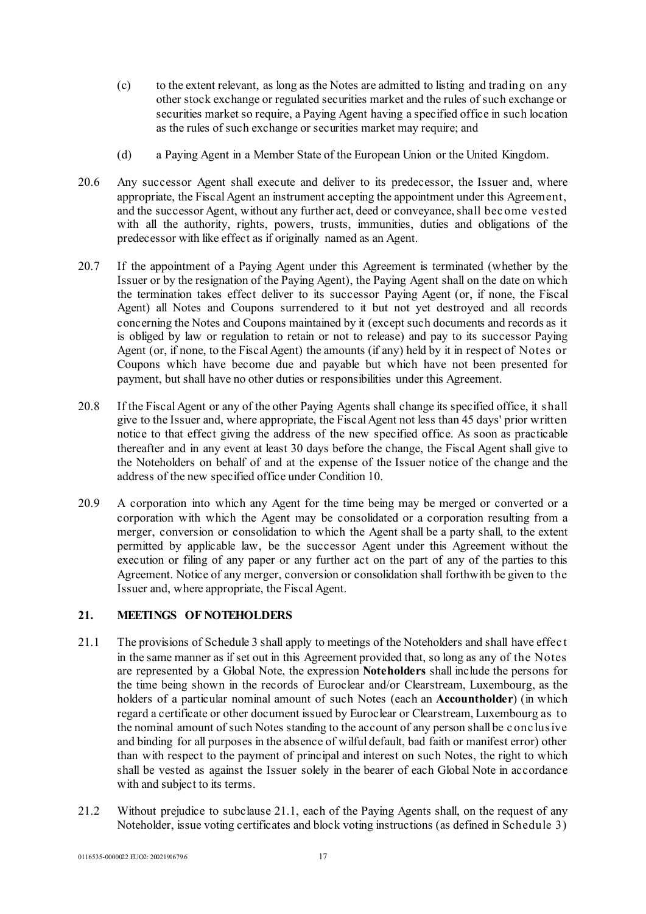- (c) to the extent relevant, as long as the Notes are admitted to listing and trading on any other stock exchange or regulated securities market and the rules of such exchange or securities market so require, a Paying Agent having a specified office in such location as the rules of such exchange or securities market may require; and
- (d) a Paying Agent in a Member State of the European Union or the United Kingdom.
- 20.6 Any successor Agent shall execute and deliver to its predecessor, the Issuer and, where appropriate, the Fiscal Agent an instrument accepting the appointment under this Agreement, and the successor Agent, without any further act, deed or conveyance, shall bec ome vested with all the authority, rights, powers, trusts, immunities, duties and obligations of the predecessor with like effect as if originally named as an Agent.
- 20.7 If the appointment of a Paying Agent under this Agreement is terminated (whether by the Issuer or by the resignation of the Paying Agent), the Paying Agent shall on the date on which the termination takes effect deliver to its successor Paying Agent (or, if none, the Fiscal Agent) all Notes and Coupons surrendered to it but not yet destroyed and all records concerning the Notes and Coupons maintained by it (except such documents and records as it is obliged by law or regulation to retain or not to release) and pay to its successor Paying Agent (or, if none, to the Fiscal Agent) the amounts (if any) held by it in respect of Notes or Coupons which have become due and payable but which have not been presented for payment, but shall have no other duties or responsibilities under this Agreement.
- 20.8 If the Fiscal Agent or any of the other Paying Agents shall change its specified office, it shall give to the Issuer and, where appropriate, the Fiscal Agent not less than 45 days' prior written notice to that effect giving the address of the new specified office. As soon as practicable thereafter and in any event at least 30 days before the change, the Fiscal Agent shall give to the Noteholders on behalf of and at the expense of the Issuer notice of the change and the address of the new specified office under Condition 10.
- 20.9 A corporation into which any Agent for the time being may be merged or converted or a corporation with which the Agent may be consolidated or a corporation resulting from a merger, conversion or consolidation to which the Agent shall be a party shall, to the extent permitted by applicable law, be the successor Agent under this Agreement without the execution or filing of any paper or any further act on the part of any of the parties to this Agreement. Notice of any merger, conversion or consolidation shall forthwith be given to the Issuer and, where appropriate, the Fiscal Agent.

# **21. MEETINGS OF NOTEHOLDERS**

- 21.1 The provisions of [Schedule 3](#page-59-0) shall apply to meetings of the Noteholders and shall have effec t in the same manner as if set out in this Agreement provided that, so long as any of the Notes are represented by a Global Note, the expression **Noteholders** shall include the persons for the time being shown in the records of Euroclear and/or Clearstream, Luxembourg, as the holders of a particular nominal amount of such Notes (each an **Accountholder**) (in which regard a certificate or other document issued by Euroclear or Clearstream, Luxembourg as to the nominal amount of such Notes standing to the account of any person shall be c onc lusive and binding for all purposes in the absence of wilful default, bad faith or manifest error) other than with respect to the payment of principal and interest on such Notes, the right to which shall be vested as against the Issuer solely in the bearer of each Global Note in accordance with and subject to its terms.
- 21.2 Without prejudice to subclause 21.1, each of the Paying Agents shall, on the request of any Noteholder, issue voting certificates and block voting instructions (as defined in [Schedule 3\)](#page-59-0)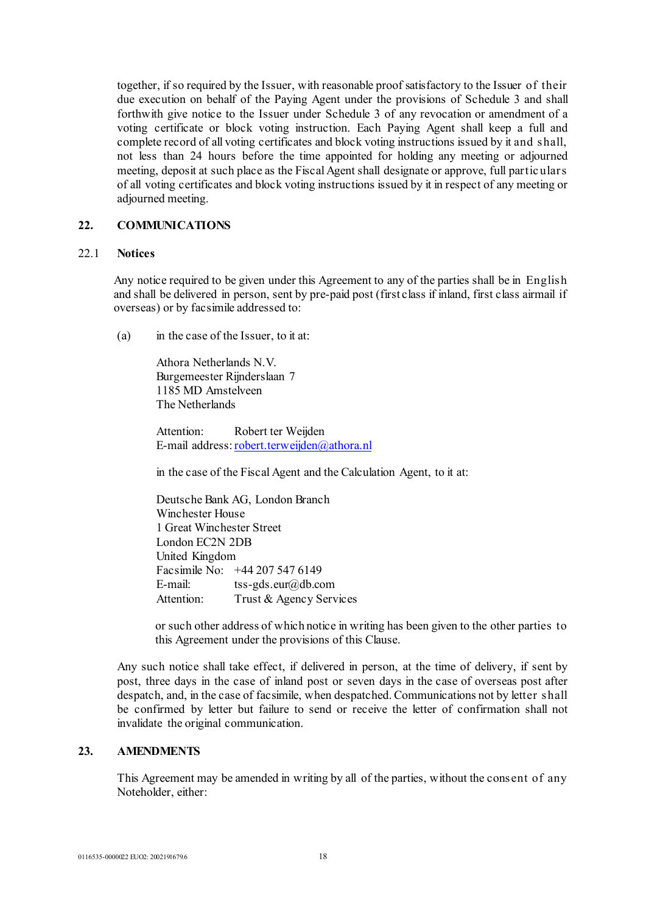together, if so required by the Issuer, with reasonable proof satisfactory to the Issuer of their due execution on behalf of the Paying Agent under the provisions of [Schedule 3](#page-59-0) and shall forthwith give notice to the Issuer unde[r Schedule 3](#page-59-0) of any revocation or amendment of a voting certificate or block voting instruction. Each Paying Agent shall keep a full and complete record of all voting certificates and block voting instructions issued by it and shall, not less than 24 hours before the time appointed for holding any meeting or adjourned meeting, deposit at such place as the Fiscal Agent shall designate or approve, full partic ulars of all voting certificates and block voting instructions issued by it in respect of any meeting or adjourned meeting.

# **22. COMMUNICATIONS**

#### 22.1 **Notices**

Any notice required to be given under this Agreement to any of the parties shall be in English and shall be delivered in person, sent by pre-paid post (first class if inland, first class airmail if overseas) or by facsimile addressed to:

(a) in the case of the Issuer, to it at:

Athora Netherlands N.V. Burgemeester Rijnderslaan 7 1185 MD Amstelveen The Netherlands

Attention: Robert ter Weijden E-mail address[:robert.terweijden@athora.nl](mailto:robert.terweijden@athora.nl)

in the case of the Fiscal Agent and the Calculation Agent, to it at:

Deutsche Bank AG, London Branch Winchester House 1 Great Winchester Street London EC2N 2DB United Kingdom Facsimile No: +44 207 547 6149 E-mail: tss-gds.eur@db.com Attention: Trust & Agency Services

or such other address of which notice in writing has been given to the other parties to this Agreement under the provisions of this Clause.

Any such notice shall take effect, if delivered in person, at the time of delivery, if sent by post, three days in the case of inland post or seven days in the case of overseas post after despatch, and, in the case of facsimile, when despatched. Communications not by letter shall be confirmed by letter but failure to send or receive the letter of confirmation shall not invalidate the original communication.

# **23. AMENDMENTS**

This Agreement may be amended in writing by all of the parties, without the consent of any Noteholder, either: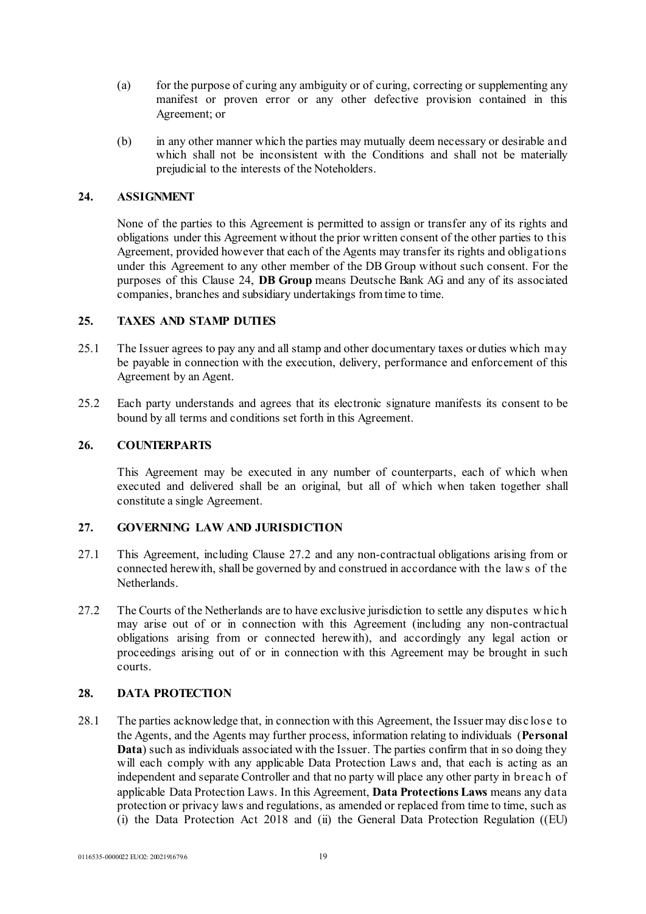- (a) for the purpose of curing any ambiguity or of curing, correcting or supplementing any manifest or proven error or any other defective provision contained in this Agreement; or
- (b) in any other manner which the parties may mutually deem necessary or desirable and which shall not be inconsistent with the Conditions and shall not be materially prejudicial to the interests of the Noteholders.

# **24. ASSIGNMENT**

None of the parties to this Agreement is permitted to assign or transfer any of its rights and obligations under this Agreement without the prior written consent of the other parties to this Agreement, provided however that each of the Agents may transfer its rights and obligations under this Agreement to any other member of the DB Group without such consent. For the purposes of this Clause 24, **DB Group** means Deutsche Bank AG and any of its associated companies, branches and subsidiary undertakings from time to time.

# **25. TAXES AND STAMP DUTIES**

- 25.1 The Issuer agrees to pay any and all stamp and other documentary taxes or duties which may be payable in connection with the execution, delivery, performance and enforcement of this Agreement by an Agent.
- 25.2 Each party understands and agrees that its electronic signature manifests its consent to be bound by all terms and conditions set forth in this Agreement.

# **26. COUNTERPARTS**

This Agreement may be executed in any number of counterparts, each of which when executed and delivered shall be an original, but all of which when taken together shall constitute a single Agreement.

### **27. GOVERNING LAW AND JURISDICTION**

- 27.1 This Agreement, including Clause 27.2 and any non-contractual obligations arising from or connected herewith, shall be governed by and construed in accordance with the law s of the Netherlands.
- 27.2 The Courts of the Netherlands are to have exclusive jurisdiction to settle any disputes w hic h may arise out of or in connection with this Agreement (including any non-contractual obligations arising from or connected herewith), and accordingly any legal action or proceedings arising out of or in connection with this Agreement may be brought in such courts.

### **28. DATA PROTECTION**

28.1 The parties acknowledge that, in connection with this Agreement, the Issuer may disc lose to the Agents, and the Agents may further process, information relating to individuals (**Personal Data**) such as individuals associated with the Issuer. The parties confirm that in so doing they will each comply with any applicable Data Protection Laws and, that each is acting as an independent and separate Controller and that no party will place any other party in breac h of applicable Data Protection Laws. In this Agreement, **Data Protections Laws** means any data protection or privacy laws and regulations, as amended or replaced from time to time, such as (i) the Data Protection Act 2018 and (ii) the General Data Protection Regulation ((EU)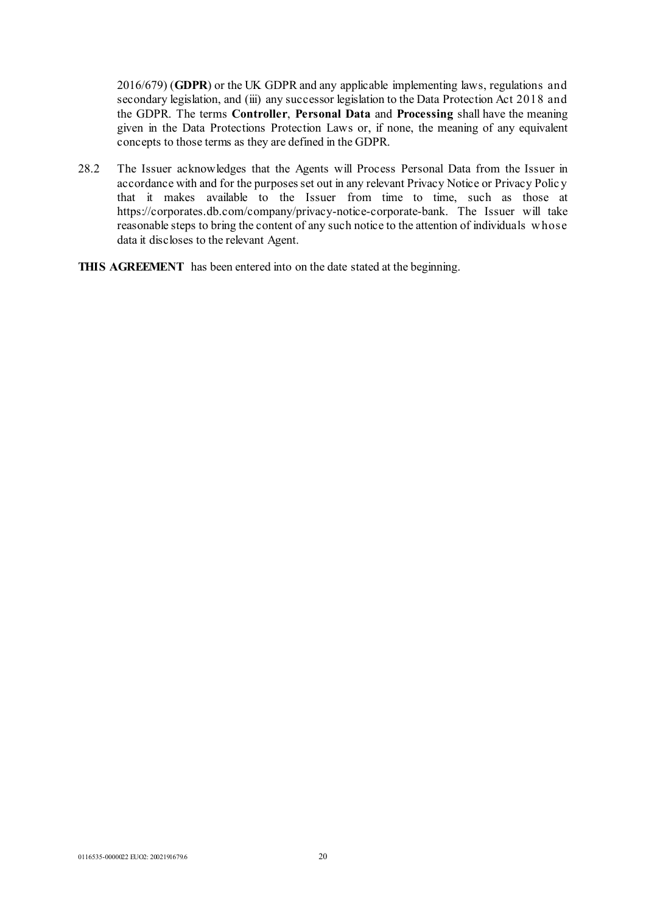2016/679) (**GDPR**) or the UK GDPR and any applicable implementing laws, regulations and secondary legislation, and (iii) any successor legislation to the Data Protection Act 2018 and the GDPR. The terms **Controller**, **Personal Data** and **Processing** shall have the meaning given in the Data Protections Protection Laws or, if none, the meaning of any equivalent concepts to those terms as they are defined in the GDPR.

- 28.2 The Issuer acknowledges that the Agents will Process Personal Data from the Issuer in accordance with and for the purposes set out in any relevant Privacy Notice or Privacy Polic y that it makes available to the Issuer from time to time, such as those at https://corporates.db.com/company/privacy-notice-corporate-bank. The Issuer will take reasonable steps to bring the content of any such notice to the attention of individuals w hose data it discloses to the relevant Agent.
- **THIS AGREEMENT** has been entered into on the date stated at the beginning.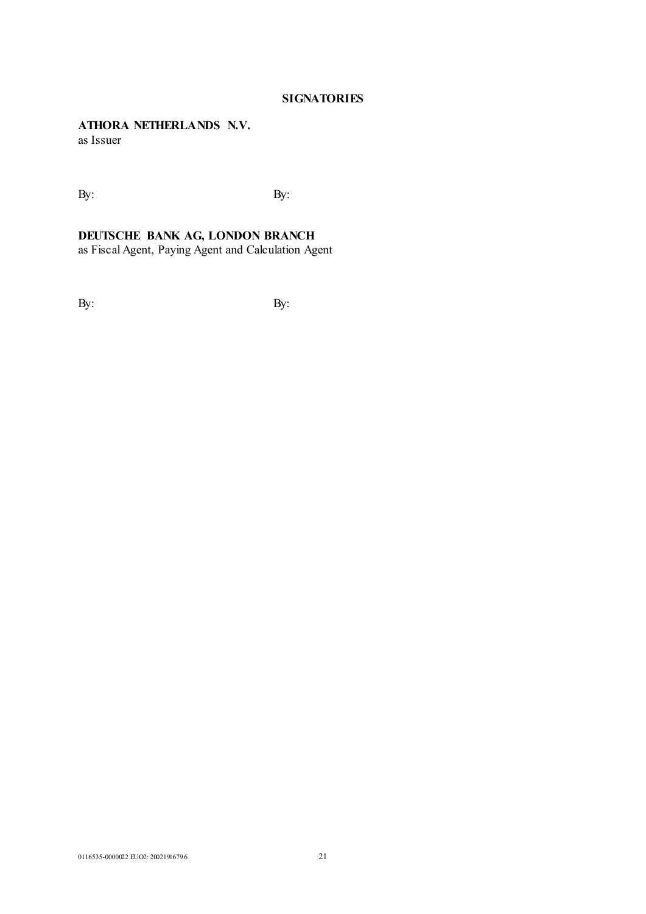# **SIGNATORIES**

# **ATHORA NETHERLANDS N.V.**

as Issuer

 $\mathbf{B}$ y:  $\mathbf{B}$ y:

### **DEUTSCHE BANK AG, LONDON BRANCH**

as Fiscal Agent, Paying Agent and Calculation Agent

By: By: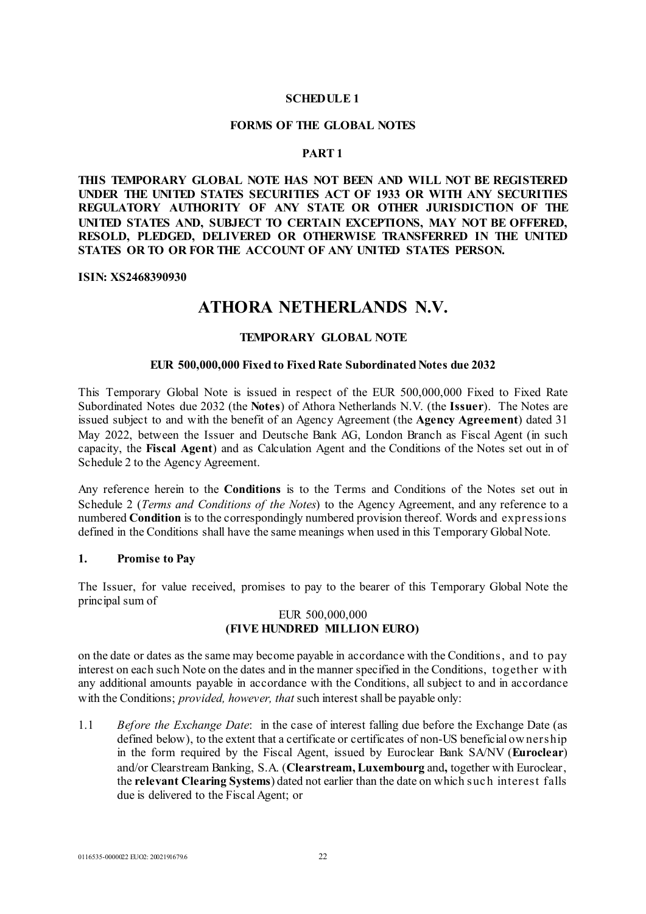### **SCHEDULE 1**

#### **FORMS OF THE GLOBAL NOTES**

### **PART 1**

**THIS TEMPORARY GLOBAL NOTE HAS NOT BEEN AND WILL NOT BE REGISTERED UNDER THE UNITED STATES SECURITIES ACT OF 1933 OR WITH ANY SECURITIES REGULATORY AUTHORITY OF ANY STATE OR OTHER JURISDICTION OF THE UNITED STATES AND, SUBJECT TO CERTAIN EXCEPTIONS, MAY NOT BE OFFERED, RESOLD, PLEDGED, DELIVERED OR OTHERWISE TRANSFERRED IN THE UNITED STATES OR TO OR FOR THE ACCOUNT OF ANY UNITED STATES PERSON.** 

**ISIN: XS2468390930**

# **ATHORA NETHERLANDS N.V.**

### **TEMPORARY GLOBAL NOTE**

#### **EUR 500,000,000 Fixed to Fixed Rate Subordinated Notes due 2032**

This Temporary Global Note is issued in respect of the EUR 500,000,000 Fixed to Fixed Rate Subordinated Notes due 2032 (the **Notes**) of Athora Netherlands N.V. (the **Issuer**). The Notes are issued subject to and with the benefit of an Agency Agreement (the **Agency Agreement**) dated 31 May 2022, between the Issuer and Deutsche Bank AG, London Branch as Fiscal Agent (in such capacity, the **Fiscal Agent**) and as Calculation Agent and the Conditions of the Notes set out in of Schedule 2 to the Agency Agreement.

Any reference herein to the **Conditions** is to the Terms and Conditions of the Notes set out in Schedule 2 (*Terms and Conditions of the Notes*) to the Agency Agreement, and any reference to a numbered **Condition** is to the correspondingly numbered provision thereof. Words and expressions defined in the Conditions shall have the same meanings when used in this Temporary Global Note.

#### **1. Promise to Pay**

The Issuer, for value received, promises to pay to the bearer of this Temporary Global Note the principal sum of

### EUR 500,000,000 **(FIVE HUNDRED MILLION EURO)**

on the date or dates as the same may become payable in accordance with the Conditions, and to pay interest on each such Note on the dates and in the manner specified in the Conditions, together w ith any additional amounts payable in accordance with the Conditions, all subject to and in accordance with the Conditions; *provided, however, that* such interest shall be payable only:

1.1 *Before the Exchange Date*: in the case of interest falling due before the Exchange Date (as defined below), to the extent that a certificate or certificates of non-US beneficial ow nership in the form required by the Fiscal Agent, issued by Euroclear Bank SA/NV (**Euroclear**) and/or Clearstream Banking, S.A. (**Clearstream, Luxembourg** and**,** together with Euroclear, the **relevant Clearing Systems**) dated not earlier than the date on which suc h interest falls due is delivered to the Fiscal Agent; or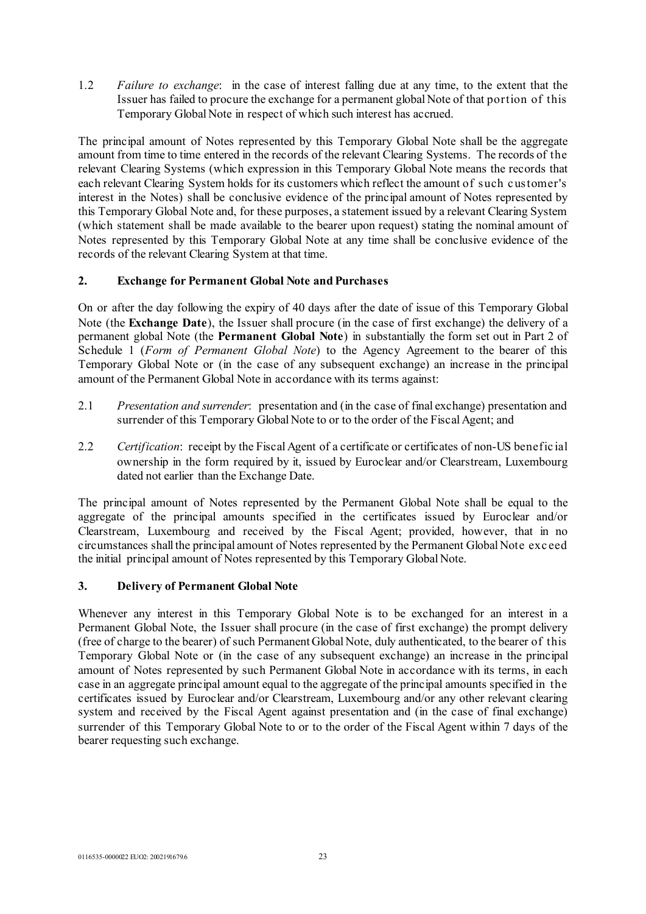1.2 *Failure to exchange*: in the case of interest falling due at any time, to the extent that the Issuer has failed to procure the exchange for a permanent global Note of that portion of this Temporary Global Note in respect of which such interest has accrued.

The principal amount of Notes represented by this Temporary Global Note shall be the aggregate amount from time to time entered in the records of the relevant Clearing Systems. The records of the relevant Clearing Systems (which expression in this Temporary Global Note means the records that each relevant Clearing System holds for its customers which reflect the amount of such c ustomer's interest in the Notes) shall be conclusive evidence of the principal amount of Notes represented by this Temporary Global Note and, for these purposes, a statement issued by a relevant Clearing System (which statement shall be made available to the bearer upon request) stating the nominal amount of Notes represented by this Temporary Global Note at any time shall be conclusive evidence of the records of the relevant Clearing System at that time.

# **2. Exchange for Permanent Global Note and Purchases**

On or after the day following the expiry of 40 days after the date of issue of this Temporary Global Note (the **Exchange Date**), the Issuer shall procure (in the case of first exchange) the delivery of a permanent global Note (the **Permanent Global Note**) in substantially the form set out in Part 2 of Schedule 1 (*Form of Permanent Global Note*) to the Agency Agreement to the bearer of this Temporary Global Note or (in the case of any subsequent exchange) an increase in the principal amount of the Permanent Global Note in accordance with its terms against:

- 2.1 *Presentation and surrender*: presentation and (in the case of final exchange) presentation and surrender of this Temporary Global Note to or to the order of the Fiscal Agent; and
- 2.2 *Certification*: receipt by the Fiscal Agent of a certificate or certificates of non-US benefic ial ownership in the form required by it, issued by Euroclear and/or Clearstream, Luxembourg dated not earlier than the Exchange Date.

The principal amount of Notes represented by the Permanent Global Note shall be equal to the aggregate of the principal amounts specified in the certificates issued by Euroclear and/or Clearstream, Luxembourg and received by the Fiscal Agent; provided, however, that in no circumstances shall the principal amount of Notes represented by the Permanent Global Note exc eed the initial principal amount of Notes represented by this Temporary Global Note.

# **3. Delivery of Permanent Global Note**

Whenever any interest in this Temporary Global Note is to be exchanged for an interest in a Permanent Global Note, the Issuer shall procure (in the case of first exchange) the prompt delivery (free of charge to the bearer) of such Permanent Global Note, duly authenticated, to the bearer of this Temporary Global Note or (in the case of any subsequent exchange) an increase in the principal amount of Notes represented by such Permanent Global Note in accordance with its terms, in each case in an aggregate principal amount equal to the aggregate of the principal amounts specified in the certificates issued by Euroclear and/or Clearstream, Luxembourg and/or any other relevant clearing system and received by the Fiscal Agent against presentation and (in the case of final exchange) surrender of this Temporary Global Note to or to the order of the Fiscal Agent within 7 days of the bearer requesting such exchange.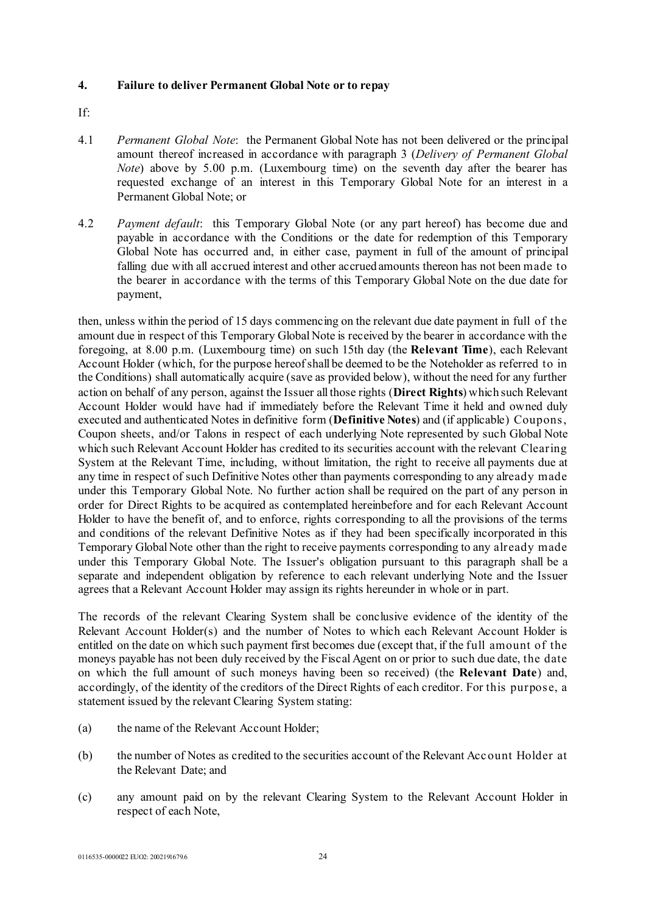## **4. Failure to deliver Permanent Global Note or to repay**

- If:
- 4.1 *Permanent Global Note*: the Permanent Global Note has not been delivered or the principal amount thereof increased in accordance with paragraph 3 (*Delivery of Permanent Global Note*) above by 5.00 p.m. (Luxembourg time) on the seventh day after the bearer has requested exchange of an interest in this Temporary Global Note for an interest in a Permanent Global Note; or
- 4.2 *Payment default*: this Temporary Global Note (or any part hereof) has become due and payable in accordance with the Conditions or the date for redemption of this Temporary Global Note has occurred and, in either case, payment in full of the amount of principal falling due with all accrued interest and other accrued amounts thereon has not been made to the bearer in accordance with the terms of this Temporary Global Note on the due date for payment,

then, unless within the period of 15 days commencing on the relevant due date payment in full of the amount due in respect of this Temporary Global Note is received by the bearer in accordance with the foregoing, at 8.00 p.m. (Luxembourg time) on such 15th day (the **Relevant Time**), each Relevant Account Holder (which, for the purpose hereof shall be deemed to be the Noteholder as referred to in the Conditions) shall automatically acquire (save as provided below), without the need for any further action on behalf of any person, against the Issuer all those rights (**Direct Rights**) which such Relevant Account Holder would have had if immediately before the Relevant Time it held and owned duly executed and authenticated Notes in definitive form (**Definitive Notes**) and (if applicable) Coupons, Coupon sheets, and/or Talons in respect of each underlying Note represented by such Global Note which such Relevant Account Holder has credited to its securities account with the relevant Clearing System at the Relevant Time, including, without limitation, the right to receive all payments due at any time in respect of such Definitive Notes other than payments corresponding to any already made under this Temporary Global Note. No further action shall be required on the part of any person in order for Direct Rights to be acquired as contemplated hereinbefore and for each Relevant Account Holder to have the benefit of, and to enforce, rights corresponding to all the provisions of the terms and conditions of the relevant Definitive Notes as if they had been specifically incorporated in this Temporary Global Note other than the right to receive payments corresponding to any already made under this Temporary Global Note. The Issuer's obligation pursuant to this paragraph shall be a separate and independent obligation by reference to each relevant underlying Note and the Issuer agrees that a Relevant Account Holder may assign its rights hereunder in whole or in part.

The records of the relevant Clearing System shall be conclusive evidence of the identity of the Relevant Account Holder(s) and the number of Notes to which each Relevant Account Holder is entitled on the date on which such payment first becomes due (except that, if the full amount of the moneys payable has not been duly received by the Fiscal Agent on or prior to such due date, the date on which the full amount of such moneys having been so received) (the **Relevant Date**) and, accordingly, of the identity of the creditors of the Direct Rights of each creditor. For this purpose, a statement issued by the relevant Clearing System stating:

- (a) the name of the Relevant Account Holder;
- (b) the number of Notes as credited to the securities account of the Relevant Acc ount Holder at the Relevant Date; and
- (c) any amount paid on by the relevant Clearing System to the Relevant Account Holder in respect of each Note,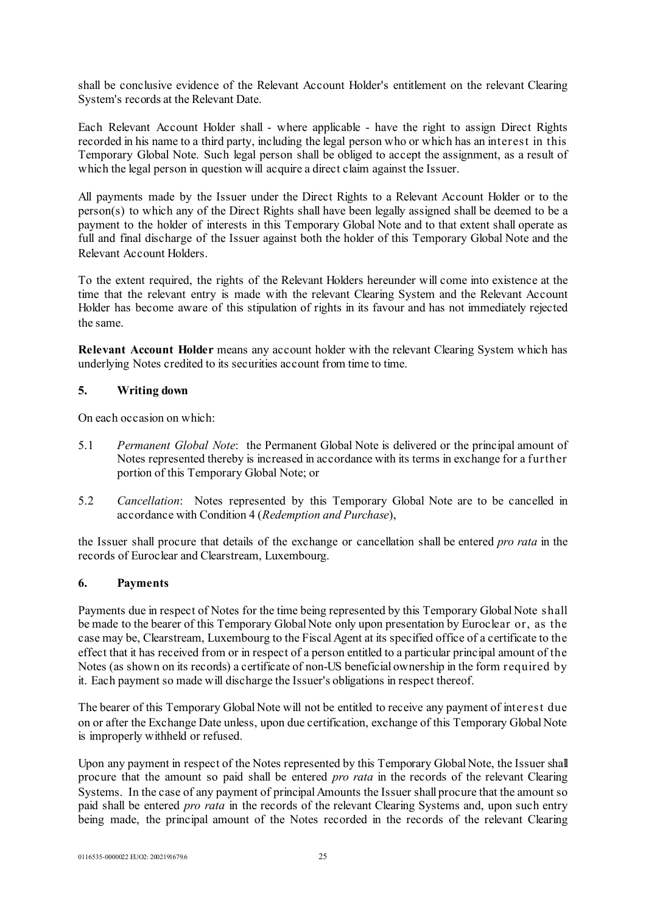shall be conclusive evidence of the Relevant Account Holder's entitlement on the relevant Clearing System's records at the Relevant Date.

Each Relevant Account Holder shall - where applicable - have the right to assign Direct Rights recorded in his name to a third party, including the legal person who or which has an interest in this Temporary Global Note. Such legal person shall be obliged to accept the assignment, as a result of which the legal person in question will acquire a direct claim against the Issuer.

All payments made by the Issuer under the Direct Rights to a Relevant Account Holder or to the person(s) to which any of the Direct Rights shall have been legally assigned shall be deemed to be a payment to the holder of interests in this Temporary Global Note and to that extent shall operate as full and final discharge of the Issuer against both the holder of this Temporary Global Note and the Relevant Account Holders.

To the extent required, the rights of the Relevant Holders hereunder will come into existence at the time that the relevant entry is made with the relevant Clearing System and the Relevant Account Holder has become aware of this stipulation of rights in its favour and has not immediately rejected the same.

**Relevant Account Holder** means any account holder with the relevant Clearing System which has underlying Notes credited to its securities account from time to time.

### **5. Writing down**

On each occasion on which:

- 5.1 *Permanent Global Note*: the Permanent Global Note is delivered or the principal amount of Notes represented thereby is increased in accordance with its terms in exchange for a further portion of this Temporary Global Note; or
- 5.2 *Cancellation*: Notes represented by this Temporary Global Note are to be cancelled in accordance with Condition 4 (*Redemption and Purchase*),

the Issuer shall procure that details of the exchange or cancellation shall be entered *pro rata* in the records of Euroclear and Clearstream, Luxembourg.

### **6. Payments**

Payments due in respect of Notes for the time being represented by this Temporary Global Note shall be made to the bearer of this Temporary Global Note only upon presentation by Euroclear or, as the case may be, Clearstream, Luxembourg to the Fiscal Agent at its specified office of a certificate to the effect that it has received from or in respect of a person entitled to a particular principal amount of the Notes (as shown on its records) a certificate of non-US beneficial ownership in the form required by it. Each payment so made will discharge the Issuer's obligations in respect thereof.

The bearer of this Temporary Global Note will not be entitled to receive any payment of interest due on or after the Exchange Date unless, upon due certification, exchange of this Temporary Global Note is improperly withheld or refused.

Upon any payment in respect of the Notes represented by this Temporary Global Note, the Issuer shall procure that the amount so paid shall be entered *pro rata* in the records of the relevant Clearing Systems. In the case of any payment of principal Amounts the Issuer shall procure that the amount so paid shall be entered *pro rata* in the records of the relevant Clearing Systems and, upon such entry being made, the principal amount of the Notes recorded in the records of the relevant Clearing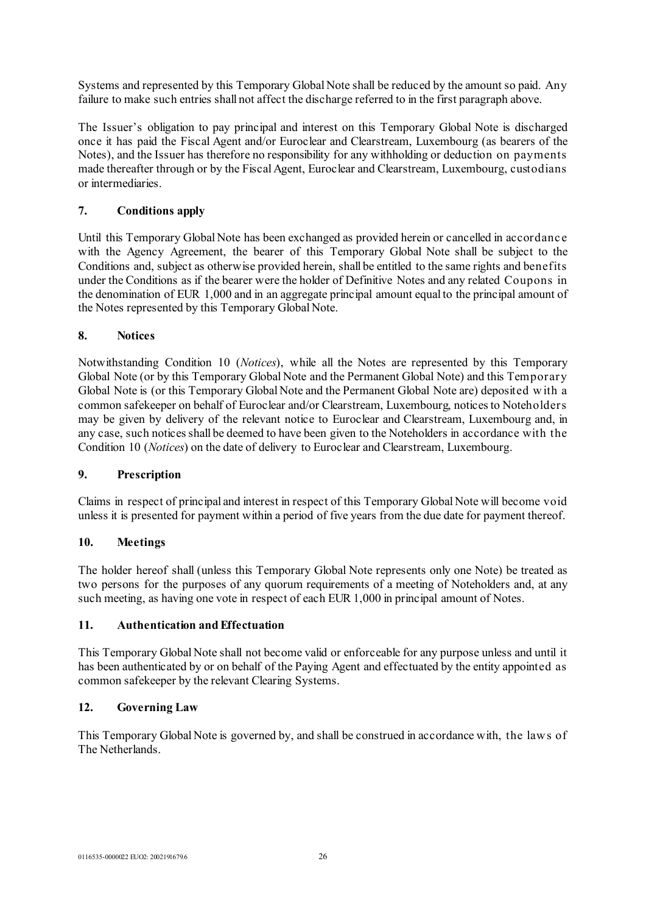Systems and represented by this Temporary Global Note shall be reduced by the amount so paid. Any failure to make such entries shall not affect the discharge referred to in the first paragraph above.

The Issuer's obligation to pay principal and interest on this Temporary Global Note is discharged once it has paid the Fiscal Agent and/or Euroclear and Clearstream, Luxembourg (as bearers of the Notes), and the Issuer has therefore no responsibility for any withholding or deduction on payments made thereafter through or by the Fiscal Agent, Euroclear and Clearstream, Luxembourg, custodians or intermediaries.

# **7. Conditions apply**

Until this Temporary Global Note has been exchanged as provided herein or cancelled in accordanc e with the Agency Agreement, the bearer of this Temporary Global Note shall be subject to the Conditions and, subject as otherwise provided herein, shall be entitled to the same rights and benefits under the Conditions as if the bearer were the holder of Definitive Notes and any related Coupons in the denomination of EUR 1,000 and in an aggregate principal amount equal to the principal amount of the Notes represented by this Temporary Global Note.

# **8. Notices**

Notwithstanding Condition 10 (*Notices*), while all the Notes are represented by this Temporary Global Note (or by this Temporary Global Note and the Permanent Global Note) and this Temporary Global Note is (or this Temporary Global Note and the Permanent Global Note are) deposited w ith a common safekeeper on behalf of Euroclear and/or Clearstream, Luxembourg, notices to Noteholders may be given by delivery of the relevant notice to Euroclear and Clearstream, Luxembourg and, in any case, such notices shall be deemed to have been given to the Noteholders in accordance with the Condition 10 (*Notices*) on the date of delivery to Euroclear and Clearstream, Luxembourg.

# **9. Prescription**

Claims in respect of principal and interest in respect of this Temporary Global Note will become void unless it is presented for payment within a period of five years from the due date for payment thereof.

### **10. Meetings**

The holder hereof shall (unless this Temporary Global Note represents only one Note) be treated as two persons for the purposes of any quorum requirements of a meeting of Noteholders and, at any such meeting, as having one vote in respect of each EUR 1,000 in principal amount of Notes.

### **11. Authentication and Effectuation**

This Temporary Global Note shall not become valid or enforceable for any purpose unless and until it has been authenticated by or on behalf of the Paying Agent and effectuated by the entity appointed as common safekeeper by the relevant Clearing Systems.

# **12. Governing Law**

This Temporary Global Note is governed by, and shall be construed in accordance with, the law s of The Netherlands.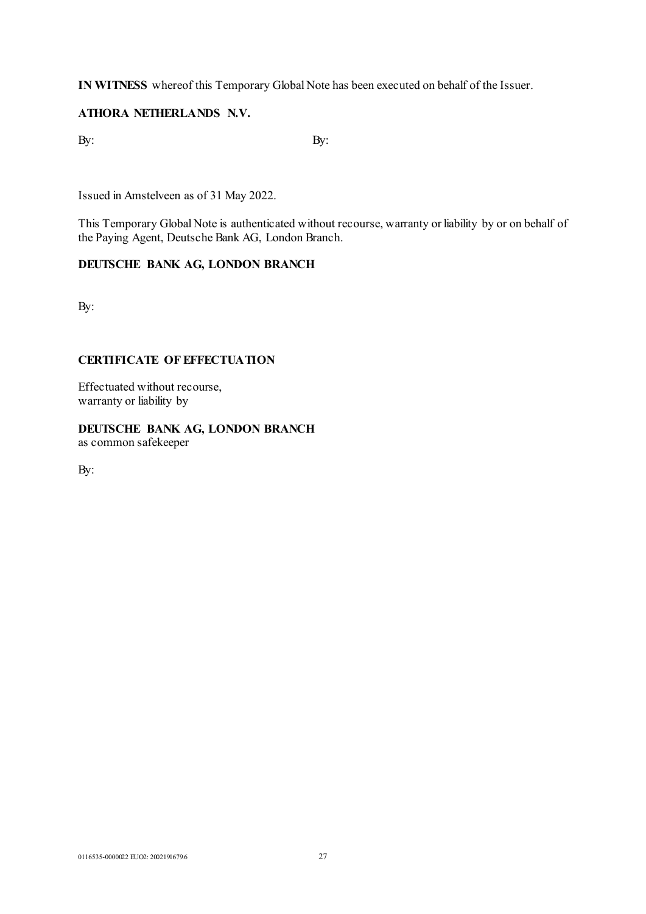**IN WITNESS** whereof this Temporary Global Note has been executed on behalf of the Issuer.

# **ATHORA NETHERLANDS N.V.**

 $\mathbf{B}$ y:  $\mathbf{B}$ y:

Issued in Amstelveen as of 31 May 2022.

This Temporary Global Note is authenticated without recourse, warranty or liability by or on behalf of the Paying Agent, Deutsche Bank AG, London Branch.

# **DEUTSCHE BANK AG, LONDON BRANCH**

By:

# **CERTIFICATE OF EFFECTUATION**

Effectuated without recourse, warranty or liability by

# **DEUTSCHE BANK AG, LONDON BRANCH**

as common safekeeper

By: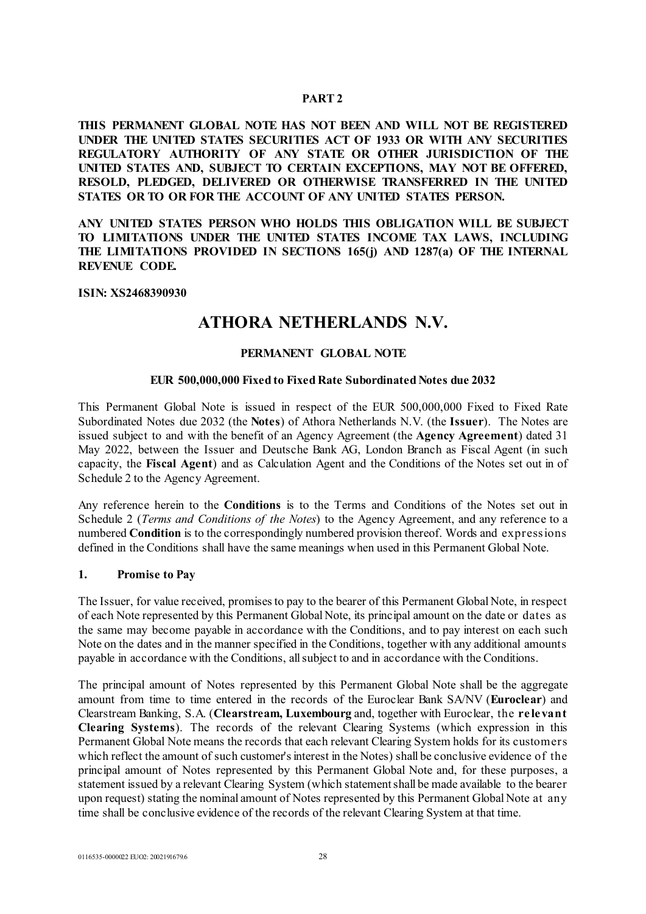### **PART 2**

**THIS PERMANENT GLOBAL NOTE HAS NOT BEEN AND WILL NOT BE REGISTERED UNDER THE UNITED STATES SECURITIES ACT OF 1933 OR WITH ANY SECURITIES REGULATORY AUTHORITY OF ANY STATE OR OTHER JURISDICTION OF THE UNITED STATES AND, SUBJECT TO CERTAIN EXCEPTIONS, MAY NOT BE OFFERED, RESOLD, PLEDGED, DELIVERED OR OTHERWISE TRANSFERRED IN THE UNITED STATES OR TO OR FOR THE ACCOUNT OF ANY UNITED STATES PERSON.** 

**ANY UNITED STATES PERSON WHO HOLDS THIS OBLIGATION WILL BE SUBJECT TO LIMITATIONS UNDER THE UNITED STATES INCOME TAX LAWS, INCLUDING THE LIMITATIONS PROVIDED IN SECTIONS 165(j) AND 1287(a) OF THE INTERNAL REVENUE CODE.**

#### **ISIN: XS2468390930**

# **ATHORA NETHERLANDS N.V.**

## **PERMANENT GLOBAL NOTE**

### **EUR 500,000,000 Fixed to Fixed Rate Subordinated Notes due 2032**

This Permanent Global Note is issued in respect of the EUR 500,000,000 Fixed to Fixed Rate Subordinated Notes due 2032 (the **Notes**) of Athora Netherlands N.V. (the **Issuer**). The Notes are issued subject to and with the benefit of an Agency Agreement (the **Agency Agreement**) dated 31 May 2022, between the Issuer and Deutsche Bank AG, London Branch as Fiscal Agent (in such capacity, the **Fiscal Agent**) and as Calculation Agent and the Conditions of the Notes set out in of Schedule 2 to the Agency Agreement.

Any reference herein to the **Conditions** is to the Terms and Conditions of the Notes set out in Schedule 2 (*Terms and Conditions of the Notes*) to the Agency Agreement, and any reference to a numbered **Condition** is to the correspondingly numbered provision thereof. Words and expressions defined in the Conditions shall have the same meanings when used in this Permanent Global Note.

#### **1. Promise to Pay**

The Issuer, for value received, promises to pay to the bearer of this Permanent Global Note, in respect of each Note represented by this Permanent Global Note, its principal amount on the date or dates as the same may become payable in accordance with the Conditions, and to pay interest on each such Note on the dates and in the manner specified in the Conditions, together with any additional amounts payable in accordance with the Conditions, all subject to and in accordance with the Conditions.

The principal amount of Notes represented by this Permanent Global Note shall be the aggregate amount from time to time entered in the records of the Euroclear Bank SA/NV (**Euroclear**) and Clearstream Banking, S.A. (**Clearstream, Luxembourg** and, together with Euroclear, the **re le vant Clearing Systems**). The records of the relevant Clearing Systems (which expression in this Permanent Global Note means the records that each relevant Clearing System holds for its customers which reflect the amount of such customer's interest in the Notes) shall be conclusive evidence of the principal amount of Notes represented by this Permanent Global Note and, for these purposes, a statement issued by a relevant Clearing System (which statement shall be made available to the bearer upon request) stating the nominal amount of Notes represented by this Permanent Global Note at any time shall be conclusive evidence of the records of the relevant Clearing System at that time.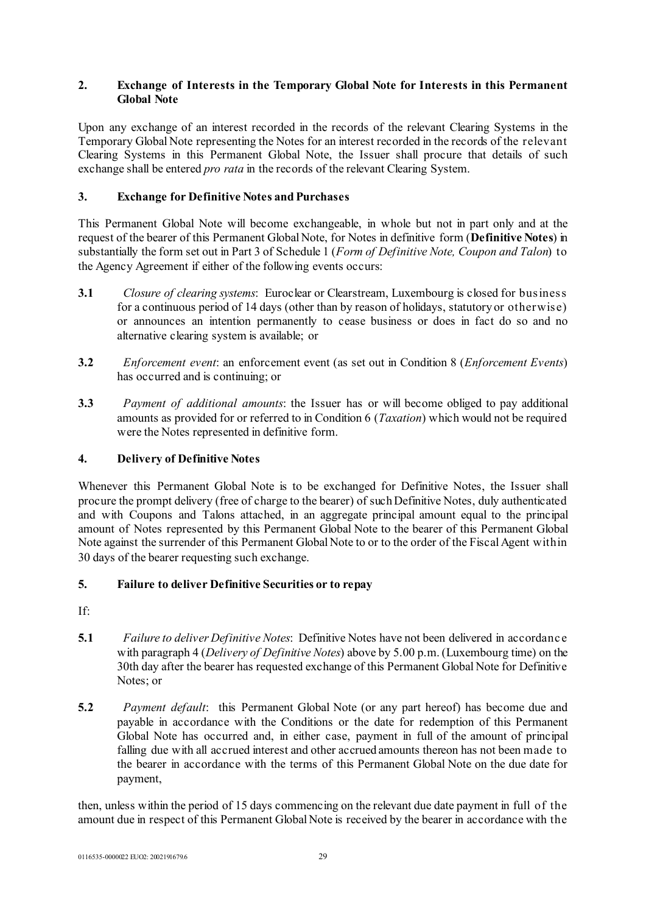# **2. Exchange of Interests in the Temporary Global Note for Interests in this Permanent Global Note**

Upon any exchange of an interest recorded in the records of the relevant Clearing Systems in the Temporary Global Note representing the Notes for an interest recorded in the records of the relevant Clearing Systems in this Permanent Global Note, the Issuer shall procure that details of such exchange shall be entered *pro rata* in the records of the relevant Clearing System.

# **3. Exchange for Definitive Notes and Purchases**

This Permanent Global Note will become exchangeable, in whole but not in part only and at the request of the bearer of this Permanent Global Note, for Notes in definitive form (**Definitive Notes**) in substantially the form set out in Part 3 of Schedule 1 (*Form of Definitive Note, Coupon and Talon*) to the Agency Agreement if either of the following events occurs:

- **3.1** *Closure of clearing systems*: Euroclear or Clearstream, Luxembourg is closed for business for a continuous period of 14 days (other than by reason of holidays, statutory or otherwise) or announces an intention permanently to cease business or does in fact do so and no alternative clearing system is available; or
- **3.2** *Enforcement event*: an enforcement event (as set out in Condition 8 (*Enforcement Events*) has occurred and is continuing; or
- **3.3** *Payment of additional amounts*: the Issuer has or will become obliged to pay additional amounts as provided for or referred to in Condition 6 (*Taxation*) which would not be required were the Notes represented in definitive form.

# **4. Delivery of Definitive Notes**

Whenever this Permanent Global Note is to be exchanged for Definitive Notes, the Issuer shall procure the prompt delivery (free of charge to the bearer) of such Definitive Notes, duly authenticated and with Coupons and Talons attached, in an aggregate principal amount equal to the principal amount of Notes represented by this Permanent Global Note to the bearer of this Permanent Global Note against the surrender of this Permanent Global Note to or to the order of the Fiscal Agent within 30 days of the bearer requesting such exchange.

### **5. Failure to deliver Definitive Securities or to repay**

- If:
- **5.1** *Failure to deliver Definitive Notes*: Definitive Notes have not been delivered in accordanc e with paragraph 4 (*Delivery of Definitive Notes*) above by 5.00 p.m. (Luxembourg time) on the 30th day after the bearer has requested exchange of this Permanent Global Note for Definitive Notes; or
- **5.2** *Payment default*: this Permanent Global Note (or any part hereof) has become due and payable in accordance with the Conditions or the date for redemption of this Permanent Global Note has occurred and, in either case, payment in full of the amount of principal falling due with all accrued interest and other accrued amounts thereon has not been made to the bearer in accordance with the terms of this Permanent Global Note on the due date for payment,

then, unless within the period of 15 days commencing on the relevant due date payment in full of the amount due in respect of this Permanent Global Note is received by the bearer in accordance with the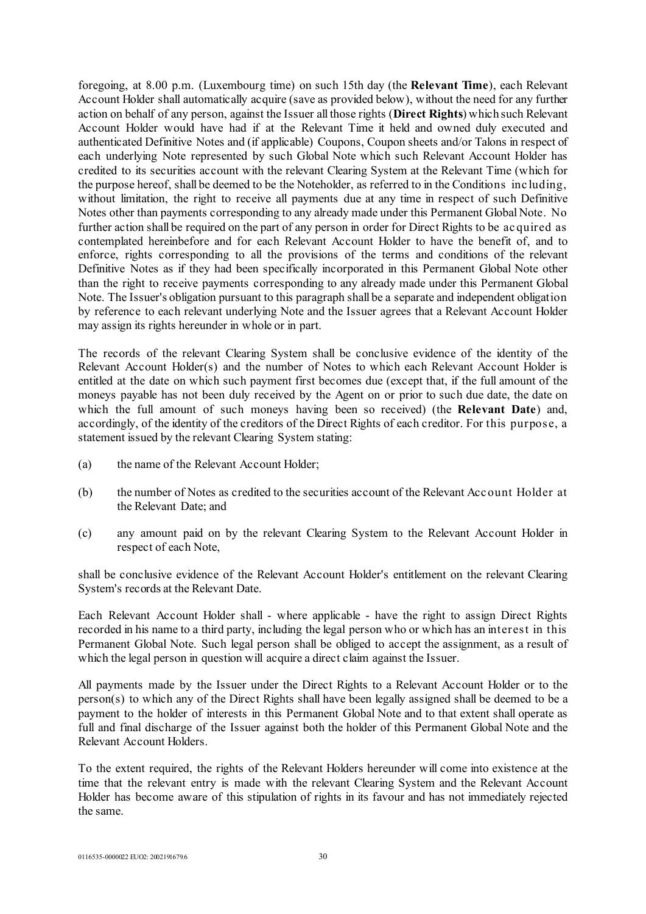foregoing, at 8.00 p.m. (Luxembourg time) on such 15th day (the **Relevant Time**), each Relevant Account Holder shall automatically acquire (save as provided below), without the need for any further action on behalf of any person, against the Issuer all those rights (**Direct Rights**) which such Relevant Account Holder would have had if at the Relevant Time it held and owned duly executed and authenticated Definitive Notes and (if applicable) Coupons, Coupon sheets and/or Talons in respect of each underlying Note represented by such Global Note which such Relevant Account Holder has credited to its securities account with the relevant Clearing System at the Relevant Time (which for the purpose hereof, shall be deemed to be the Noteholder, as referred to in the Conditions including, without limitation, the right to receive all payments due at any time in respect of such Definitive Notes other than payments corresponding to any already made under this Permanent Global Note. No further action shall be required on the part of any person in order for Direct Rights to be ac quired as contemplated hereinbefore and for each Relevant Account Holder to have the benefit of, and to enforce, rights corresponding to all the provisions of the terms and conditions of the relevant Definitive Notes as if they had been specifically incorporated in this Permanent Global Note other than the right to receive payments corresponding to any already made under this Permanent Global Note. The Issuer's obligation pursuant to this paragraph shall be a separate and independent obligation by reference to each relevant underlying Note and the Issuer agrees that a Relevant Account Holder may assign its rights hereunder in whole or in part.

The records of the relevant Clearing System shall be conclusive evidence of the identity of the Relevant Account Holder(s) and the number of Notes to which each Relevant Account Holder is entitled at the date on which such payment first becomes due (except that, if the full amount of the moneys payable has not been duly received by the Agent on or prior to such due date, the date on which the full amount of such moneys having been so received) (the **Relevant Date**) and, accordingly, of the identity of the creditors of the Direct Rights of each creditor. For this purpose, a statement issued by the relevant Clearing System stating:

- (a) the name of the Relevant Account Holder;
- (b) the number of Notes as credited to the securities account of the Relevant Acc ount Holder at the Relevant Date; and
- (c) any amount paid on by the relevant Clearing System to the Relevant Account Holder in respect of each Note,

shall be conclusive evidence of the Relevant Account Holder's entitlement on the relevant Clearing System's records at the Relevant Date.

Each Relevant Account Holder shall - where applicable - have the right to assign Direct Rights recorded in his name to a third party, including the legal person who or which has an interest in this Permanent Global Note. Such legal person shall be obliged to accept the assignment, as a result of which the legal person in question will acquire a direct claim against the Issuer.

All payments made by the Issuer under the Direct Rights to a Relevant Account Holder or to the person(s) to which any of the Direct Rights shall have been legally assigned shall be deemed to be a payment to the holder of interests in this Permanent Global Note and to that extent shall operate as full and final discharge of the Issuer against both the holder of this Permanent Global Note and the Relevant Account Holders.

To the extent required, the rights of the Relevant Holders hereunder will come into existence at the time that the relevant entry is made with the relevant Clearing System and the Relevant Account Holder has become aware of this stipulation of rights in its favour and has not immediately rejected the same.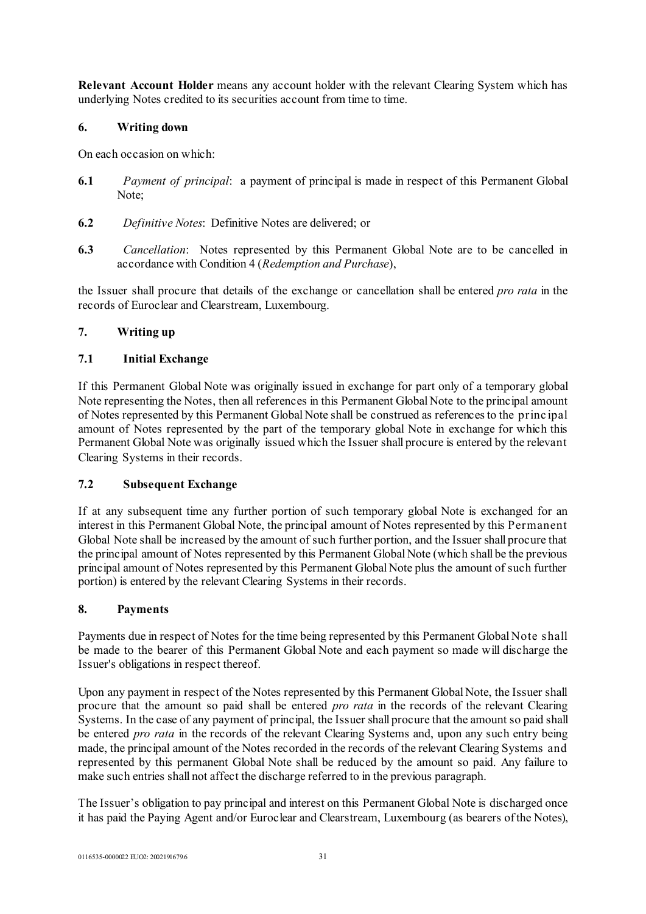**Relevant Account Holder** means any account holder with the relevant Clearing System which has underlying Notes credited to its securities account from time to time.

# **6. Writing down**

On each occasion on which:

- **6.1** *Payment of principal*: a payment of principal is made in respect of this Permanent Global Note;
- **6.2** *Definitive Notes*: Definitive Notes are delivered; or
- **6.3** *Cancellation*: Notes represented by this Permanent Global Note are to be cancelled in accordance with Condition 4 (*Redemption and Purchase*),

the Issuer shall procure that details of the exchange or cancellation shall be entered *pro rata* in the records of Euroclear and Clearstream, Luxembourg.

# **7. Writing up**

# **7.1 Initial Exchange**

If this Permanent Global Note was originally issued in exchange for part only of a temporary global Note representing the Notes, then all references in this Permanent Global Note to the principal amount of Notes represented by this Permanent Global Note shall be construed as references to the princ ipal amount of Notes represented by the part of the temporary global Note in exchange for which this Permanent Global Note was originally issued which the Issuer shall procure is entered by the relevant Clearing Systems in their records.

# **7.2 Subsequent Exchange**

If at any subsequent time any further portion of such temporary global Note is exchanged for an interest in this Permanent Global Note, the principal amount of Notes represented by this Permanent Global Note shall be increased by the amount of such further portion, and the Issuer shall procure that the principal amount of Notes represented by this Permanent Global Note (which shall be the previous principal amount of Notes represented by this Permanent Global Note plus the amount of such further portion) is entered by the relevant Clearing Systems in their records.

# **8. Payments**

Payments due in respect of Notes for the time being represented by this Permanent Global Note shall be made to the bearer of this Permanent Global Note and each payment so made will discharge the Issuer's obligations in respect thereof.

Upon any payment in respect of the Notes represented by this Permanent Global Note, the Issuer shall procure that the amount so paid shall be entered *pro rata* in the records of the relevant Clearing Systems. In the case of any payment of principal, the Issuer shall procure that the amount so paid shall be entered *pro rata* in the records of the relevant Clearing Systems and, upon any such entry being made, the principal amount of the Notes recorded in the records of the relevant Clearing Systems and represented by this permanent Global Note shall be reduced by the amount so paid. Any failure to make such entries shall not affect the discharge referred to in the previous paragraph.

The Issuer's obligation to pay principal and interest on this Permanent Global Note is discharged once it has paid the Paying Agent and/or Euroclear and Clearstream, Luxembourg (as bearers of the Notes),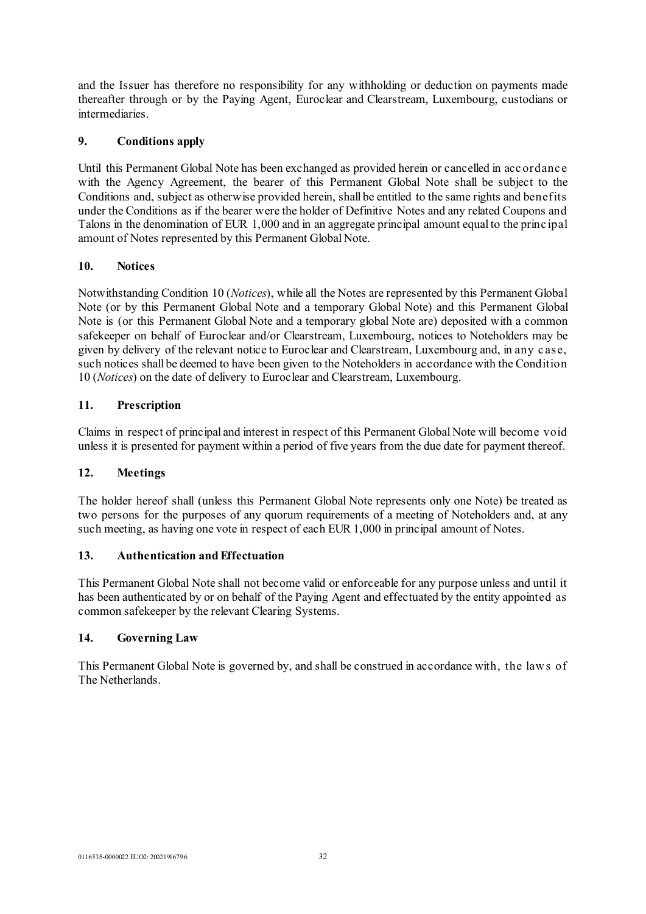and the Issuer has therefore no responsibility for any withholding or deduction on payments made thereafter through or by the Paying Agent, Euroclear and Clearstream, Luxembourg, custodians or intermediaries.

# **9. Conditions apply**

Until this Permanent Global Note has been exchanged as provided herein or cancelled in acc ordanc e with the Agency Agreement, the bearer of this Permanent Global Note shall be subject to the Conditions and, subject as otherwise provided herein, shall be entitled to the same rights and benefits under the Conditions as if the bearer were the holder of Definitive Notes and any related Coupons and Talons in the denomination of EUR 1,000 and in an aggregate principal amount equal to the princ ipal amount of Notes represented by this Permanent Global Note.

# **10. Notices**

Notwithstanding Condition 10 (*Notices*), while all the Notes are represented by this Permanent Global Note (or by this Permanent Global Note and a temporary Global Note) and this Permanent Global Note is (or this Permanent Global Note and a temporary global Note are) deposited with a common safekeeper on behalf of Euroclear and/or Clearstream, Luxembourg, notices to Noteholders may be given by delivery of the relevant notice to Euroclear and Clearstream, Luxembourg and, in any c ase, such notices shall be deemed to have been given to the Noteholders in accordance with the Condition 10 (*Notices*) on the date of delivery to Euroclear and Clearstream, Luxembourg.

# **11. Prescription**

Claims in respect of principal and interest in respect of this Permanent Global Note will become void unless it is presented for payment within a period of five years from the due date for payment thereof.

# **12. Meetings**

The holder hereof shall (unless this Permanent Global Note represents only one Note) be treated as two persons for the purposes of any quorum requirements of a meeting of Noteholders and, at any such meeting, as having one vote in respect of each EUR 1,000 in principal amount of Notes.

# **13. Authentication and Effectuation**

This Permanent Global Note shall not become valid or enforceable for any purpose unless and until it has been authenticated by or on behalf of the Paying Agent and effectuated by the entity appointed as common safekeeper by the relevant Clearing Systems.

# **14. Governing Law**

This Permanent Global Note is governed by, and shall be construed in accordance with, the law s of The Netherlands.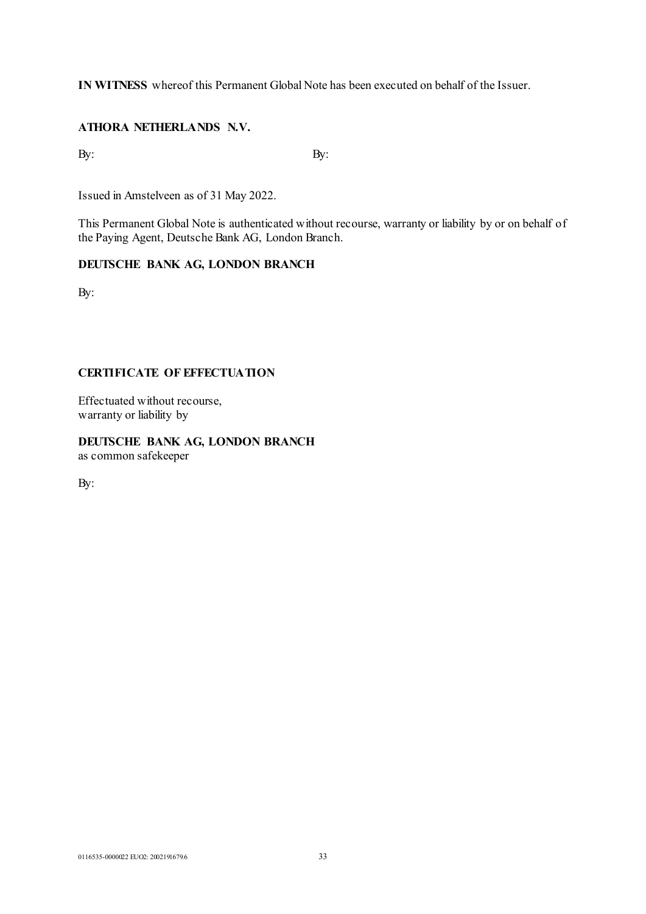**IN WITNESS** whereof this Permanent Global Note has been executed on behalf of the Issuer.

# **ATHORA NETHERLANDS N.V.**

 $\mathbf{B}$ y:  $\mathbf{B}$ y:

Issued in Amstelveen as of 31 May 2022.

This Permanent Global Note is authenticated without recourse, warranty or liability by or on behalf of the Paying Agent, Deutsche Bank AG, London Branch.

# **DEUTSCHE BANK AG, LONDON BRANCH**

By:

# **CERTIFICATE OF EFFECTUATION**

Effectuated without recourse, warranty or liability by

**DEUTSCHE BANK AG, LONDON BRANCH** as common safekeeper

By: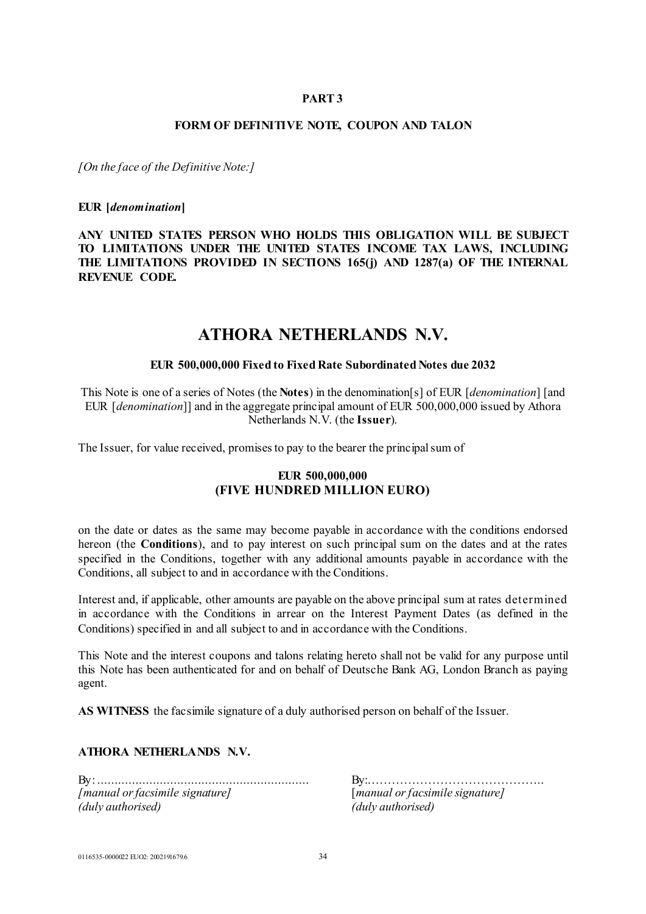## **PART 3**

#### **FORM OF DEFINITIVE NOTE, COUPON AND TALON**

*[On the face of the Definitive Note:]*

### **EUR [***denomination***]**

**ANY UNITED STATES PERSON WHO HOLDS THIS OBLIGATION WILL BE SUBJECT TO LIMITATIONS UNDER THE UNITED STATES INCOME TAX LAWS, INCLUDING THE LIMITATIONS PROVIDED IN SECTIONS 165(j) AND 1287(a) OF THE INTERNAL REVENUE CODE.**

# **ATHORA NETHERLANDS N.V.**

### **EUR 500,000,000 Fixed to Fixed Rate Subordinated Notes due 2032**

This Note is one of a series of Notes (the **Notes**) in the denomination[s] of EUR [*denomination*] [and EUR [*denomination*]] and in the aggregate principal amount of EUR 500,000,000 issued by Athora Netherlands N.V. (the **Issuer**).

The Issuer, for value received, promises to pay to the bearer the principal sum of

### **EUR 500,000,000 (FIVE HUNDRED MILLION EURO)**

on the date or dates as the same may become payable in accordance with the conditions endorsed hereon (the **Conditions**), and to pay interest on such principal sum on the dates and at the rates specified in the Conditions, together with any additional amounts payable in accordance with the Conditions, all subject to and in accordance with the Conditions.

Interest and, if applicable, other amounts are payable on the above principal sum at rates determined in accordance with the Conditions in arrear on the Interest Payment Dates (as defined in the Conditions) specified in and all subject to and in accordance with the Conditions.

This Note and the interest coupons and talons relating hereto shall not be valid for any purpose until this Note has been authenticated for and on behalf of Deutsche Bank AG, London Branch as paying agent.

**AS WITNESS** the facsimile signature of a duly authorised person on behalf of the Issuer.

### **ATHORA NETHERLANDS N.V.**

By: ............................................................. By:…………………………………….. *[manual or facsimile signature]*...................... [*manual or facsimile signature] (duly authorised) (duly authorised)*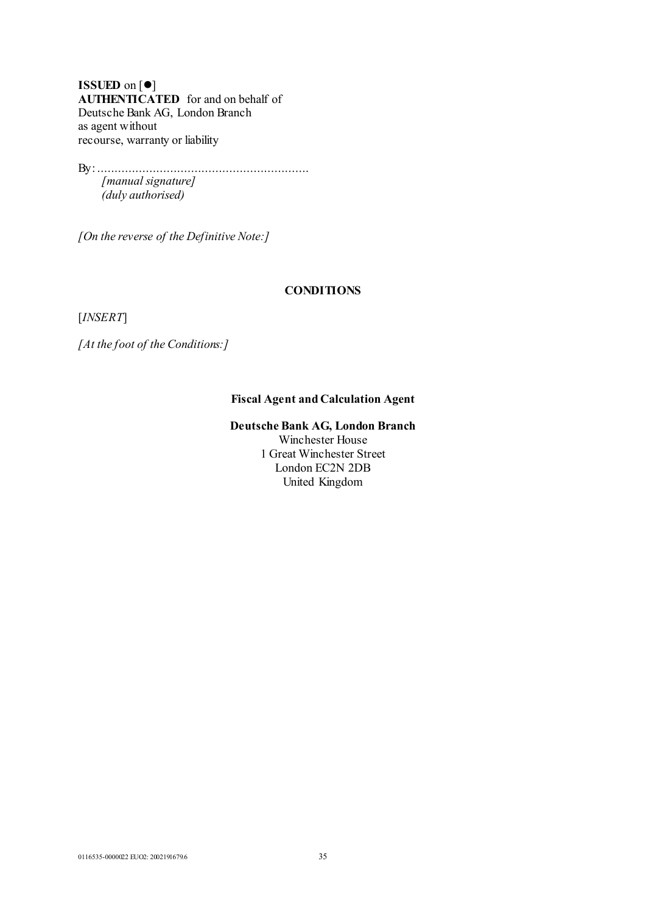**ISSUED** on [ $\bullet$ ] **AUTHENTICATED** for and on behalf of Deutsche Bank AG, London Branch as agent without recourse, warranty or liability

By: ............................................................. *[manual signature] (duly authorised)*

*[On the reverse of the Definitive Note:]*

### **CONDITIONS**

[*INSERT*]

*[At the foot of the Conditions:]*

# **Fiscal Agent and Calculation Agent**

# **Deutsche Bank AG, London Branch**

Winchester House 1 Great Winchester Street London EC2N 2DB United Kingdom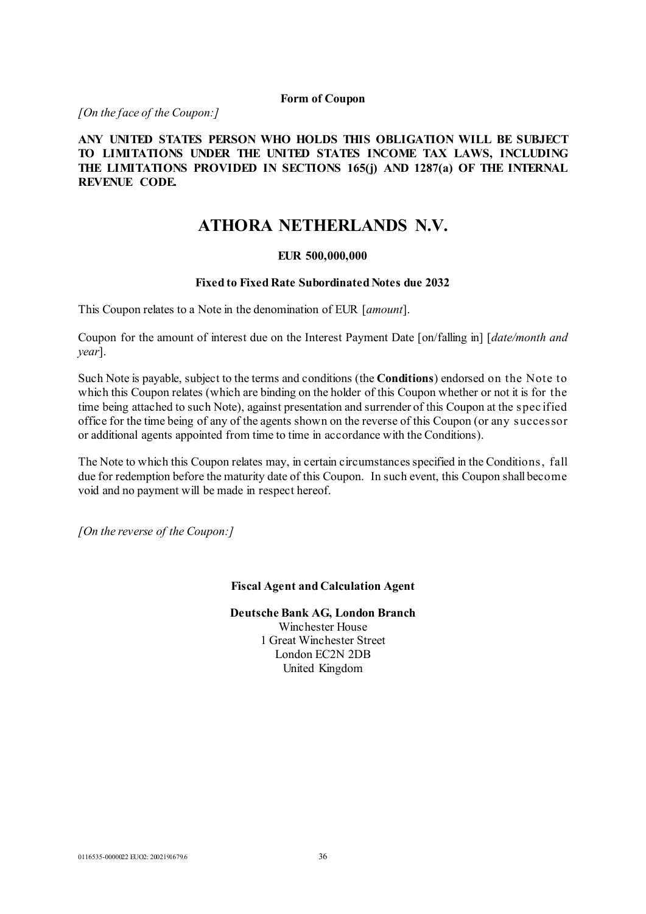### **Form of Coupon**

*[On the face of the Coupon:]*

# **ANY UNITED STATES PERSON WHO HOLDS THIS OBLIGATION WILL BE SUBJECT TO LIMITATIONS UNDER THE UNITED STATES INCOME TAX LAWS, INCLUDING THE LIMITATIONS PROVIDED IN SECTIONS 165(j) AND 1287(a) OF THE INTERNAL REVENUE CODE.**

# **ATHORA NETHERLANDS N.V.**

# **EUR 500,000,000**

### **Fixed to Fixed Rate Subordinated Notes due 2032**

This Coupon relates to a Note in the denomination of EUR [*amount*].

Coupon for the amount of interest due on the Interest Payment Date [on/falling in] [*date/month and year*].

Such Note is payable, subject to the terms and conditions (the **Conditions**) endorsed on the Note to which this Coupon relates (which are binding on the holder of this Coupon whether or not it is for the time being attached to such Note), against presentation and surrender of this Coupon at the spec ified office for the time being of any of the agents shown on the reverse of this Coupon (or any successor or additional agents appointed from time to time in accordance with the Conditions).

The Note to which this Coupon relates may, in certain circumstances specified in the Conditions, fall due for redemption before the maturity date of this Coupon. In such event, this Coupon shall become void and no payment will be made in respect hereof.

*[On the reverse of the Coupon:]*

### **Fiscal Agent and Calculation Agent**

**Deutsche Bank AG, London Branch** Winchester House

1 Great Winchester Street London EC2N 2DB United Kingdom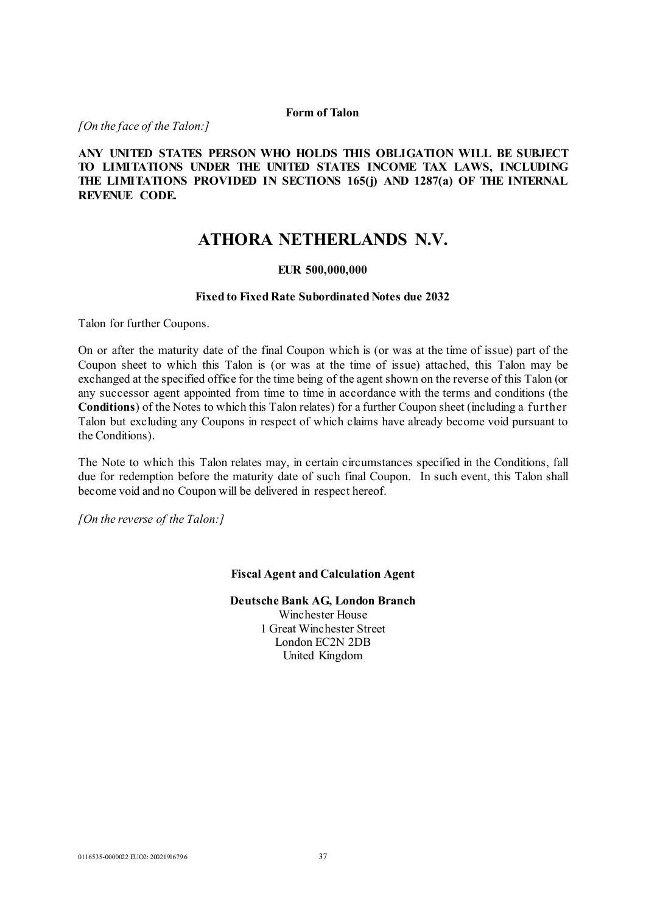### **Form of Talon**

*[On the face of the Talon:]*

**ANY UNITED STATES PERSON WHO HOLDS THIS OBLIGATION WILL BE SUBJECT TO LIMITATIONS UNDER THE UNITED STATES INCOME TAX LAWS, INCLUDING THE LIMITATIONS PROVIDED IN SECTIONS 165(j) AND 1287(a) OF THE INTERNAL REVENUE CODE.**

# **ATHORA NETHERLANDS N.V.**

# **EUR 500,000,000**

#### **Fixed to Fixed Rate Subordinated Notes due 2032**

Talon for further Coupons.

On or after the maturity date of the final Coupon which is (or was at the time of issue) part of the Coupon sheet to which this Talon is (or was at the time of issue) attached, this Talon may be exchanged at the specified office for the time being of the agent shown on the reverse of this Talon (or any successor agent appointed from time to time in accordance with the terms and conditions (the **Conditions**) of the Notes to which this Talon relates) for a further Coupon sheet (including a further Talon but excluding any Coupons in respect of which claims have already become void pursuant to the Conditions).

The Note to which this Talon relates may, in certain circumstances specified in the Conditions, fall due for redemption before the maturity date of such final Coupon. In such event, this Talon shall become void and no Coupon will be delivered in respect hereof.

*[On the reverse of the Talon:]*

#### **Fiscal Agent and Calculation Agent**

**Deutsche Bank AG, London Branch** Winchester House 1 Great Winchester Street London EC2N 2DB United Kingdom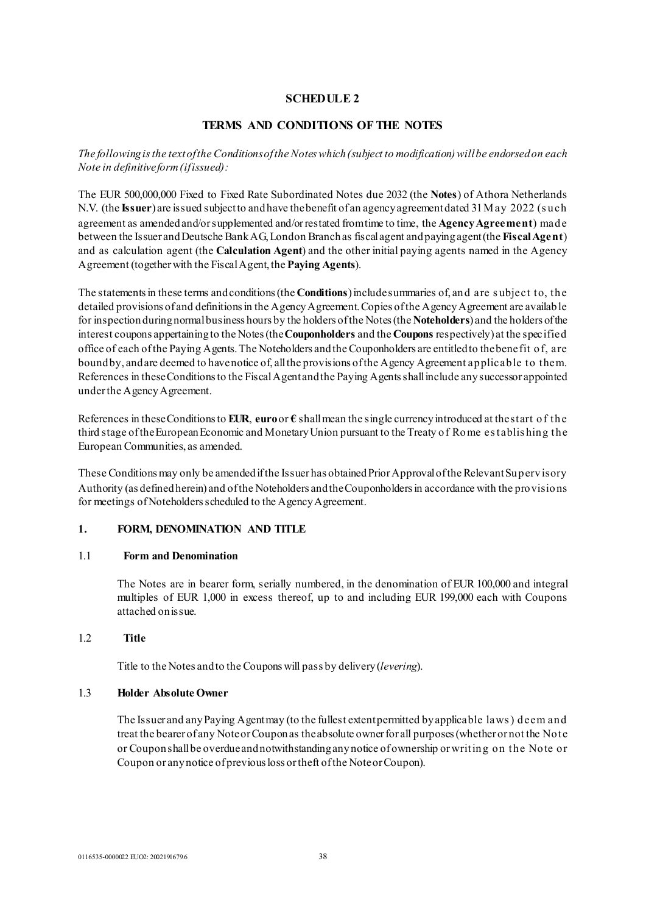# **SCHEDULE 2**

### **TERMS AND CONDITIONS OF THE NOTES**

*The following is the text of the Conditions of the Notes which (subject to modification) will be endorsed on each Note in definitive form (if issued):*

The EUR 500,000,000 Fixed to Fixed Rate Subordinated Notes due 2032 (the **Notes**) of Athora Netherlands N.V. (the **Issuer**) are issued subject to and have the benefit of an agency agreement dated 31 May 2022 (such agreement as amended and/or supplemented and/or restated from time to time, the **Agency Agreement**) made between the Issuer and Deutsche Bank AG, London Branchas fiscal agent and paying agent (the **Fiscal Agent**) and as calculation agent (the **Calculation Agent**) and the other initial paying agents named in the Agency Agreement (together with the Fiscal Agent, the **Paying Agents**).

The statements in these terms and conditions (the **Conditions**) include summaries of, and are s ubject to, the detailed provisions of and definitions in the Agency Agreement. Copies of the Agency Agreement are available for inspection during normalbusiness hours by the holders of the Notes (the **Noteholders**) and the holders of the interest coupons appertaining to the Notes (the **Couponholders** and the **Coupons** respectively) at the specified office of each of the Paying Agents. The Noteholders and the Couponholders are entitled to the benefit of, are bound by, and are deemed to have notice of, all the provisions of the Agency Agreement applicable to them. References in these Conditions to the Fiscal Agent and the Paying Agents shall include any successor appointed under the Agency Agreement.

References in these Conditions to **EUR**, **euro** or  $\epsilon$  shall mean the single currency introduced at the start of the third stage of the European Economic and Monetary Union pursuant to the Treaty of Rome es tablis hing the European Communities, as amended.

These Conditions may only be amended if the Issuer has obtained Prior Approval of the Relevant Supervisory Authority (as defined herein) and of the Noteholders and the Couponholders in accordance with the provisions for meetings of Noteholders scheduled to the Agency Agreement.

### **1. FORM, DENOMINATION AND TITLE**

### 1.1 **Form and Denomination**

The Notes are in bearer form, serially numbered, in the denomination of EUR 100,000 and integral multiples of EUR 1,000 in excess thereof, up to and including EUR 199,000 each with Coupons attached on issue.

### 1.2 **Title**

Title to the Notes and to the Coupons will pass by delivery (*levering*).

#### 1.3 **Holder Absolute Owner**

The Issuer and any Paying Agent may (to the fullest extent permitted by applicable laws ) deem and treat the bearer of any Note or Coupon as the absolute owner for all purposes (whether or not the Note or Coupon shall be overdue and notwithstanding any notice of ownership or writing on the Note or Coupon or any notice of previous loss or theft of the Note or Coupon).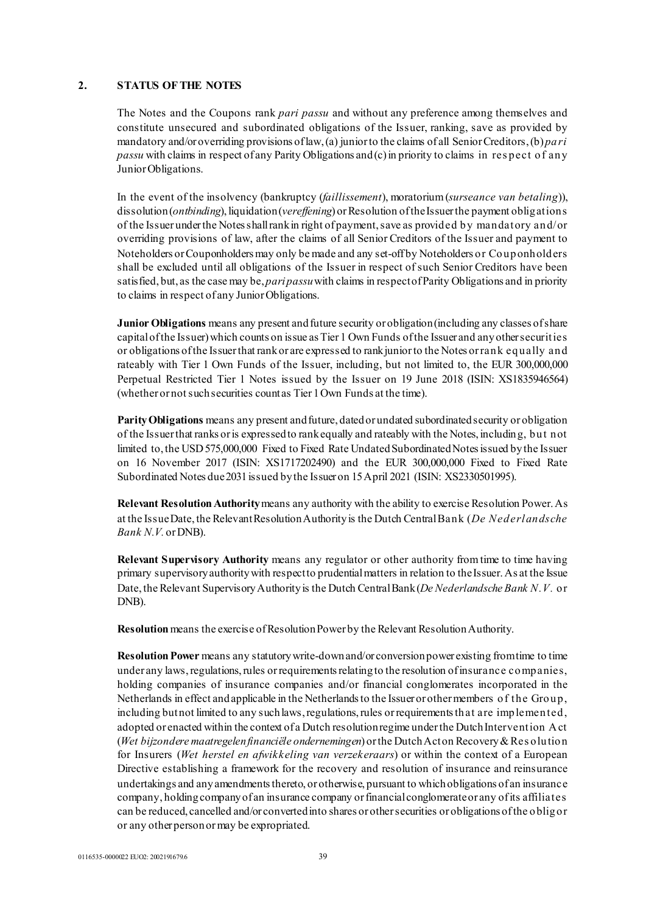#### **2. STATUS OF THE NOTES**

The Notes and the Coupons rank *pari passu* and without any preference among themselves and constitute unsecured and subordinated obligations of the Issuer, ranking, save as provided by mandatory and/or overriding provisions of law, (a) junior to the claims of all Senior Creditors, (b) *pari passu* with claims in respect of any Parity Obligations and (c) in priority to claims in res pect of any Junior Obligations.

In the event of the insolvency (bankruptcy (*faillissement*), moratorium (*surseance van betaling*)), dissolution (*ontbinding*), liquidation (*vereffening*) or Resolution of the Issuer the payment obligations of the Issuer under the Notes shall rank in right of payment, save as provided by mandatory and/or overriding provisions of law, after the claims of all Senior Creditors of the Issuer and payment to Noteholders or Couponholders may only be made and any set-off by Noteholders or Couponholders shall be excluded until all obligations of the Issuer in respect of such Senior Creditors have been satisfied, but, as the case may be, *pari passu*with claims in respect of Parity Obligations and in priority to claims in respect of any Junior Obligations.

**Junior Obligations** means any present and future security or obligation (including any classes of share capital of the Issuer) which counts on issue as Tier 1 Own Funds of the Issuer and any other securities or obligations of the Issuer that rank or are expressed to rank junior to the Notes or rank equally and rateably with Tier 1 Own Funds of the Issuer, including, but not limited to, the EUR 300,000,000 Perpetual Restricted Tier 1 Notes issued by the Issuer on 19 June 2018 (ISIN: XS1835946564) (whether or not such securities count as Tier 1 Own Funds at the time).

**Parity Obligations** means any present and future, dated or undated subordinated security or obligation of the Issuer that ranks or is expressed to rank equally and rateably with the Notes, including, but not limited to, the USD 575,000,000 Fixed to Fixed Rate Undated Subordinated Notes issued by the Issuer on 16 November 2017 (ISIN: XS1717202490) and the EUR 300,000,000 Fixed to Fixed Rate Subordinated Notes due 2031 issued by the Issuer on 15 April 2021 (ISIN: XS2330501995).

**Relevant Resolution Authority**means any authority with the ability to exercise Resolution Power. As at the Issue Date, the Relevant Resolution Authority is the Dutch Central Bank (*De Nederlandsche Bank N.V.* or DNB).

**Relevant Supervisory Authority** means any regulator or other authority from time to time having primary supervisory authority with respect to prudential matters in relation to the Issuer. As at the Issue Date, the Relevant Supervisory Authority is the Dutch Central Bank (*De Nederlandsche Bank N.V.* or DNB).

**Resolution**means the exercise of Resolution Power by the Relevant Resolution Authority.

**Resolution Power** means any statutory write-down and/or conversion power existing from time to time under any laws, regulations, rules or requirements relating to the resolution of insurance companies, holding companies of insurance companies and/or financial conglomerates incorporated in the Netherlands in effect and applicable in the Netherlands to the Issuer or other members of the Group, including but not limited to any such laws, regulations, rules or requirements that are implemented, adopted or enacted within the context of a Dutch resolution regime under the Dutch Intervention Act (*Wet bijzondere maatregelen financiële ondernemingen*) or the Dutch Act on Recovery & Res olution for Insurers (*Wet herstel en afwikkeling van verzekeraars*) or within the context of a European Directive establishing a framework for the recovery and resolution of insurance and reinsurance undertakings and any amendments thereto, or otherwise, pursuant to which obligations of an insurance company, holding company of an insurance company or financial conglomerate or any of its affiliates can be reduced, cancelled and/or converted into shares or other securities or obligations of the obligor or any other person or may be expropriated.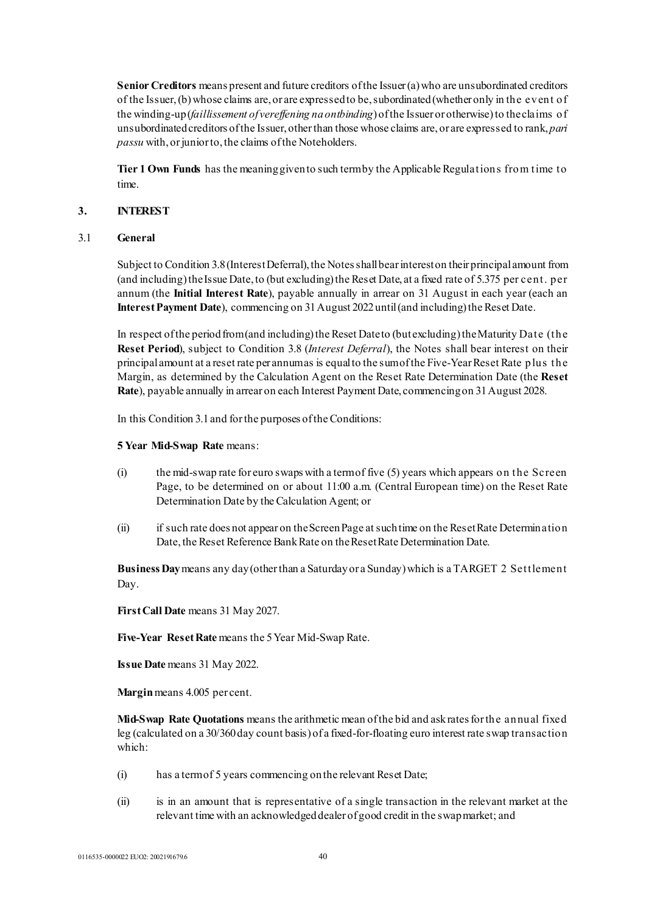**Senior Creditors** means present and future creditors of the Issuer (a) who are unsubordinated creditors of the Issuer,(b) whose claims are, or are expressed to be, subordinated (whether only in the event of the winding-up (*faillissement of vereffening na ontbinding*) of the Issuer or otherwise) to the claims of unsubordinated creditors of the Issuer, other than those whose claims are, or are expressed to rank, *pari passu* with, or junior to, the claims of the Noteholders.

**Tier 1 Own Funds** has the meaning given to such term by the Applicable Regulations from time to time.

#### **3. INTEREST**

#### 3.1 **General**

Subject to Condition 3.8(Interest Deferral), the Notes shall bear interest on their principal amount from (and including) the Issue Date, to (but excluding) the Reset Date, at a fixed rate of 5.375 per cent. per annum (the **Initial Interest Rate**), payable annually in arrear on 31 August in each year (each an **Interest Payment Date**), commencing on 31 August 2022until (and including) the Reset Date.

In respect of the period from (and including) the Reset Date to (but excluding) the Maturity Date (the **Reset Period**), subject to Condition 3.8 (*Interest Deferral*), the Notes shall bear interest on their principal amount at a reset rate per annum as is equal to the sum of the Five-Year Reset Rate plus the Margin, as determined by the Calculation Agent on the Reset Rate Determination Date (the **Reset Rate**), payable annually in arrear on each Interest Payment Date, commencing on 31 August 2028.

In this Condition 3.1 and for the purposes of the Conditions:

#### **5 Year Mid-Swap Rate** means:

- (i) the mid-swap rate for euro swaps with a term of five (5) years which appears on the Screen Page, to be determined on or about 11:00 a.m. (Central European time) on the Reset Rate Determination Date by the Calculation Agent; or
- (ii) if such rate does not appear on the Screen Page at such time on the Reset Rate Determination Date, the Reset Reference Bank Rate on the Reset Rate Determination Date.

**Business Day**means any day (other than a Saturday or a Sunday) which is a TARGET 2 Settlement Day.

**First Call Date** means 31 May 2027.

**Five-Year Reset Rate** means the 5 Year Mid-Swap Rate.

**Issue Date** means 31 May 2022.

**Margin**means 4.005 per cent.

**Mid-Swap Rate Quotations** means the arithmetic mean of the bid and ask rates for the annual fixed leg (calculated on a 30/360 day count basis) of a fixed-for-floating euro interest rate swap transaction which:

- (i) has a term of 5 years commencing on the relevant Reset Date;
- (ii) is in an amount that is representative of a single transaction in the relevant market at the relevant time with an acknowledged dealer of good credit in the swap market; and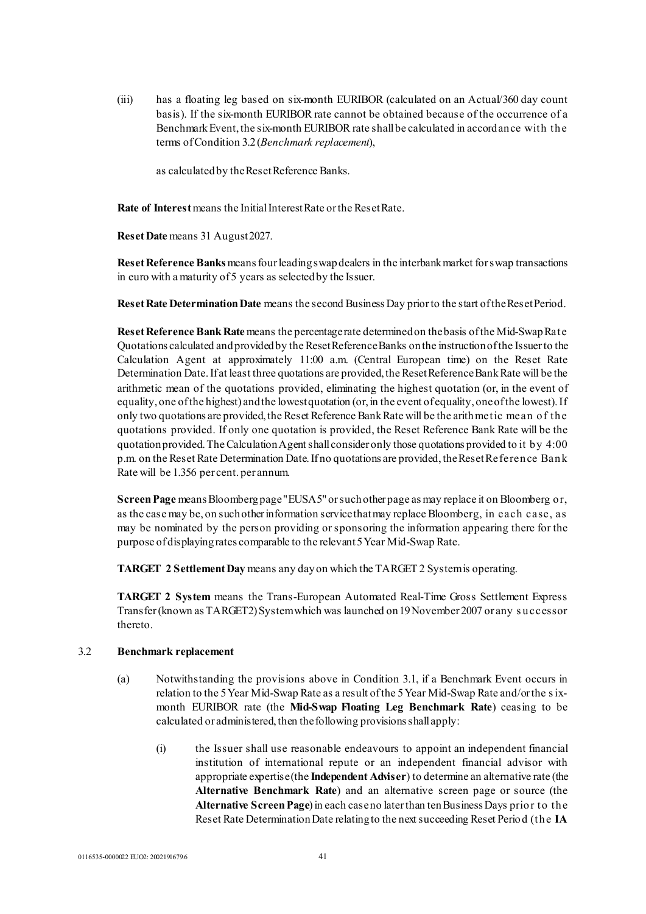(iii) has a floating leg based on six-month EURIBOR (calculated on an Actual/360 day count basis). If the six-month EURIBOR rate cannot be obtained because of the occurrence of a Benchmark Event, the six-month EURIBOR rate shall be calculated in accordance with the terms of Condition 3.2(*Benchmark replacement*),

as calculated by the Reset Reference Banks.

**Rate of Interest**means the Initial Interest Rate or the Reset Rate.

**Reset Date** means 31 August 2027.

**Reset Reference Banks**means four leading swap dealers in the interbank market for swap transactions in euro with a maturity of 5 years as selected by the Issuer.

**Reset Rate Determination Date** means the second Business Day prior to the start of the Reset Period.

**Reset Reference Bank Rate** means the percentage rate determined on the basis of the Mid-Swap Rate Quotations calculated and provided by the Reset Reference Banks on the instruction of the Issuer to the Calculation Agent at approximately 11:00 a.m. (Central European time) on the Reset Rate Determination Date. If at least three quotations are provided, the Reset Reference Bank Rate will be the arithmetic mean of the quotations provided, eliminating the highest quotation (or, in the event of equality, one of the highest) and the lowest quotation (or, in the event of equality, one of the lowest). If only two quotations are provided, the Reset Reference Bank Rate will be the arithmetic mean of the quotations provided. If only one quotation is provided, the Reset Reference Bank Rate will be the quotation provided. The Calculation Agent shall consider only those quotations provided to it by 4:00 p.m. on the Reset Rate Determination Date. If no quotations are provided, the Reset Reference Bank Rate will be 1.356 per cent. per annum.

**Screen Page** means Bloomberg page"EUSA5" or such other page as may replace it on Bloomberg or, as the case may be, on such other information service that may replace Bloomberg, in each case, as may be nominated by the person providing or sponsoring the information appearing there for the purpose of displaying rates comparable to the relevant 5 Year Mid-Swap Rate.

**TARGET 2 Settlement Day** means any day on which the TARGET 2 System is operating.

**TARGET 2 System** means the Trans-European Automated Real-Time Gross Settlement Express Transfer (known as TARGET2) System which was launched on 19 November 2007 or any s uccessor thereto.

#### 3.2 **Benchmark replacement**

- (a) Notwithstanding the provisions above in Condition 3.1, if a Benchmark Event occurs in relation to the 5 Year Mid-Swap Rate as a result of the 5 Year Mid-Swap Rate and/or the s ixmonth EURIBOR rate (the **Mid-Swap Floating Leg Benchmark Rate**) ceasing to be calculated or administered, then the following provisions shall apply:
	- (i) the Issuer shall use reasonable endeavours to appoint an independent financial institution of international repute or an independent financial advisor with appropriate expertise (the **Independent Adviser**) to determine an alternative rate (the **Alternative Benchmark Rate**) and an alternative screen page or source (the **Alternative Screen Page**) in each case no later than tenBusiness Days prior to the Reset Rate Determination Date relating to the next succeeding Reset Period (the **IA**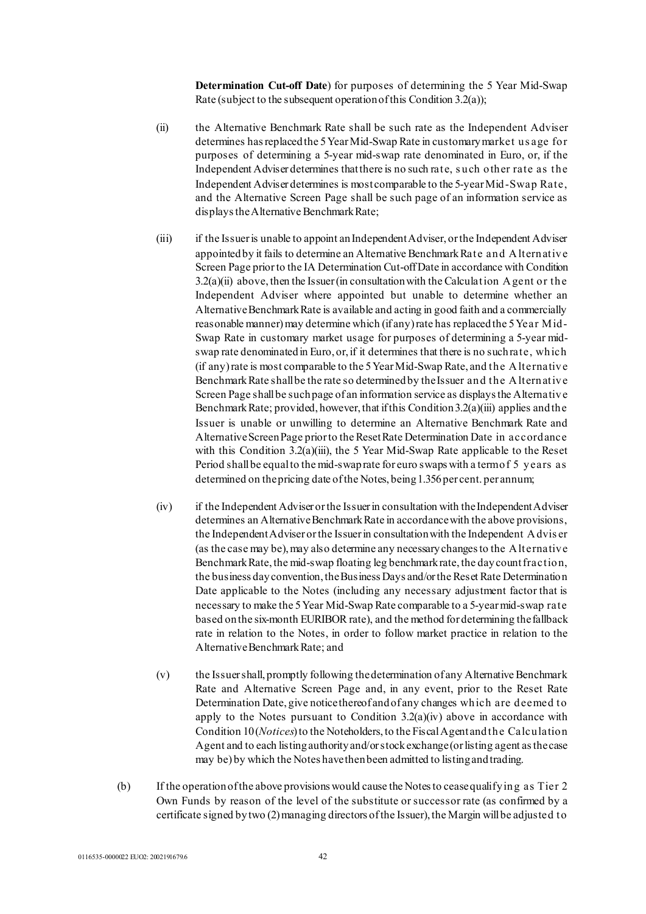**Determination Cut-off Date**) for purposes of determining the 5 Year Mid-Swap Rate (subject to the subsequent operation of this Condition 3.2(a));

- (ii) the Alternative Benchmark Rate shall be such rate as the Independent Adviser determines has replaced the 5 Year Mid-Swap Rate in customary market us age for purposes of determining a 5-year mid-swap rate denominated in Euro, or, if the Independent Adviser determines that there is no such rate, s uch other rate as the Independent Adviser determines is most comparable to the 5-year Mid-Swap Rate, and the Alternative Screen Page shall be such page of an information service as displays the Alternative Benchmark Rate;
- (iii) if the Issuer is unable to appoint an Independent Adviser, or the Independent Adviser appointed by it fails to determine an Alternative Benchmark Rate and Alternative Screen Page prior to the IA Determination Cut-off Date in accordance with Condition  $3.2(a)(ii)$  above, then the Issuer (in consultation with the Calculation Agent or the Independent Adviser where appointed but unable to determine whether an Alternative Benchmark Rate is available and acting in good faith and a commercially reasonable manner) may determine which (if any) rate has replaced the 5 Year Mid-Swap Rate in customary market usage for purposes of determining a 5-year midswap rate denominated in Euro, or, if it determines that there is no such rate, which (if any) rate is most comparable to the 5 Year Mid-Swap Rate, and the Alternative Benchmark Rate shall be the rate so determined by the Issuer and the Alternative Screen Page shall be such page of an information service as displays the Alternative Benchmark Rate; provided, however, that if this Condition 3.2(a)(iii) applies and the Issuer is unable or unwilling to determine an Alternative Benchmark Rate and Alternative Screen Page prior to the Reset Rate Determination Date in accordance with this Condition 3.2(a)(iii), the 5 Year Mid-Swap Rate applicable to the Reset Period shall be equal to the mid-swap rate for euro swaps with a term of 5 years as determined on the pricing date of the Notes, being 1.356 per cent. per annum;
- (iv) if the Independent Adviser or the Issuer in consultation with the Independent Adviser determines an Alternative Benchmark Rate in accordance with the above provisions, the Independent Adviser or the Issuer in consultation with the Independent Advis er (as the case may be), may also determine any necessary changes to the Alternative Benchmark Rate, the mid-swap floating leg benchmark rate, the day count fraction, the business day convention, the Business Days and/or the Reset Rate Determination Date applicable to the Notes (including any necessary adjustment factor that is necessary to make the 5 Year Mid-Swap Rate comparable to a 5-year mid-swap rate based on the six-month EURIBOR rate), and the method for determining the fallback rate in relation to the Notes, in order to follow market practice in relation to the Alternative Benchmark Rate; and
- (v) the Issuer shall, promptly following the determination of any Alternative Benchmark Rate and Alternative Screen Page and, in any event, prior to the Reset Rate Determination Date, give notice thereof and of any changes which are deemed to apply to the Notes pursuant to Condition  $3.2(a)(iv)$  above in accordance with Condition 10 (*Notices*) to the Noteholders, to the Fiscal Agent and the Calculation Agent and to each listing authority and/or stock exchange (or listing agent as the case may be) by which the Notes have then been admitted to listing and trading.
- (b) If the operation of the above provisions would cause the Notes to cease qualifying as Tier 2 Own Funds by reason of the level of the substitute or successor rate (as confirmed by a certificate signed by two (2) managing directors of the Issuer), the Margin will be adjusted to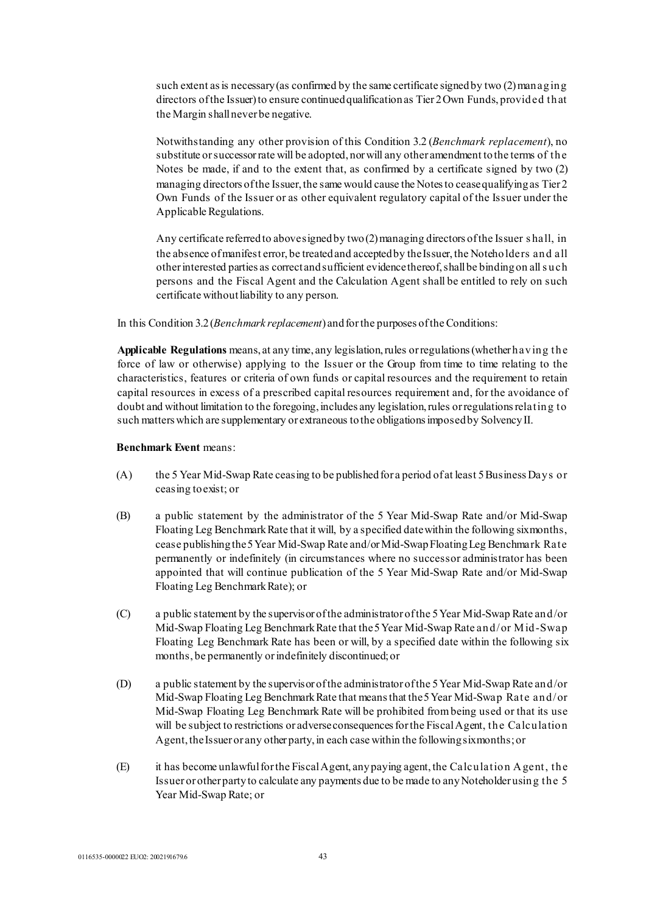such extent as is necessary (as confirmed by the same certificate signed by two (2) managing directors of the Issuer) to ensure continued qualification as Tier 2 Own Funds, provided that the Margin shall never be negative.

Notwithstanding any other provision of this Condition 3.2 (*Benchmark replacement*), no substitute or successor rate will be adopted, nor will any other amendment to the terms of the Notes be made, if and to the extent that, as confirmed by a certificate signed by two (2) managing directors of the Issuer, the same would cause the Notes to cease qualifying as Tier 2 Own Funds of the Issuer or as other equivalent regulatory capital of the Issuer under the Applicable Regulations.

Any certificate referred to above signed by two (2) managing directors of the Issuer s hall, in the absence of manifest error, be treated and accepted by the Issuer, the Noteholders and all other interested parties as correct and sufficient evidence thereof, shall be binding on all s uch persons and the Fiscal Agent and the Calculation Agent shall be entitled to rely on such certificate without liability to any person.

In this Condition 3.2 (*Benchmark replacement*) and for the purposes of the Conditions:

**Applicable Regulations** means, at any time, any legislation, rules or regulations (whether having the force of law or otherwise) applying to the Issuer or the Group from time to time relating to the characteristics, features or criteria of own funds or capital resources and the requirement to retain capital resources in excess of a prescribed capital resources requirement and, for the avoidance of doubt and without limitation to the foregoing, includes any legislation, rules or regulations relating to such matters which are supplementary or extraneous to the obligations imposed by Solvency II.

#### **Benchmark Event** means:

- (A) the 5 Year Mid-Swap Rate ceasing to be published for a period of at least 5 Business Days or ceasing to exist; or
- (B) a public statement by the administrator of the 5 Year Mid-Swap Rate and/or Mid-Swap Floating Leg Benchmark Rate that it will, by a specified date within the following six months, cease publishing the 5Year Mid-Swap Rate and/or Mid-Swap Floating Leg Benchmark Rate permanently or indefinitely (in circumstances where no successor administrator has been appointed that will continue publication of the 5 Year Mid-Swap Rate and/or Mid-Swap Floating Leg Benchmark Rate); or
- (C) a public statement by the supervisor of the administrator of the 5 Year Mid-Swap Rate and/or Mid-Swap Floating Leg Benchmark Rate that the 5 Year Mid-Swap Rate and/or Mid-Swap Floating Leg Benchmark Rate has been or will, by a specified date within the following six months, be permanently or indefinitely discontinued; or
- (D) a public statement by the supervisor of the administrator of the 5 Year Mid-Swap Rate and/or Mid-Swap Floating Leg Benchmark Rate that means that the 5 Year Mid-Swap Rate and/or Mid-Swap Floating Leg Benchmark Rate will be prohibited from being used or that its use will be subject to restrictions or adverse consequences for the Fiscal Agent, the Calculation Agent, the Issuer or any other party, in each case within the following six months; or
- (E) it has become unlawful for the Fiscal Agent, any paying agent, the Calculation Agent, the Issuer or other party to calculate any payments due to be made to any Noteholder using the 5 Year Mid-Swap Rate; or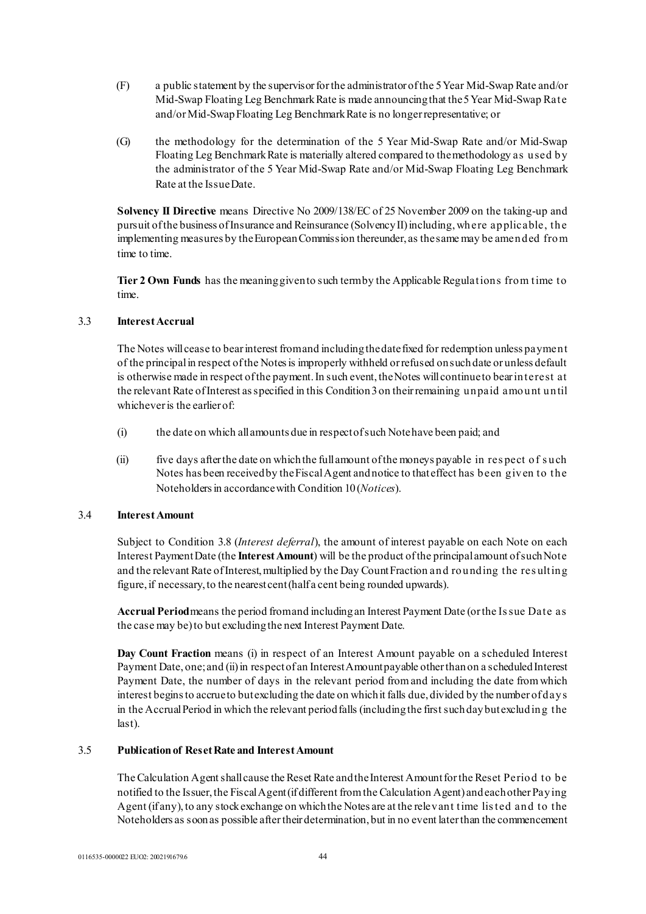- (F) a public statement by the supervisor for the administrator of the 5 Year Mid-Swap Rate and/or Mid-Swap Floating Leg Benchmark Rate is made announcing that the 5 Year Mid-Swap Rate and/or Mid-Swap Floating Leg Benchmark Rate is no longer representative; or
- (G) the methodology for the determination of the 5 Year Mid-Swap Rate and/or Mid-Swap Floating Leg Benchmark Rate is materially altered compared to the methodology as used by the administrator of the 5 Year Mid-Swap Rate and/or Mid-Swap Floating Leg Benchmark Rate at the Issue Date.

**Solvency II Directive** means Directive No 2009/138/EC of 25 November 2009 on the taking-up and pursuit of the business of Insurance and Reinsurance (Solvency II) including, where applicable, the implementing measures by the European Commission thereunder, as the same may be amended from time to time.

**Tier 2 Own Funds** has the meaning given to such term by the Applicable Regulations from time to time.

### 3.3 **Interest Accrual**

The Notes will cease to bear interest from and including the date fixed for redemption unless payment of the principal in respect of the Notes is improperly withheld or refused on such date or unless default is otherwise made in respect of the payment. In such event, the Notes will continue to bear interest at the relevant Rate of Interest as specified in this Condition 3 on their remaining unpaid amount until whichever is the earlier of:

- (i) the date on which all amounts due in respect of such Note have been paid; and
- (ii) five days after the date on which the full amount of the moneys payable in res pect of s uch Notes has been received by the Fiscal Agent and notice to that effect has been given to the Noteholders in accordance with Condition 10(*Notices*).

#### 3.4 **Interest Amount**

Subject to Condition 3.8 (*Interest deferral*), the amount of interest payable on each Note on each Interest Payment Date (the **Interest Amount**) will be the product of the principal amount of such Note and the relevant Rate of Interest, multiplied by the Day Count Fraction and rounding the res ulting figure, if necessary, to the nearest cent (half a cent being rounded upwards).

**Accrual Period**means the period from and including an Interest Payment Date (or the Is sue Date as the case may be) to but excluding the next Interest Payment Date.

**Day Count Fraction** means (i) in respect of an Interest Amount payable on a scheduled Interest Payment Date, one; and (ii) in respect of an Interest Amount payable other than on a scheduled Interest Payment Date, the number of days in the relevant period from and including the date from which interest begins to accrue to but excluding the date on which it falls due, divided by the number of days in the Accrual Period in which the relevant period falls (including the first such day but excluding the last).

### 3.5 **Publication of Reset Rate and Interest Amount**

The Calculation Agent shall cause the Reset Rate and the Interest Amount for the Reset Period to be notified to the Issuer, the Fiscal Agent (if different from the Calculation Agent) and each other Paying Agent (if any), to any stock exchange on which the Notes are at the relevant time lis ted and to the Noteholders as soon as possible after their determination, but in no event later than the commencement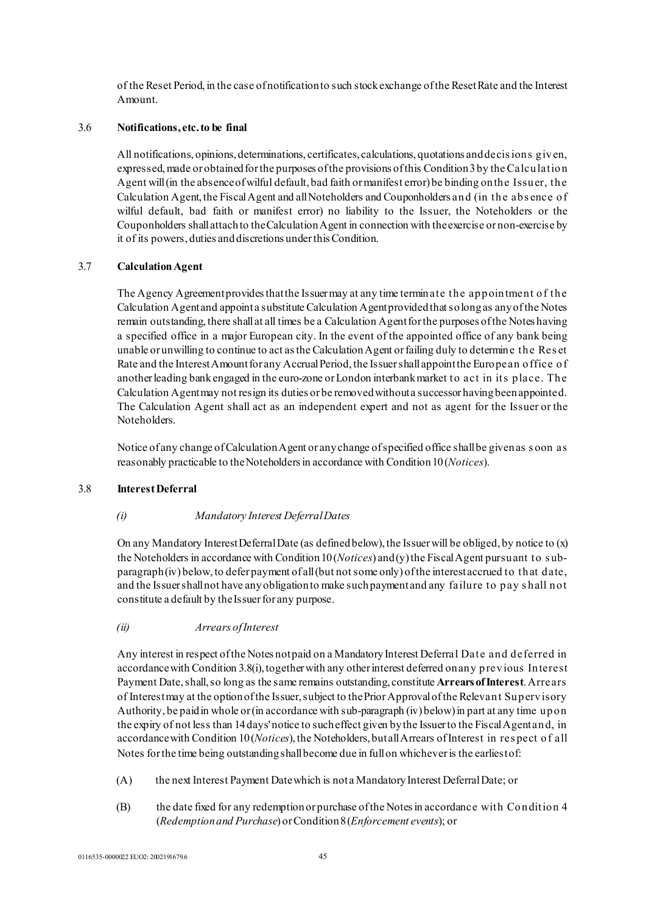of the Reset Period, in the case of notification to such stock exchange of the Reset Rate and the Interest Amount.

### 3.6 **Notifications, etc. to be final**

All notifications, opinions, determinations, certificates, calculations, quotations and decis ions given, expressed, made or obtained for the purposes of the provisions of this Condition 3 by the Calculation Agent will (in the absence of wilful default, bad faith or manifest error) be binding on the Issuer, the Calculation Agent, the Fiscal Agent and all Noteholders and Couponholders and (in the abs ence of wilful default, bad faith or manifest error) no liability to the Issuer, the Noteholders or the Couponholders shall attach to the Calculation Agent in connection with the exercise or non-exercise by it of its powers, duties and discretions under this Condition.

### 3.7 **Calculation Agent**

The Agency Agreement provides that the Issuer may at any time terminate the appointment of the Calculation Agent and appoint a substitute Calculation Agent provided that so long as any of the Notes remain outstanding, there shall at all times be a Calculation Agent for the purposes of the Notes having a specified office in a major European city. In the event of the appointed office of any bank being unable or unwilling to continue to act as the Calculation Agent or failing duly to determine the Res et Rate and the Interest Amount for any Accrual Period, the Issuer shall appoint the European office of another leading bank engaged in the euro-zone or London interbank market to act in its place. The Calculation Agent may not resign its duties or be removed without a successor having been appointed. The Calculation Agent shall act as an independent expert and not as agent for the Issuer or the Noteholders.

Notice of any change of Calculation Agent or any change of specified office shall be given as s oon as reasonably practicable to the Noteholders in accordance with Condition10(*Notices*).

#### 3.8 **Interest Deferral**

### *(i) Mandatory Interest Deferral Dates*

On any Mandatory Interest Deferral Date (as defined below), the Issuer will be obliged, by notice to (x) the Noteholders in accordance with Condition 10 (*Notices*) and (y) the Fiscal Agent pursuant to s ubparagraph (iv) below, to defer payment of all (but not some only) of the interest accrued to that date, and the Issuer shall not have any obligation to make such payment and any failure to pay s hall not constitute a default by the Issuer for any purpose.

### *(ii) Arrears of Interest*

Any interest in respect of the Notes not paid on a Mandatory Interest Deferral Date and deferred in accordance with Condition 3.8(i), together with any other interest deferred on any previous Interest Payment Date, shall, so long as the same remains outstanding, constitute **Arrears of Interest**. Arrears of Interest may at the option of the Issuer, subject to the Prior Approval of the Relevant Supervisory Authority, be paid in whole or (in accordance with sub-paragraph (iv) below) in part at any time upon the expiry of not less than 14 days' notice to such effect given by the Issuer to the Fiscal Agent and, in accordance with Condition 10(*Notices*), the Noteholders, but all Arrears of Interest in res pect of all Notes for the time being outstanding shall become due in full on whichever is the earliest of:

- (A) the next Interest Payment Date which is not a Mandatory Interest Deferral Date; or
- (B) the date fixed for any redemption or purchase of the Notes in accordance with Condition 4 (*Redemptionand Purchase*) or Condition 8(*Enforcement events*); or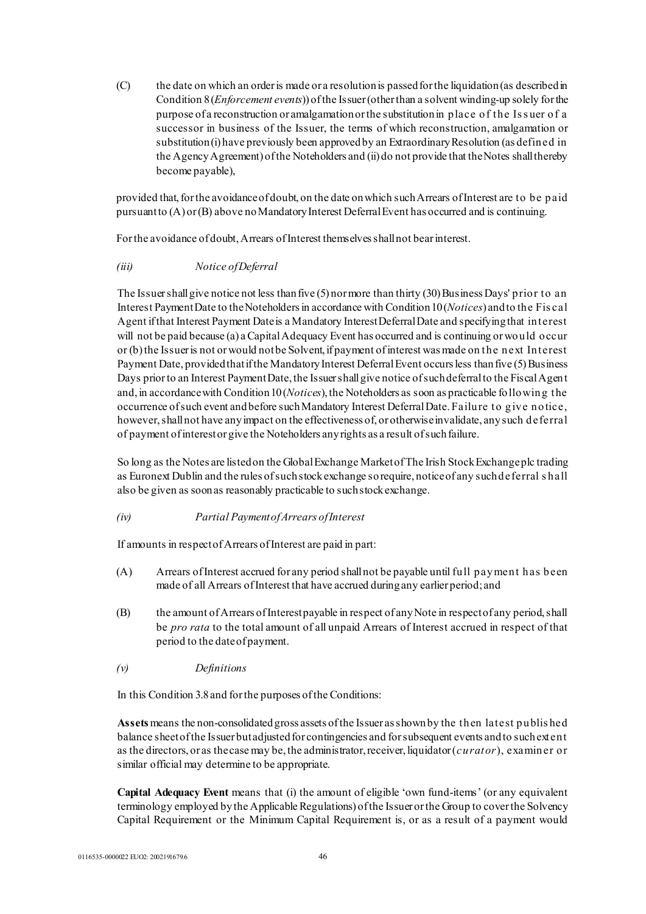(C) the date on which an order is made or a resolution is passed for the liquidation (as described in Condition 8(*Enforcement events*)) of the Issuer (other than a solvent winding-up solely for the purpose of a reconstruction or amalgamation or the substitution in place of the Is s uer of a successor in business of the Issuer, the terms of which reconstruction, amalgamation or substitution (i) have previously been approved by an Extraordinary Resolution (as defined in the Agency Agreement) of the Noteholders and (ii) do not provide that the Notes shall thereby become payable),

provided that, for the avoidance of doubt, on the date on which such Arrears of Interest are to be paid pursuant to (A) or (B) above no Mandatory Interest Deferral Event has occurred and is continuing.

For the avoidance of doubt, Arrears of Interest themselves shall not bear interest.

### *(iii) Notice of Deferral*

The Issuer shall give notice not less than five (5) nor more than thirty (30) Business Days' prior to an Interest Payment Date to the Noteholders in accordance with Condition 10 (*Notices*) and to the Fis cal Agent if that Interest Payment Date is a Mandatory Interest Deferral Date and specifying that interest will not be paid because (a) a Capital Adequacy Event has occurred and is continuing or would occur or (b) the Issuer is not or would not be Solvent, if payment of interest was made on the next Interest Payment Date, provided that if the Mandatory Interest Deferral Event occurs less than five (5) Business Days prior to an Interest Payment Date, the Issuer shall give notice of such deferral to the Fiscal Agent and, in accordance with Condition 10(*Notices*), the Noteholders as soon as practicable following the occurrence of such event and before such Mandatory Interest Deferral Date. Failure to give notice, however, shall not have any impact on the effectiveness of, or otherwise invalidate, any such deferral of payment of interest or give the Noteholders any rights as a result of such failure.

So long as the Notes are listed on the Global Exchange Market of The Irish Stock Exchange plc trading as Euronext Dublin and the rules of such stock exchange so require, notice of any such deferral s hall also be given as soon as reasonably practicable to such stock exchange.

*(iv) Partial Payment of Arrears of Interest* 

If amounts in respect of Arrears of Interest are paid in part:

- (A) Arrears of Interest accrued for any period shall not be payable until full payment has been made of all Arrears of Interest that have accrued during any earlier period; and
- (B) the amount of Arrears of Interest payable in respect of any Note in respect of any period, shall be *pro rata* to the total amount of all unpaid Arrears of Interest accrued in respect of that period to the date of payment.
- *(v) Definitions*

In this Condition 3.8 and for the purposes of the Conditions:

**Assets**means the non-consolidated gross assets of the Issuer as shown by the then latest published balance sheet of the Issuer but adjusted for contingencies and for subsequent events and to such extent as the directors, or as the case may be, the administrator, receiver, liquidator (*curator*), examiner or similar official may determine to be appropriate.

**Capital Adequacy Event** means that (i) the amount of eligible 'own fund-items' (or any equivalent terminology employed by the Applicable Regulations) of the Issuer or the Group to cover the Solvency Capital Requirement or the Minimum Capital Requirement is, or as a result of a payment would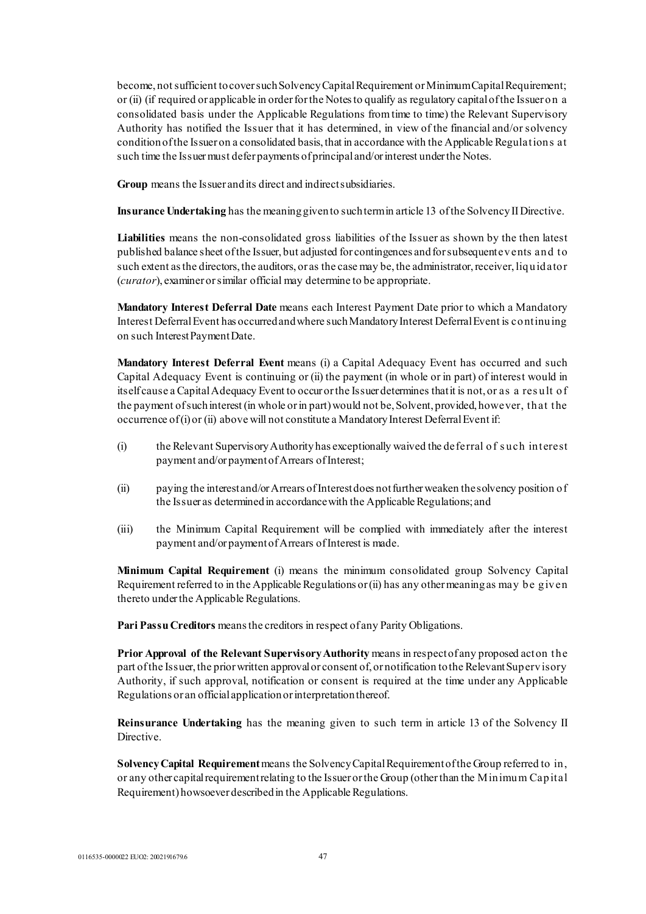become, not sufficient to cover such Solvency Capital Requirement or Minimum Capital Requirement; or (ii) (if required or applicable in order for the Notes to qualify as regulatory capital of the Issuer on a consolidated basis under the Applicable Regulations from time to time) the Relevant Supervisory Authority has notified the Issuer that it has determined, in view of the financial and/or solvency condition of the Issuer on a consolidated basis, that in accordance with the Applicable Regulations at such time the Issuer must defer payments of principal and/or interest under the Notes.

**Group** means the Issuer and its direct and indirect subsidiaries.

**Insurance Undertaking** has the meaning given to such term in article 13 of the Solvency II Directive.

**Liabilities** means the non-consolidated gross liabilities of the Issuer as shown by the then latest published balance sheet of the Issuer, but adjusted for contingences and for subsequent events and to such extent as the directors, the auditors, or as the case may be, the administrator, receiver, liquidator (*curator*), examiner or similar official may determine to be appropriate.

**Mandatory Interest Deferral Date** means each Interest Payment Date prior to which a Mandatory Interest Deferral Event has occurred and where such Mandatory Interest Deferral Event is continuing on such Interest Payment Date.

**Mandatory Interest Deferral Event** means (i) a Capital Adequacy Event has occurred and such Capital Adequacy Event is continuing or (ii) the payment (in whole or in part) of interest would in itself cause a Capital Adequacy Event to occur or the Issuer determines that it is not, or as a result of the payment of such interest (in whole or in part) would not be, Solvent, provided, however, that the occurrence of (i) or (ii) above will not constitute a Mandatory Interest Deferral Event if:

- (i) the Relevant Supervisory Authority has exceptionally waived the deferral of s uch interest payment and/or payment of Arrears of Interest;
- (ii) paying the interest and/or Arrears of Interest does not further weaken the solvency position of the Issuer as determined in accordance with the Applicable Regulations; and
- (iii) the Minimum Capital Requirement will be complied with immediately after the interest payment and/or payment of Arrears of Interest is made.

**Minimum Capital Requirement** (i) means the minimum consolidated group Solvency Capital Requirement referred to in the Applicable Regulations or (ii) has any other meaning as may be given thereto under the Applicable Regulations.

**Pari Passu Creditors** means the creditors in respect of any Parity Obligations.

**Prior Approval of the Relevant Supervisory Authority means in respect of any proposed act on the** part of the Issuer, the prior written approval or consent of, or notification to the Relevant Supervisory Authority, if such approval, notification or consent is required at the time under any Applicable Regulations or an official application or interpretation thereof.

**Reinsurance Undertaking** has the meaning given to such term in article 13 of the Solvency II Directive.

**Solvency Capital Requirement**means the Solvency Capital Requirement of the Group referred to in, or any other capital requirement relating to the Issuer or the Group (other than the Minimum Capital Requirement) howsoever described in the Applicable Regulations.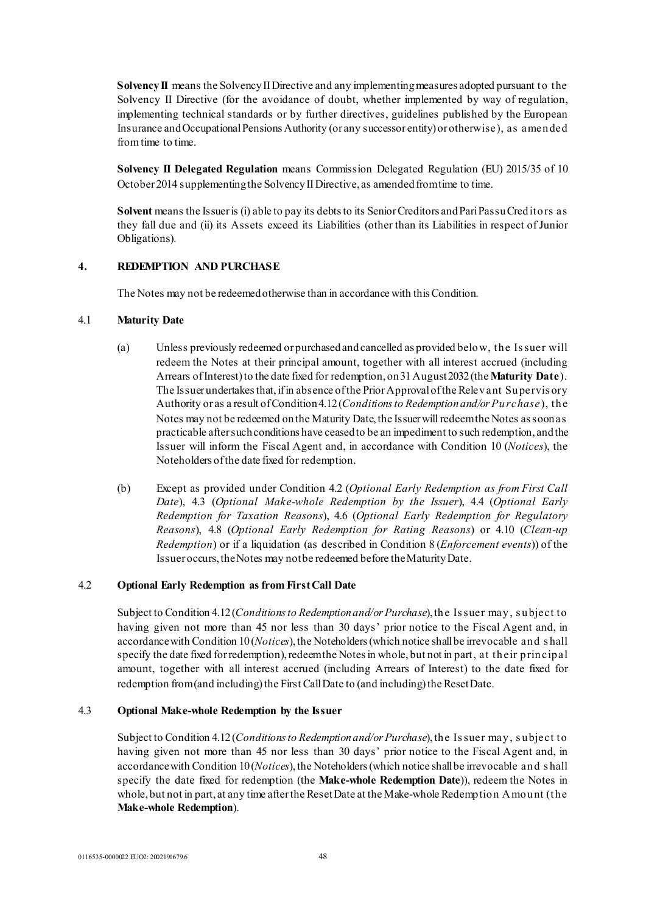**Solvency II** means the Solvency II Directive and any implementing measures adopted pursuant to the Solvency II Directive (for the avoidance of doubt, whether implemented by way of regulation, implementing technical standards or by further directives, guidelines published by the European Insurance and Occupational Pensions Authority (or any successor entity) or otherwise), as amended from time to time.

**Solvency II Delegated Regulation** means Commission Delegated Regulation (EU) 2015/35 of 10 October 2014 supplementing the Solvency II Directive, as amended from time to time.

**Solvent** means the Issuer is (i) able to pay its debts to its Senior Creditors and Pari Passu Creditors as they fall due and (ii) its Assets exceed its Liabilities (other than its Liabilities in respect of Junior Obligations).

### **4. REDEMPTION AND PURCHASE**

The Notes may not be redeemed otherwise than in accordance with this Condition.

### 4.1 **Maturity Date**

- (a) Unless previously redeemed or purchased and cancelled as provided below, the Is suer will redeem the Notes at their principal amount, together with all interest accrued (including Arrears of Interest) to the date fixed for redemption, on 31 August2032(the **Maturity Date**). The Issuer undertakes that, if in absence of the Prior Approval of the Relevant Supervis ory Authority or as a result of Condition 4.12(*Conditionsto Redemption and/or Purchase*), the Notes may not be redeemed on the Maturity Date, the Issuer will redeem the Notes as soon as practicable after such conditions have ceased to be an impediment to such redemption, and the Issuer will inform the Fiscal Agent and, in accordance with Condition 10 (*Notices*), the Noteholders of the date fixed for redemption.
- (b) Except as provided under Condition 4.2 (*Optional Early Redemption as from First Call Date*), 4.3 (*Optional Make-whole Redemption by the Issuer*), 4.4 (*Optional Early Redemption for Taxation Reasons*), 4.6 (*Optional Early Redemption for Regulatory Reasons*), 4.8 (*Optional Early Redemption for Rating Reasons*) or 4.10 (*Clean-up Redemption*) or if a liquidation (as described in Condition 8 (*Enforcement events*)) of the Issuer occurs, the Notes may not be redeemed before the Maturity Date.

#### 4.2 **Optional Early Redemption as from First Call Date**

Subject to Condition 4.12(*Conditionsto Redemption and/or Purchase*), the Is suer may, s ubject to having given not more than 45 nor less than 30 days' prior notice to the Fiscal Agent and, in accordance with Condition 10(*Notices*), the Noteholders (which notice shall be irrevocable and s hall specify the date fixed for redemption), redeem the Notes in whole, but not in part, at their principal amount, together with all interest accrued (including Arrears of Interest) to the date fixed for redemption from (and including) the First Call Date to (and including) the Reset Date.

### 4.3 **Optional Make-whole Redemption by the Issuer**

Subject to Condition 4.12(*Conditionsto Redemption and/or Purchase*), the Is suer may, s ubject to having given not more than 45 nor less than 30 days' prior notice to the Fiscal Agent and, in accordance with Condition 10(*Notices*), the Noteholders (which notice shall be irrevocable and s hall specify the date fixed for redemption (the **Make-whole Redemption Date**)), redeem the Notes in whole, but not in part, at any time after the Reset Date at the Make-whole Redemption Amount (the **Make-whole Redemption**).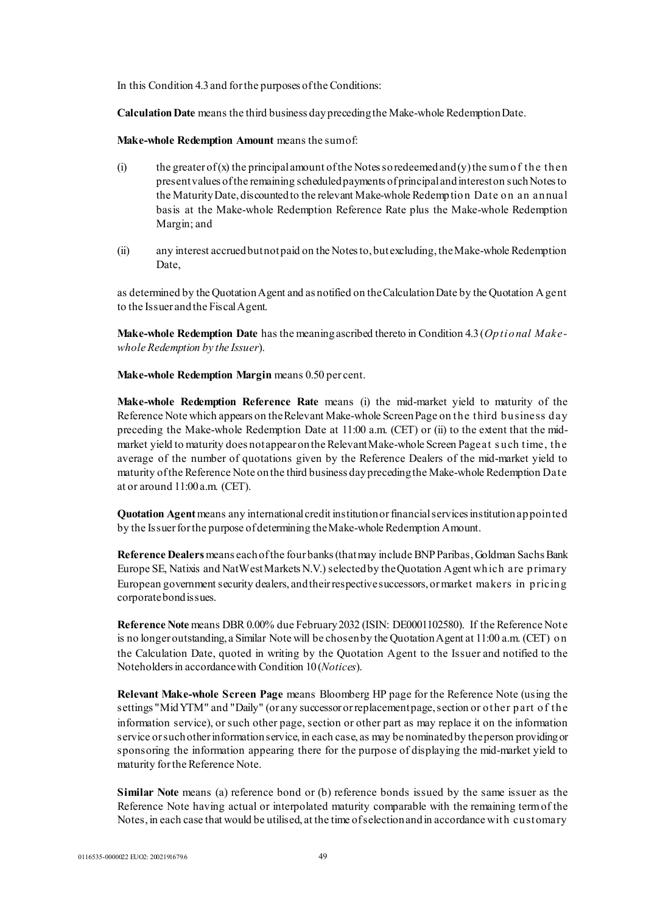In this Condition 4.3 and for the purposes of the Conditions:

**Calculation Date** means the third business day preceding the Make-whole Redemption Date.

**Make-whole Redemption Amount** means the sum of:

- (i) the greater of (x) the principal amount of the Notes so redeemed and (y) the sum of the then present values of the remaining scheduled payments of principal and interest on such Notes to the Maturity Date, discounted to the relevant Make-whole Redemption Date on an annual basis at the Make-whole Redemption Reference Rate plus the Make-whole Redemption Margin; and
- (ii) any interest accrued but not paid on the Notes to, but excluding, the Make-whole Redemption Date,

as determined by the Quotation Agent and as notified on the Calculation Date by the Quotation Agent to the Issuer and the Fiscal Agent.

**Make-whole Redemption Date** has the meaning ascribed thereto in Condition 4.3 (*Optional Makewhole Redemption by the Issuer*).

**Make-whole Redemption Margin** means 0.50 per cent.

**Make-whole Redemption Reference Rate** means (i) the mid-market yield to maturity of the Reference Note which appears on the Relevant Make-whole Screen Page on the third business day preceding the Make-whole Redemption Date at 11:00 a.m. (CET) or (ii) to the extent that the midmarket yield to maturity does not appear on the Relevant Make-whole Screen Page at s uch time, the average of the number of quotations given by the Reference Dealers of the mid-market yield to maturity of the Reference Note on the third business day preceding the Make-whole Redemption Date at or around 11:00 a.m. (CET).

**Quotation Agent**means any international credit institution or financial services institution appointed by the Issuer for the purpose of determining the Make-whole Redemption Amount.

**Reference Dealers**means each of the four banks (that may include BNP Paribas, Goldman Sachs Bank Europe SE, Natixis and NatWest Markets N.V.) selected by the Quotation Agent which are primary European government security dealers, and their respective successors, or market makers in pricing corporate bond issues.

**Reference Note** means DBR 0.00% due February2032 (ISIN: DE0001102580). If the Reference Note is no longer outstanding, a Similar Note will be chosen by the Quotation Agent at 11:00 a.m. (CET) on the Calculation Date, quoted in writing by the Quotation Agent to the Issuer and notified to the Noteholders in accordance with Condition 10(*Notices*).

**Relevant Make-whole Screen Page** means Bloomberg HP page for the Reference Note (using the settings "Mid YTM" and "Daily" (or any successor or replacement page, section or other part of the information service), or such other page, section or other part as may replace it on the information service or such other information service, in each case, as may be nominated by the person providing or sponsoring the information appearing there for the purpose of displaying the mid-market yield to maturity for the Reference Note.

**Similar Note** means (a) reference bond or (b) reference bonds issued by the same issuer as the Reference Note having actual or interpolated maturity comparable with the remaining term of the Notes, in each case that would be utilised, at the time of selection and in accordance with customary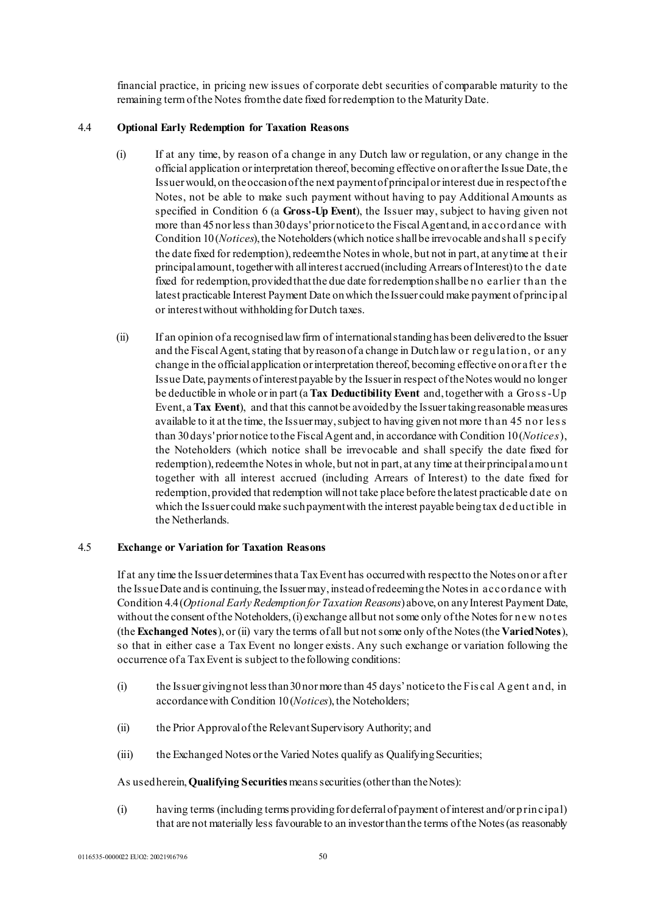financial practice, in pricing new issues of corporate debt securities of comparable maturity to the remaining term of the Notes from the date fixed for redemption to the Maturity Date.

### 4.4 **Optional Early Redemption for Taxation Reasons**

- (i) If at any time, by reason of a change in any Dutch law or regulation, or any change in the official application or interpretation thereof, becoming effective on or after the Issue Date, the Issuer would, on the occasion of the next payment of principal or interest due in respect of the Notes, not be able to make such payment without having to pay Additional Amounts as specified in Condition 6 (a **Gross-Up Event**), the Issuer may, subject to having given not more than 45 nor less than 30 days' prior notice to the Fiscal Agent and, in accordance with Condition 10(*Notices*), the Noteholders (which notice shall be irrevocable and shall s pecify the date fixed for redemption), redeem the Notes in whole, but not in part, at any time at their principal amount, together with all interest accrued (including Arrears of Interest) to the date fixed for redemption, provided that the due date for redemption shall be no earlier than the latest practicable Interest Payment Date on which the Issuer could make payment of principal or interest without withholding for Dutch taxes.
- (ii) If an opinion of a recognised law firm of international standing has been delivered to the Issuer and the Fiscal Agent, stating that by reason of a change in Dutch law or regulation, or any change in the official application or interpretation thereof, becoming effective on or after the Issue Date, payments of interest payable by the Issuer in respect of the Notes would no longer be deductible in whole or in part (a **Tax Deductibility Event** and, together with a Gros s-Up Event, a **Tax Event**), and that this cannot be avoided by the Issuer taking reasonable measures available to it at the time, the Issuer may, subject to having given not more than 45 nor les s than 30 days' prior notice to the Fiscal Agent and, in accordance with Condition 10(*Notices*), the Noteholders (which notice shall be irrevocable and shall specify the date fixed for redemption), redeem the Notes in whole, but not in part, at any time at their principal amount together with all interest accrued (including Arrears of Interest) to the date fixed for redemption, provided that redemption will not take place before the latest practicable date on which the Issuer could make such payment with the interest payable being tax deductible in the Netherlands.

#### 4.5 **Exchange or Variation for Taxation Reasons**

If at any time the Issuer determines that a Tax Event has occurred with respect to the Notes on or after the Issue Date and is continuing, the Issuer may, instead of redeeming the Notes in accordance with Condition 4.4 (*Optional Early Redemption for Taxation Reasons*) above, on any Interest Payment Date, without the consent of the Noteholders, (i) exchange all but not some only of the Notes for new notes (the **Exchanged Notes**), or (ii) vary the terms of all but not some only of the Notes (the **Varied Notes**), so that in either case a Tax Event no longer exists. Any such exchange or variation following the occurrence of a Tax Event is subject to the following conditions:

- (i) the Issuer giving not less than 30 nor more than 45 days' notice to the Fis cal Agent and, in accordance with Condition 10(*Notices*), the Noteholders;
- (ii) the Prior Approval of the Relevant Supervisory Authority; and
- (iii) the Exchanged Notes or the Varied Notes qualify as Qualifying Securities;

As used herein, **Qualifying Securities** means securities (other than the Notes):

(i) having terms (including terms providing for deferral of payment of interest and/or principal) that are not materially less favourable to an investor than the terms of the Notes (as reasonably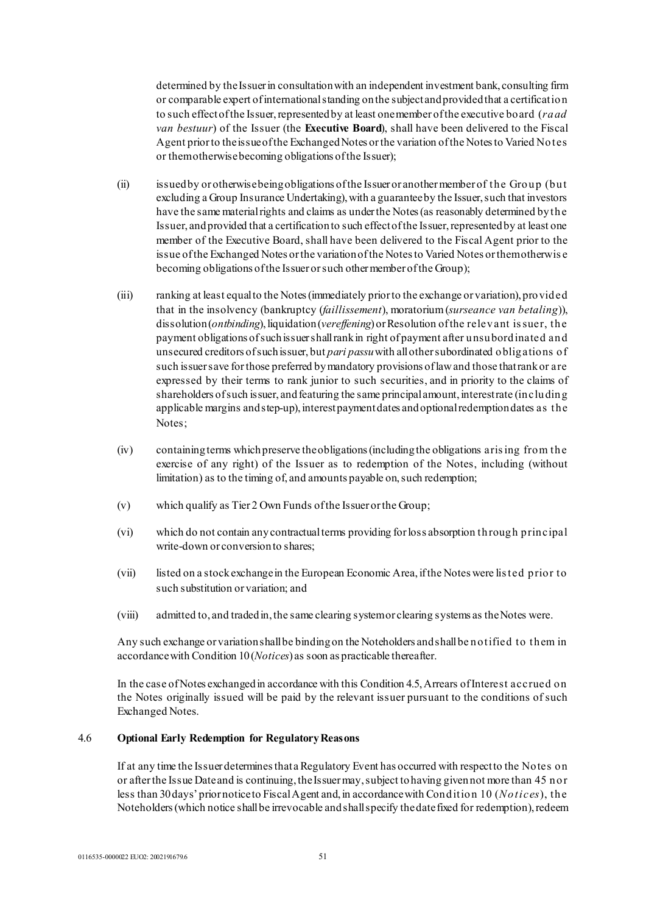determined by the Issuer in consultation with an independent investment bank, consulting firm or comparable expert of international standing on the subject and provided that a certification to such effect of the Issuer, represented by at least one member of the executive board (*raad van bestuur*) of the Issuer (the **Executive Board**), shall have been delivered to the Fiscal Agent prior to the issue of the Exchanged Notes or the variation of the Notes to Varied Notes or them otherwise becoming obligations of the Issuer);

- (ii) issued by or otherwise being obligations of the Issuer or another member of the Group (but excluding a Group Insurance Undertaking), with a guarantee by the Issuer, such that investors have the same material rights and claims as under the Notes (as reasonably determined by the Issuer, and provided that a certification to such effect of the Issuer, represented by at least one member of the Executive Board, shall have been delivered to the Fiscal Agent prior to the issue of the Exchanged Notes or the variation of the Notes to Varied Notes or them otherwis e becoming obligations of the Issuer or such other member of the Group);
- (iii) ranking at least equal to the Notes (immediately prior to the exchange or variation), provided that in the insolvency (bankruptcy (*faillissement*), moratorium (*surseance van betaling*)), dissolution (*ontbinding*), liquidation (*vereffening*) or Resolution of the relevant is suer, the payment obligations of such issuer shall rank in right of payment after unsubordinated and unsecured creditors of such issuer, but *pari passu*with all other subordinated obligations of such issuer save for those preferred by mandatory provisions of law and those that rank or are expressed by their terms to rank junior to such securities, and in priority to the claims of shareholders of such issuer, and featuring the same principal amount, interest rate (including applicable margins and step-up), interest payment dates and optional redemption dates as the Notes;
- (iv) containing terms which preserve the obligations (including the obligations aris ing from the exercise of any right) of the Issuer as to redemption of the Notes, including (without limitation) as to the timing of, and amounts payable on, such redemption;
- (v) which qualify as Tier 2 Own Funds of the Issuer or the Group;
- (vi) which do not contain any contractual terms providing for loss absorption through principal write-down or conversion to shares;
- (vii) listed on a stock exchange in the European Economic Area, if the Notes were lis ted prior to such substitution or variation; and
- (viii) admitted to, and traded in, the same clearing system or clearing systems as the Notes were.

Any such exchange or variation shall be binding on the Noteholders and shall be notified to them in accordance with Condition 10(*Notices*) as soon as practicable thereafter.

In the case of Notes exchanged in accordance with this Condition 4.5, Arrears of Interest accrued on the Notes originally issued will be paid by the relevant issuer pursuant to the conditions of such Exchanged Notes.

#### 4.6 **Optional Early Redemption for Regulatory Reasons**

If at any time the Issuer determines that a Regulatory Event has occurred with respect to the Notes on or after the Issue Date and is continuing, the Issuer may, subject to having given not more than 45 nor less than 30 days' prior notice to Fiscal Agent and, in accordance with Condition 10 (*Notices*), the Noteholders (which notice shall be irrevocable and shall specify the date fixed for redemption), redeem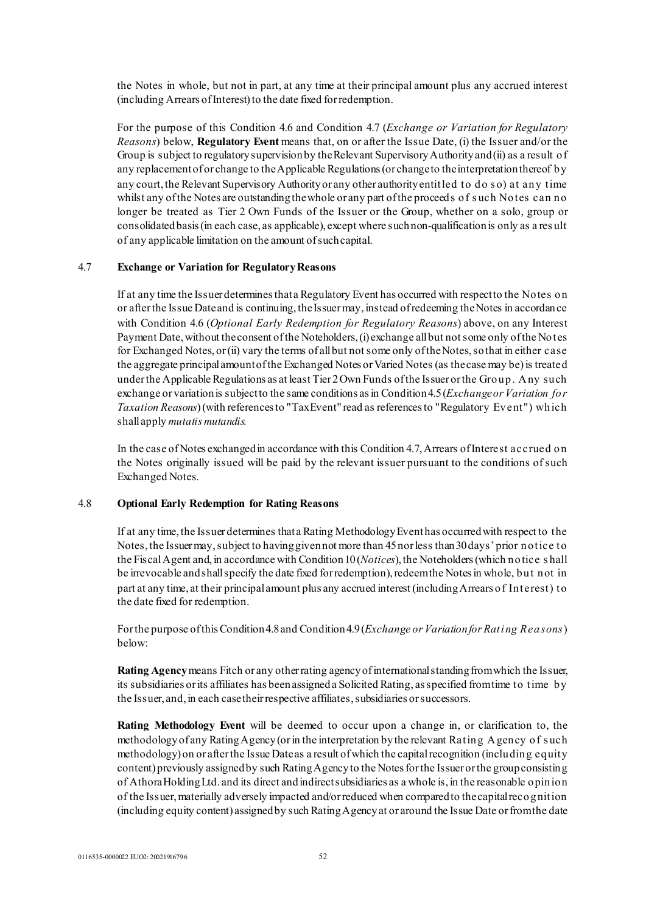the Notes in whole, but not in part, at any time at their principal amount plus any accrued interest (including Arrears of Interest) to the date fixed for redemption.

For the purpose of this Condition 4.6 and Condition 4.7 (*Exchange or Variation for Regulatory Reasons*) below, **Regulatory Event** means that, on or after the Issue Date, (i) the Issuer and/or the Group is subject to regulatory supervision by the Relevant Supervisory Authority and (ii) as a result of any replacement of or change to the Applicable Regulations (or change to the interpretation thereof by any court, the Relevant Supervisory Authority or any other authority entitled to do s o) at any time whilst any of the Notes are outstanding the whole or any part of the proceeds of such Notes can no longer be treated as Tier 2 Own Funds of the Issuer or the Group, whether on a solo, group or consolidated basis (in each case, as applicable), except where such non-qualification is only as a res ult of any applicable limitation on the amount of such capital.

### 4.7 **Exchange or Variation for Regulatory Reasons**

If at any time the Issuer determines that a Regulatory Event has occurred with respect to the Notes on or after the Issue Date and is continuing, the Issuer may, instead of redeeming the Notes in accordance with Condition 4.6 (*Optional Early Redemption for Regulatory Reasons*) above, on any Interest Payment Date, without the consent of the Noteholders, (i) exchange all but not some only of the Notes for Exchanged Notes, or (ii) vary the terms of all but not some only of the Notes, so that in either case the aggregate principal amount of the Exchanged Notes or Varied Notes (as the case may be) is treated under the Applicable Regulations as at least Tier 2 Own Funds of the Issuer or the Group. Any such exchange or variation is subject to the same conditions as in Condition 4.5 (*Exchange or Variation for Taxation Reasons*) (with references to "Tax Event" read as references to "Regulatory Event") which shall apply *mutatis mutandis.* 

In the case of Notes exchanged in accordance with this Condition 4.7, Arrears of Interest accrued on the Notes originally issued will be paid by the relevant issuer pursuant to the conditions of such Exchanged Notes.

### 4.8 **Optional Early Redemption for Rating Reasons**

If at any time, the Issuer determines that a Rating Methodology Event has occurred with respect to the Notes, the Issuer may, subject to having given not more than 45 nor less than 30 days' prior notice to the Fiscal Agent and, in accordance with Condition 10(*Notices*), the Noteholders (which notice s hall be irrevocable and shallspecify the date fixed for redemption), redeem the Notes in whole, but not in part at any time, at their principal amount plus any accrued interest (including Arrears of Interest) to the date fixed for redemption.

For the purpose of this Condition 4.8 and Condition 4.9 (*Exchange or Variation for Rating Reasons*) below:

**Rating Agency**means Fitch or any other rating agency of international standing from which the Issuer, its subsidiaries or its affiliates has been assigned a Solicited Rating, as specified from time to time by the Issuer, and, in each case their respective affiliates, subsidiaries or successors.

**Rating Methodology Event** will be deemed to occur upon a change in, or clarification to, the methodology of any Rating Agency (or in the interpretation by the relevant Rating Agency of s uch methodology) on or after the Issue Date as a result of which the capital recognition (including equity content) previously assigned by such Rating Agency to the Notes for the Issuer or the group consisting of Athora Holding Ltd. and its direct and indirect subsidiaries as a whole is, in the reasonable opinion of the Issuer, materially adversely impacted and/or reduced when compared to the capital recognition (including equity content) assigned by such Rating Agency at or around the Issue Date or from the date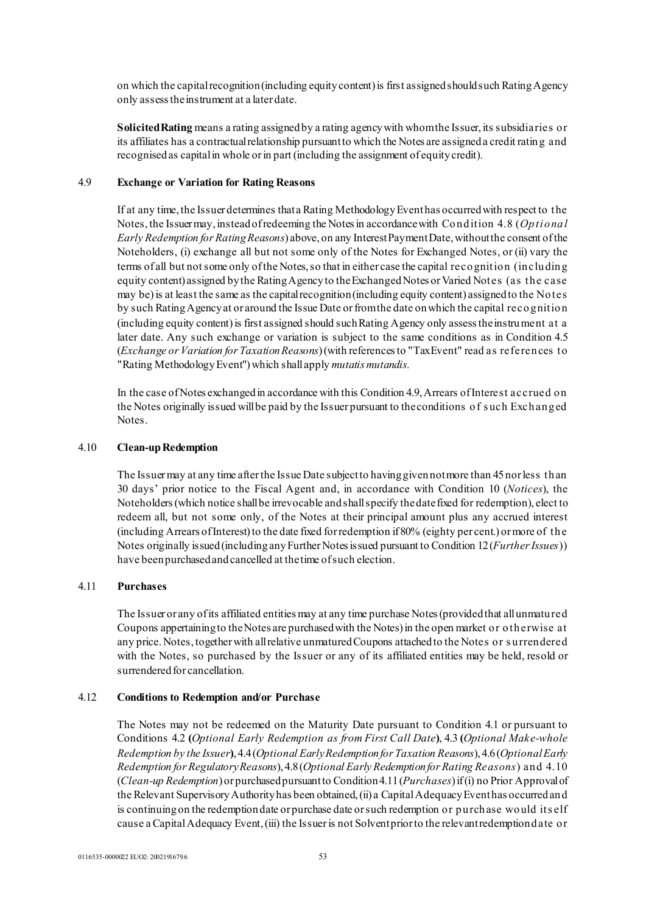on which the capital recognition (including equity content) is first assigned should such Rating Agency only assess the instrument at a later date.

**Solicited Rating** means a rating assigned by a rating agency with whom the Issuer, its subsidiaries or its affiliates has a contractual relationship pursuant to which the Notes are assigned a credit rating and recognised as capital in whole or in part (including the assignment of equity credit).

#### 4.9 **Exchange or Variation for Rating Reasons**

If at any time, the Issuer determines that a Rating Methodology Event has occurred with respect to the Notes, the Issuer may, instead of redeeming the Notes in accordance with Condition 4.8 (*Optional Early Redemption for Rating Reasons*) above, on any Interest Payment Date, without the consent of the Noteholders, (i) exchange all but not some only of the Notes for Exchanged Notes, or (ii) vary the terms of all but not some only of the Notes, so that in either case the capital recognition (including equity content) assigned by the Rating Agency to the Exchanged Notes or Varied Notes (as the case may be) is at least the same as the capital recognition (including equity content) assigned to the Notes by such Rating Agency at or around the Issue Date or from the date on which the capital recognition (including equity content) is first assigned should such Rating Agency only assess the instrument at a later date. Any such exchange or variation is subject to the same conditions as in Condition 4.5 (*Exchange or Variation for Taxation Reasons*)(with references to "Tax Event" read as references to "Rating Methodology Event") which shall apply *mutatis mutandis.* 

In the case of Notes exchanged in accordance with this Condition 4.9, Arrears of Interest accrued on the Notes originally issued will be paid by the Issuer pursuant to the conditions of s uch Exchanged Notes.

#### 4.10 **Clean-up Redemption**

The Issuer may at any time after the Issue Date subject to having given not more than 45 nor less than 30 days' prior notice to the Fiscal Agent and, in accordance with Condition 10 (*Notices*), the Noteholders (which notice shall be irrevocable and shall specify the date fixed for redemption), elect to redeem all, but not some only, of the Notes at their principal amount plus any accrued interest (including Arrears of Interest) to the date fixed for redemption if 80% (eighty per cent.) or more of the Notes originally issued (including any Further Notes issued pursuant to Condition 12 (*Further Issues*)) have been purchased and cancelled at the time of such election.

#### 4.11 **Purchases**

The Issuer or any of its affiliated entities may at any time purchase Notes (provided that all unmatured Coupons appertaining to the Notes are purchased with the Notes) in the open market or otherwise at any price. Notes, together with all relative unmatured Coupons attached to the Notes or s urrendered with the Notes, so purchased by the Issuer or any of its affiliated entities may be held, resold or surrendered for cancellation.

#### 4.12 **Conditions to Redemption and/or Purchase**

The Notes may not be redeemed on the Maturity Date pursuant to Condition 4.1 or pursuant to Conditions 4.2 **(***Optional Early Redemption as from First Call Date***)**, 4.3 **(***Optional Make-whole Redemption by the Issuer***)**, 4.4(*Optional Early Redemption for Taxation Reasons*), 4.6(*Optional Early Redemption for Regulatory Reasons*), 4.8(*Optional Early Redemption for Rating Reasons*) and 4.10 (*Clean-up Redemption*) or purchased pursuant to Condition 4.11 (*Purchases*) if (i) no Prior Approval of the Relevant Supervisory Authorityhas been obtained, (ii) a Capital Adequacy Event has occurred and is continuing on the redemption date or purchase date or such redemption or purchase would its elf cause a Capital Adequacy Event, (iii) the Issuer is not Solvent prior to the relevant redemption date or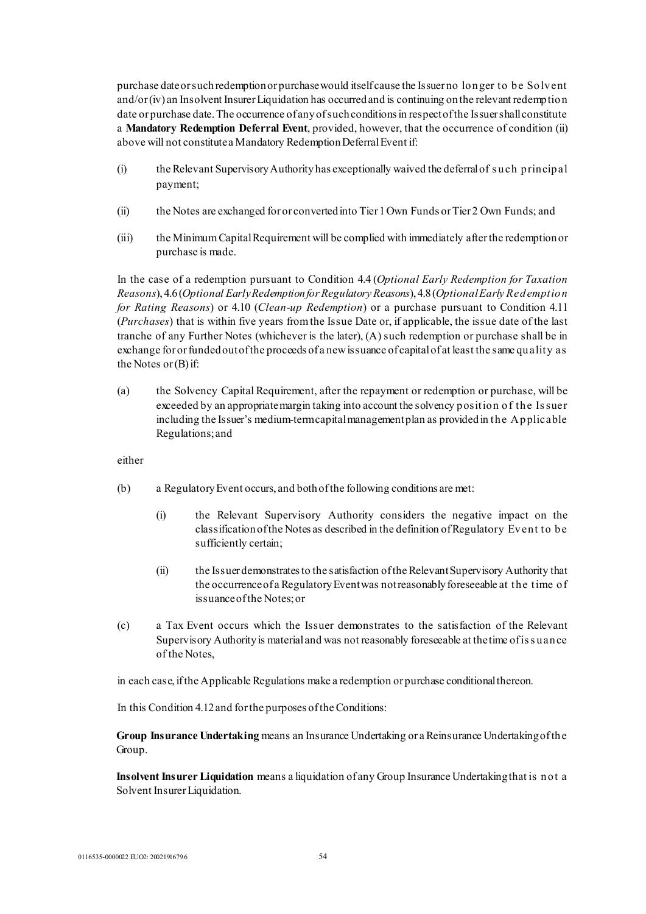purchase date or such redemption or purchase would itself cause the Issuer no longer to be Solvent and/or (iv) an Insolvent Insurer Liquidation has occurred and is continuing on the relevant redemption date or purchase date. The occurrence of any of such conditions in respect of the Issuer shall constitute a **Mandatory Redemption Deferral Event**, provided, however, that the occurrence of condition (ii) above will not constitute a Mandatory Redemption Deferral Event if:

- (i) the Relevant Supervisory Authority has exceptionally waived the deferral of s uch principal payment;
- (ii) the Notes are exchanged for or converted into Tier 1 Own Funds or Tier 2 Own Funds; and
- (iii) the Minimum Capital Requirement will be complied with immediately after the redemption or purchase is made.

In the case of a redemption pursuant to Condition 4.4 (*Optional Early Redemption for Taxation Reasons*), 4.6(*Optional Early Redemption for Regulatory Reasons*), 4.8(*Optional Early Redemption for Rating Reasons*) or 4.10 (*Clean-up Redemption*) or a purchase pursuant to Condition 4.11 (*Purchases*) that is within five years from the Issue Date or, if applicable, the issue date of the last tranche of any Further Notes (whichever is the later), (A) such redemption or purchase shall be in exchange for or funded out of the proceeds of a new issuance of capital of at least the same quality as the Notes or (B) if:

(a) the Solvency Capital Requirement, after the repayment or redemption or purchase, will be exceeded by an appropriate margin taking into account the solvency position of the Is suer including the Issuer's medium-term capital management plan as provided in the Applicable Regulations; and

either

- (b) a Regulatory Event occurs, and both of the following conditions are met:
	- (i) the Relevant Supervisory Authority considers the negative impact on the classification of the Notes as described in the definition of Regulatory Event to be sufficiently certain;
	- (ii) the Issuer demonstrates to the satisfaction of the Relevant Supervisory Authority that the occurrence of a Regulatory Event was not reasonably foreseeable at the time of issuance of the Notes; or
- (c) a Tax Event occurs which the Issuer demonstrates to the satisfaction of the Relevant Supervisory Authority is material and was not reasonably foreseeable at the time ofis s uance of the Notes,

in each case, if the Applicable Regulations make a redemption or purchase conditional thereon.

In this Condition 4.12 and for the purposes of the Conditions:

**Group Insurance Undertaking** means an Insurance Undertaking or a Reinsurance Undertaking of the Group.

**Insolvent Insurer Liquidation** means a liquidation of any Group Insurance Undertaking that is not a Solvent Insurer Liquidation.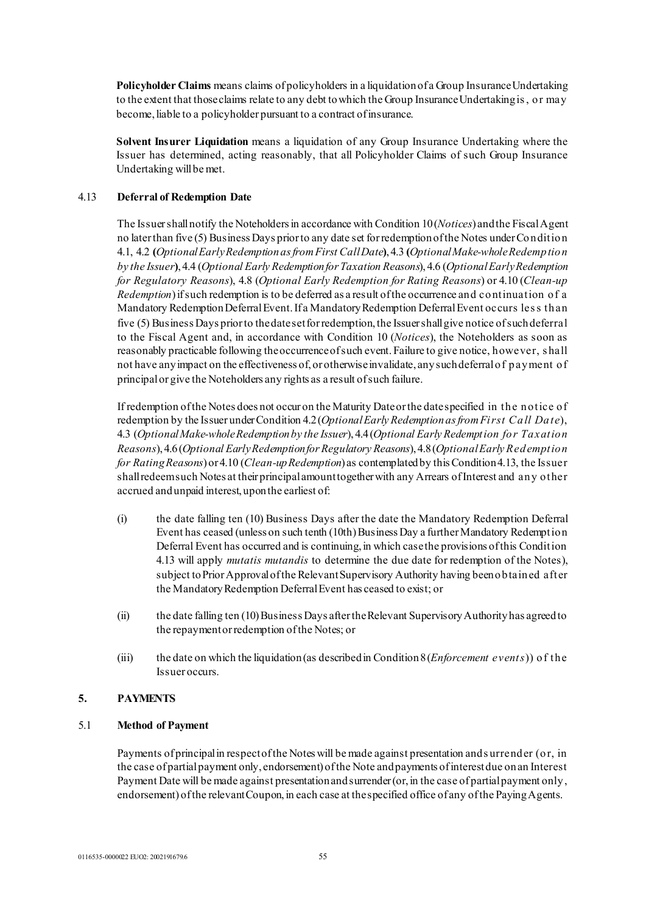**Policyholder Claims** means claims of policyholders in a liquidation of a Group Insurance Undertaking to the extent that those claims relate to any debt to which the Group Insurance Undertaking is , or may become, liable to a policyholder pursuant to a contract of insurance.

**Solvent Insurer Liquidation** means a liquidation of any Group Insurance Undertaking where the Issuer has determined, acting reasonably, that all Policyholder Claims of such Group Insurance Undertaking will be met.

### 4.13 **Deferral of Redemption Date**

The Issuer shall notify the Noteholders in accordance with Condition 10(*Notices*) and the Fiscal Agent no later than five (5) Business Days prior to any date set for redemption of the Notes under Condition 4.1, 4.2 **(***Optional Early Redemption as from First Call Date***)**, 4.3 **(***Optional Make-whole Redemption by the Issuer***)**, 4.4 (*Optional Early Redemption for Taxation Reasons*), 4.6 (*Optional Early Redemption for Regulatory Reasons*), 4.8 (*Optional Early Redemption for Rating Reasons*) or 4.10 (*Clean-up Redemption*) if such redemption is to be deferred as a result of the occurrence and continuation of a Mandatory Redemption Deferral Event. If a Mandatory Redemption Deferral Event occurs les s than five (5) Business Days prior to the date set for redemption, the Issuer shall give notice of such deferral to the Fiscal Agent and, in accordance with Condition 10 (*Notices*), the Noteholders as soon as reasonably practicable following the occurrence of such event. Failure to give notice, however, s hall not have any impact on the effectiveness of, or otherwise invalidate, any such deferral of payment of principal or give the Noteholders any rights as a result of such failure.

If redemption of the Notes does not occur on the Maturity Date or the date specified in the notice of redemption by the Issuer under Condition 4.2(*OptionalEarly Redemption as from First Call Date*), 4.3 (*Optional Make-whole Redemption by the Issuer*), 4.4(*Optional Early Redemption for Taxation Reasons*), 4.6(*Optional Early Redemption for Regulatory Reasons*), 4.8 (*Optional Early Redemption for Rating Reasons*) or 4.10 (*Clean-up Redemption*) as contemplated by this Condition 4.13, the Issuer shall redeem such Notes at their principal amount together with any Arrears of Interest and any other accrued and unpaid interest, upon the earliest of:

- (i) the date falling ten (10) Business Days after the date the Mandatory Redemption Deferral Event has ceased (unless on such tenth (10th) Business Day a further Mandatory Redemption Deferral Event has occurred and is continuing, in which case the provisions of this Condition 4.13 will apply *mutatis mutandis* to determine the due date for redemption of the Notes), subject to Prior Approval of the Relevant Supervisory Authority having been obtained after the Mandatory Redemption Deferral Event has ceased to exist; or
- (ii) the date falling ten (10) Business Days after the Relevant Supervisory Authority has agreed to the repayment or redemption of the Notes; or
- (iii) the date on which the liquidation (as described in Condition 8(*Enforcement events*)) of the Issuer occurs.

### **5. PAYMENTS**

#### 5.1 **Method of Payment**

Payments of principal in respect of the Notes will be made against presentation and s urrender (or, in the case of partial payment only, endorsement) of the Note and payments of interest due on an Interest Payment Date will be made against presentation and surrender (or, in the case of partial payment only, endorsement) of the relevant Coupon, in each case at the specified office of any of the Paying Agents.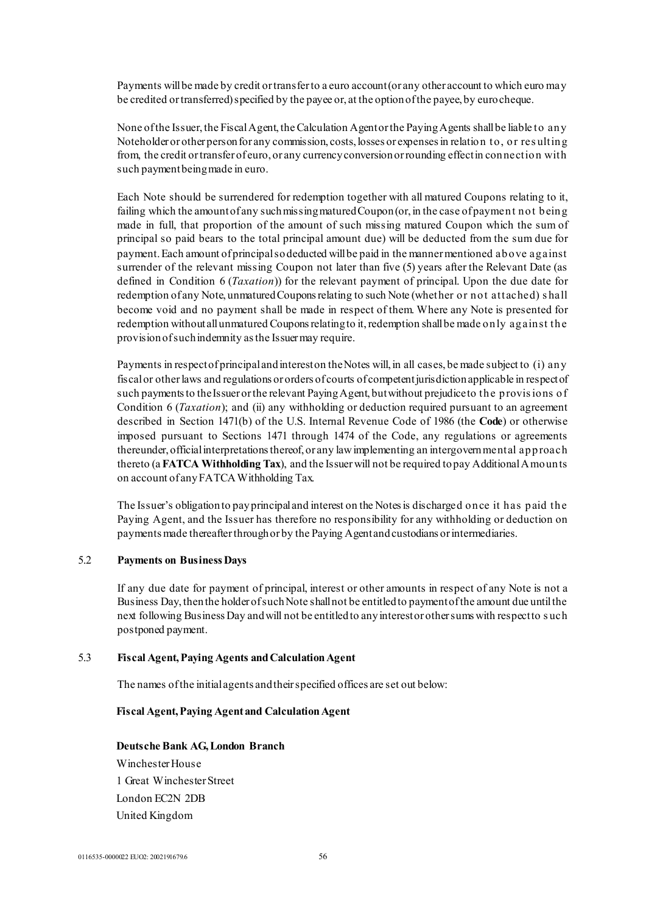Payments will be made by credit or transfer to a euro account (or any other account to which euro may be credited or transferred) specified by the payee or, at the option of the payee, by euro cheque.

None of the Issuer, the Fiscal Agent, the Calculation Agent or the Paying Agents shall be liable to any Noteholder or other person for any commission, costs, losses or expenses in relation to, or res ulting from, the credit or transfer of euro, or any currency conversion or rounding effect in connection with such payment being made in euro.

Each Note should be surrendered for redemption together with all matured Coupons relating to it, failing which the amount of any such missing matured Coupon (or, in the case of payment not being made in full, that proportion of the amount of such missing matured Coupon which the sum of principal so paid bears to the total principal amount due) will be deducted from the sum due for payment. Each amount of principal so deducted will be paid in the manner mentioned above against surrender of the relevant missing Coupon not later than five (5) years after the Relevant Date (as defined in Condition 6 (*Taxation*)) for the relevant payment of principal. Upon the due date for redemption of any Note, unmatured Coupons relating to such Note (whether or not attached) s hall become void and no payment shall be made in respect of them. Where any Note is presented for redemption without all unmatured Coupons relating to it, redemption shall be made only against the provision of such indemnity as the Issuer may require.

Payments in respect of principal and interest on the Notes will, in all cases, be made subject to (i) any fiscal or other laws and regulations or orders of courts of competent jurisdiction applicable in respect of such payments to the Issuer or the relevant Paying Agent, but without prejudice to the provisions of Condition 6 (*Taxation*); and (ii) any withholding or deduction required pursuant to an agreement described in Section 1471(b) of the U.S. Internal Revenue Code of 1986 (the **Code**) or otherwise imposed pursuant to Sections 1471 through 1474 of the Code, any regulations or agreements thereunder, official interpretations thereof, or any law implementing an intergovernmental approach thereto (a **FATCA Withholding Tax**), and the Issuer will not be required to pay Additional Amounts on account of any FATCA Withholding Tax.

The Issuer's obligation to pay principal and interest on the Notes is discharged once it has paid the Paying Agent, and the Issuer has therefore no responsibility for any withholding or deduction on payments made thereafter through or by the Paying Agent and custodians or intermediaries.

### 5.2 **Payments on Business Days**

If any due date for payment of principal, interest or other amounts in respect of any Note is not a Business Day, then the holder of such Note shall not be entitled to payment ofthe amount due until the next following Business Day and will not be entitled to any interest or other sums with respect to s uch postponed payment.

#### 5.3 **Fiscal Agent, Paying Agents and Calculation Agent**

The names of the initial agents and their specified offices are set out below:

#### **Fiscal Agent, Paying Agent and Calculation Agent**

#### **Deutsche Bank AG, London Branch**

Winchester House 1 Great Winchester Street London EC2N 2DB United Kingdom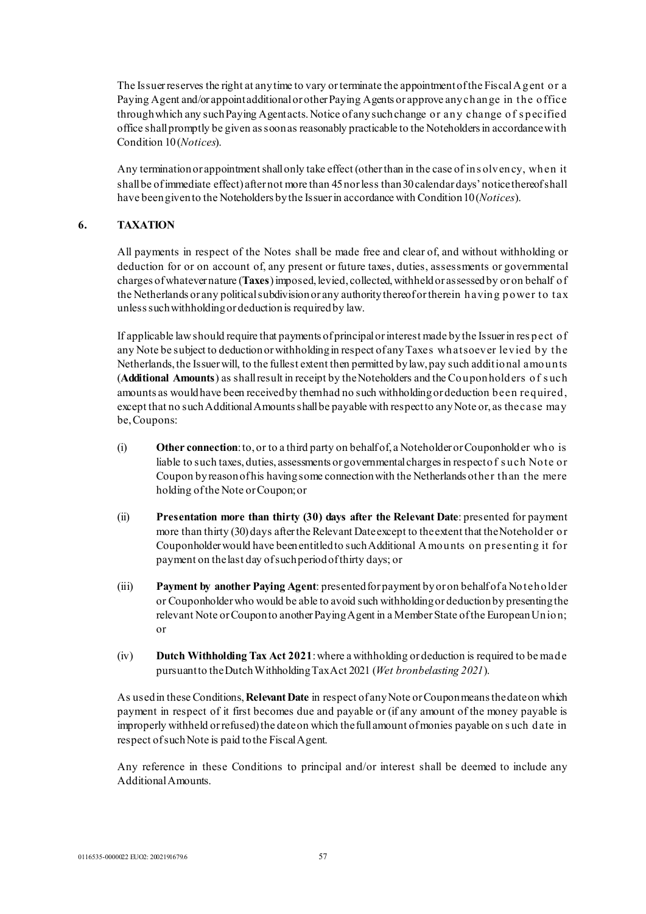The Issuer reserves the right at any time to vary or terminate the appointment of the Fiscal Agent or a Paying Agent and/or appoint additional or other Paying Agents or approve any change in the office through which any such Paying Agent acts. Notice of any such change or any change of s pecified office shall promptly be given as soon as reasonably practicable to the Noteholders in accordance with Condition 10(*Notices*).

Any termination or appointment shall only take effect (other than in the case of ins olvency, when it shall be of immediate effect) after not more than 45 nor less than 30 calendar days' notice thereof shall have been given to the Noteholders by the Issuer in accordance with Condition 10(*Notices*).

### **6. TAXATION**

All payments in respect of the Notes shall be made free and clear of, and without withholding or deduction for or on account of, any present or future taxes, duties, assessments or governmental charges of whatever nature (**Taxes**) imposed, levied, collected, withheld or assessed by or on behalf of the Netherlands or any political subdivision or any authority thereof or therein having power to tax unless such withholding or deduction is required by law.

If applicable law should require that payments of principal or interest made by the Issuer in res pect of any Note be subject to deduction or withholding in respect of any Taxes whatsoever levied by the Netherlands, the Issuer will, to the fullest extent then permitted by law, pay such additional amounts (**Additional Amounts**) as shall result in receipt by the Noteholders and the Couponholders of s uch amounts as would have been received by them had no such withholding or deduction been required, except that no such Additional Amounts shall be payable with respect to any Note or, as the case may be, Coupons:

- (i) **Other connection**: to, or to a third party on behalf of, a Noteholder or Couponholder who is liable to such taxes, duties, assessments or governmental charges in respect of s uch Note or Coupon by reason of his having some connection with the Netherlands other than the mere holding of the Note or Coupon; or
- (ii) **Presentation more than thirty (30) days after the Relevant Date**: presented for payment more than thirty (30) days after the Relevant Date except to the extent that the Noteholder or Couponholder would have been entitled to such Additional Amounts on presenting it for payment on the last day of such period of thirty days; or
- (iii) **Payment by another Paying Agent**: presented for payment by or on behalf of a Noteholder or Couponholder who would be able to avoid such withholding or deduction by presenting the relevant Note or Coupon to another Paying Agent in a Member State of the European Union; or
- (iv) **Dutch Withholding Tax Act 2021**: where a withholding or deduction is required to be made pursuant to the Dutch Withholding Tax Act 2021 (*Wet bronbelasting 2021*).

As used in these Conditions, **Relevant Date** in respect of any Note or Coupon means the date on which payment in respect of it first becomes due and payable or (if any amount of the money payable is improperly withheld or refused) the date on which the full amount of monies payable on s uch date in respect of such Note is paid to the Fiscal Agent.

Any reference in these Conditions to principal and/or interest shall be deemed to include any Additional Amounts.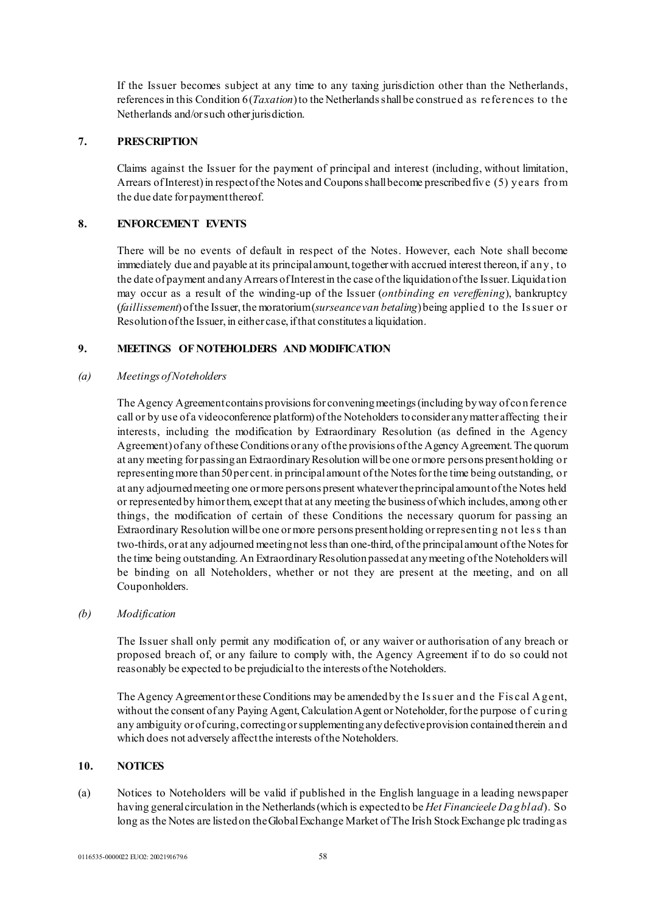If the Issuer becomes subject at any time to any taxing jurisdiction other than the Netherlands, references in this Condition 6 (*Taxation*) to the Netherlands shall be construed as references to the Netherlands and/or such other jurisdiction.

### **7. PRESCRIPTION**

Claims against the Issuer for the payment of principal and interest (including, without limitation, Arrears of Interest) in respect of the Notes and Coupons shall become prescribed five (5) years from the due date for payment thereof.

### **8. ENFORCEMENT EVENTS**

There will be no events of default in respect of the Notes. However, each Note shall become immediately due and payable at its principal amount, together with accrued interest thereon, if any, to the date of payment and any Arrears of Interest in the case of the liquidation of the Issuer. Liquidation may occur as a result of the winding-up of the Issuer (*ontbinding en vereffening*), bankruptcy (*faillissement*) of the Issuer, the moratorium(*surseance van betaling*) being applied to the Is suer or Resolution of the Issuer, in either case, if that constitutes a liquidation.

### **9. MEETINGS OF NOTEHOLDERS AND MODIFICATION**

#### *(a) Meetings of Noteholders*

The Agency Agreement contains provisions for convening meetings (including by way of conference call or by use of a videoconference platform) of the Noteholders to consider any matter affecting their interests, including the modification by Extraordinary Resolution (as defined in the Agency Agreement) of any of these Conditions or any of the provisions of the Agency Agreement. The quorum at any meeting for passing an Extraordinary Resolution willbe one or more persons present holding or representing more than 50 per cent. in principal amount of the Notes for the time being outstanding, or at any adjourned meeting one or more persons present whatever the principal amount of the Notes held or represented by him or them, except that at any meeting the business of which includes, among other things, the modification of certain of these Conditions the necessary quorum for passing an Extraordinary Resolution will be one or more persons present holding or representing not les s than two-thirds, or at any adjourned meeting not less than one-third, of the principal amount of the Notes for the time being outstanding. An Extraordinary Resolution passed at any meeting of the Noteholders will be binding on all Noteholders, whether or not they are present at the meeting, and on all Couponholders.

#### *(b) Modification*

The Issuer shall only permit any modification of, or any waiver or authorisation of any breach or proposed breach of, or any failure to comply with, the Agency Agreement if to do so could not reasonably be expected to be prejudicial to the interests of the Noteholders.

The Agency Agreement or these Conditions may be amended by the Issuer and the Fiscal Agent, without the consent of any Paying Agent, Calculation Agent or Noteholder, for the purpose of curing any ambiguity or of curing, correcting or supplementing any defective provision contained therein and which does not adversely affect the interests of the Noteholders.

### **10. NOTICES**

(a) Notices to Noteholders will be valid if published in the English language in a leading newspaper having general circulation in the Netherlands (which is expected to be *Het Financieele Dagblad*). So long as the Notes are listed on the Global Exchange Market of The Irish Stock Exchange plc trading as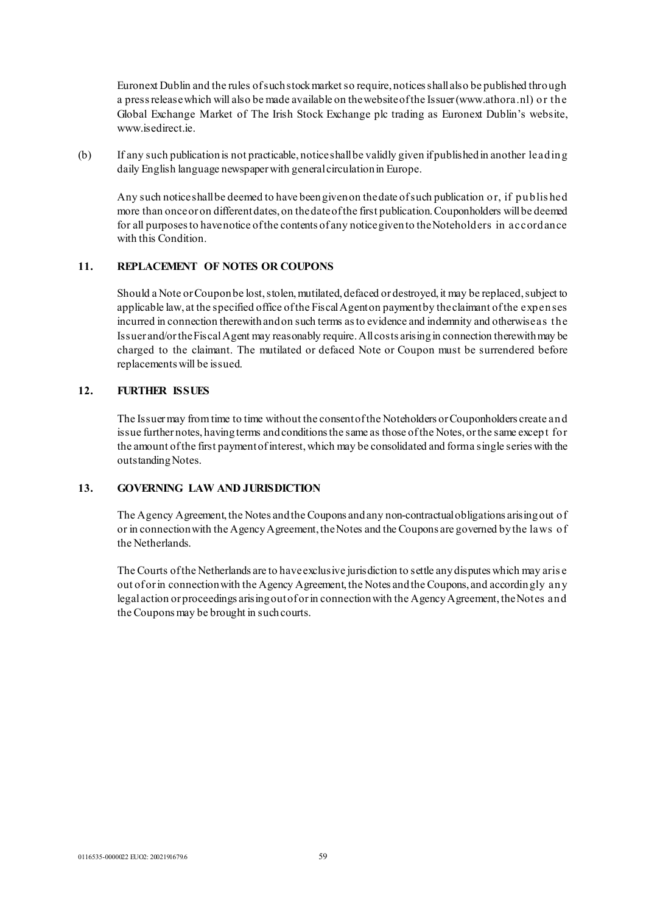Euronext Dublin and the rules of such stock market so require, notices shall also be published through a press release which will also be made available on the website of the Issuer (www.athora.nl) or the Global Exchange Market of The Irish Stock Exchange plc trading as Euronext Dublin's website, www.isedirect.ie.

(b) If any such publication is not practicable, notice shall be validly given if published in another leading daily English language newspaper with general circulation in Europe.

Any such notice shall be deemed to have been given on the date of such publication or, if publis hed more than once or on different dates, on the date of the first publication. Couponholders will be deemed for all purposes to have notice of the contents of any notice given to the Noteholders in accordance with this Condition.

# **11. REPLACEMENT OF NOTES OR COUPONS**

Should a Note or Coupon be lost, stolen, mutilated, defaced or destroyed, it may be replaced, subject to applicable law, at the specified office of the Fiscal Agent on payment by the claimant of the expenses incurred in connection therewith and on such terms as to evidence and indemnity and otherwise as the Issuer and/or the Fiscal Agent may reasonably require. All costs arising in connection therewith may be charged to the claimant. The mutilated or defaced Note or Coupon must be surrendered before replacements will be issued.

## **12. FURTHER ISSUES**

The Issuer may from time to time without the consent of the Noteholders or Couponholders create and issue further notes, having terms and conditions the same as those of the Notes, or the same except for the amount of the first payment of interest, which may be consolidated and form a single series with the outstanding Notes.

## **13. GOVERNING LAW AND JURISDICTION**

The Agency Agreement, the Notes and the Coupons and any non-contractual obligations arising out of or in connection with the Agency Agreement, the Notes and the Coupons are governed by the laws of the Netherlands.

The Courts of the Netherlands are to have exclusive jurisdiction to settle any disputes which may aris e out of or in connection with the Agency Agreement, the Notes and the Coupons, and accordingly any legal action or proceedings arising out of or in connection with the Agency Agreement, the Notes and the Coupons may be brought in such courts.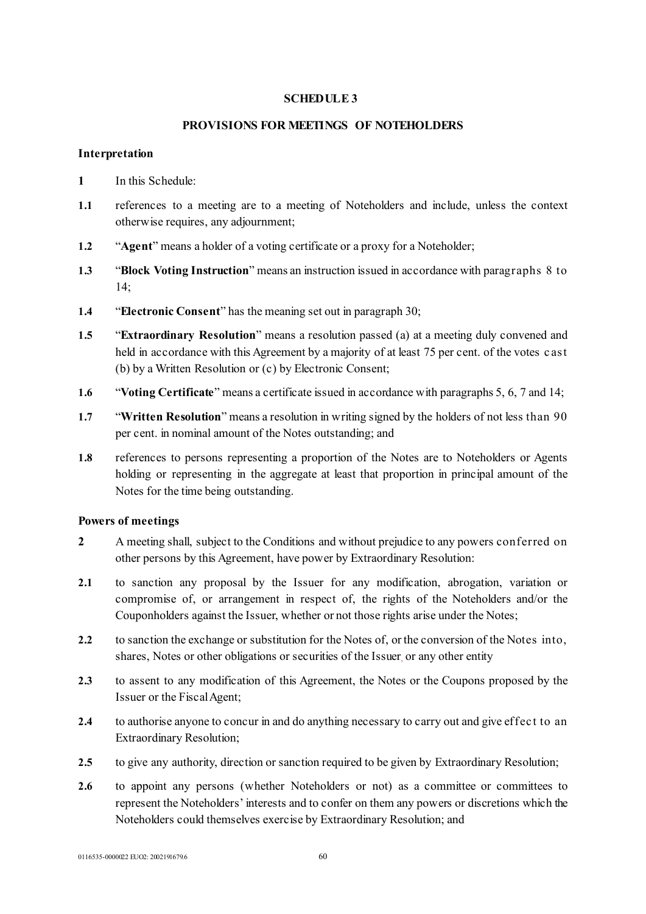# <span id="page-59-0"></span>**SCHEDULE 3**

# **PROVISIONS FOR MEETINGS OF NOTEHOLDERS**

### **Interpretation**

- **1** In this Schedule:
- **1.1** references to a meeting are to a meeting of Noteholders and include, unless the context otherwise requires, any adjournment;
- **1.2** "**Agent**" means a holder of a voting certificate or a proxy for a Noteholder;
- **1.3** "**Block Voting Instruction**" means an instruction issued in accordance with paragraphs 8 to 14;
- **1.4** "**Electronic Consent**" has the meaning set out in paragraph 30;
- **1.5** "**Extraordinary Resolution**" means a resolution passed (a) at a meeting duly convened and held in accordance with this Agreement by a majority of at least 75 per cent. of the votes cast (b) by a Written Resolution or (c) by Electronic Consent;
- **1.6** "**Voting Certificate**" means a certificate issued in accordance with paragraphs 5, 6, 7 and 14;
- **1.7** "**Written Resolution**" means a resolution in writing signed by the holders of not less than 90 per cent. in nominal amount of the Notes outstanding; and
- **1.8** references to persons representing a proportion of the Notes are to Noteholders or Agents holding or representing in the aggregate at least that proportion in principal amount of the Notes for the time being outstanding.

# **Powers of meetings**

- **2** A meeting shall, subject to the Conditions and without prejudice to any powers conferred on other persons by this Agreement, have power by Extraordinary Resolution:
- **2.1** to sanction any proposal by the Issuer for any modification, abrogation, variation or compromise of, or arrangement in respect of, the rights of the Noteholders and/or the Couponholders against the Issuer, whether or not those rights arise under the Notes;
- **2.2** to sanction the exchange or substitution for the Notes of, or the conversion of the Notes into, shares, Notes or other obligations or securities of the Issuer, or any other entity
- **2.3** to assent to any modification of this Agreement, the Notes or the Coupons proposed by the Issuer or the Fiscal Agent;
- 2.4 to authorise anyone to concur in and do anything necessary to carry out and give effect to an Extraordinary Resolution;
- **2.5** to give any authority, direction or sanction required to be given by Extraordinary Resolution;
- 2.6 to appoint any persons (whether Noteholders or not) as a committee or committees to represent the Noteholders' interests and to confer on them any powers or discretions which the Noteholders could themselves exercise by Extraordinary Resolution; and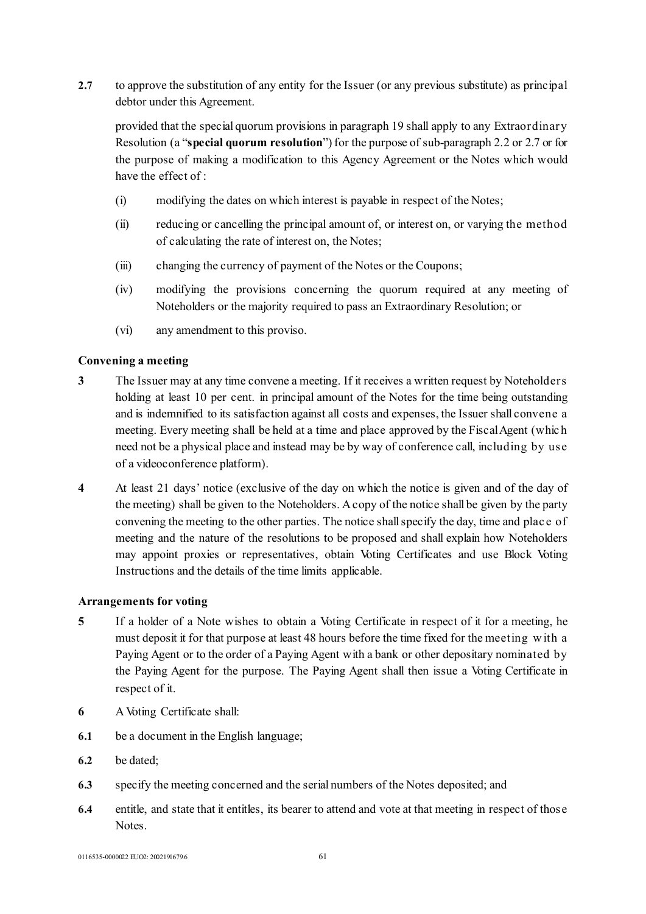**2.7** to approve the substitution of any entity for the Issuer (or any previous substitute) as principal debtor under this Agreement.

provided that the special quorum provisions in paragraph 19 shall apply to any Extraordinary Resolution (a "**special quorum resolution**") for the purpose of sub-paragraph 2.2 or 2.7 or for the purpose of making a modification to this Agency Agreement or the Notes which would have the effect of :

- (i) modifying the dates on which interest is payable in respect of the Notes;
- (ii) reducing or cancelling the principal amount of, or interest on, or varying the method of calculating the rate of interest on, the Notes;
- (iii) changing the currency of payment of the Notes or the Coupons;
- (iv) modifying the provisions concerning the quorum required at any meeting of Noteholders or the majority required to pass an Extraordinary Resolution; or
- (vi) any amendment to this proviso.

# **Convening a meeting**

- **3** The Issuer may at any time convene a meeting. If it receives a written request by Noteholders holding at least 10 per cent. in principal amount of the Notes for the time being outstanding and is indemnified to its satisfaction against all costs and expenses, the Issuer shall convene a meeting. Every meeting shall be held at a time and place approved by the Fiscal Agent (whic h need not be a physical place and instead may be by way of conference call, including by use of a videoconference platform).
- **4** At least 21 days' notice (exclusive of the day on which the notice is given and of the day of the meeting) shall be given to the Noteholders. A copy of the notice shall be given by the party convening the meeting to the other parties. The notice shall specify the day, time and plac e of meeting and the nature of the resolutions to be proposed and shall explain how Noteholders may appoint proxies or representatives, obtain Voting Certificates and use Block Voting Instructions and the details of the time limits applicable.

# **Arrangements for voting**

- **5** If a holder of a Note wishes to obtain a Voting Certificate in respect of it for a meeting, he must deposit it for that purpose at least 48 hours before the time fixed for the meeting w ith a Paying Agent or to the order of a Paying Agent with a bank or other depositary nominated by the Paying Agent for the purpose. The Paying Agent shall then issue a Voting Certificate in respect of it.
- **6** A Voting Certificate shall:
- **6.1** be a document in the English language;
- **6.2** be dated;
- **6.3** specify the meeting concerned and the serial numbers of the Notes deposited; and
- **6.4** entitle, and state that it entitles, its bearer to attend and vote at that meeting in respect of those Notes.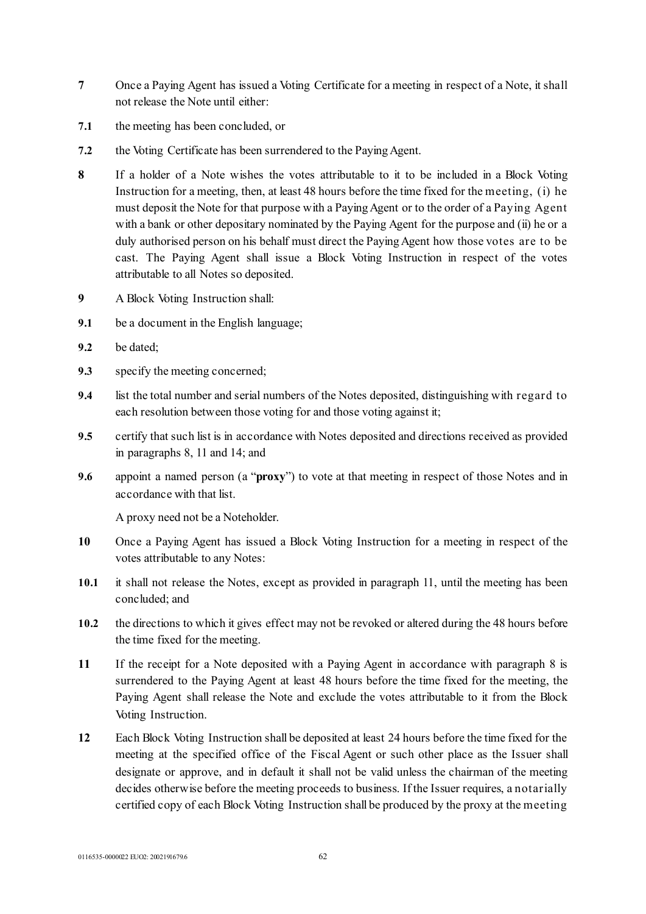- **7** Once a Paying Agent has issued a Voting Certificate for a meeting in respect of a Note, it shall not release the Note until either:
- **7.1** the meeting has been concluded, or
- **7.2** the Voting Certificate has been surrendered to the Paying Agent.
- **8** If a holder of a Note wishes the votes attributable to it to be included in a Block Voting Instruction for a meeting, then, at least 48 hours before the time fixed for the meeting, (i) he must deposit the Note for that purpose with a Paying Agent or to the order of a Paying Agent with a bank or other depositary nominated by the Paying Agent for the purpose and (ii) he or a duly authorised person on his behalf must direct the Paying Agent how those votes are to be cast. The Paying Agent shall issue a Block Voting Instruction in respect of the votes attributable to all Notes so deposited.
- **9** A Block Voting Instruction shall:
- **9.1** be a document in the English language;
- **9.2** be dated;
- **9.3** specify the meeting concerned;
- **9.4** list the total number and serial numbers of the Notes deposited, distinguishing with regard to each resolution between those voting for and those voting against it;
- **9.5** certify that such list is in accordance with Notes deposited and directions received as provided in paragraphs 8, 11 and 14; and
- **9.6** appoint a named person (a "**proxy**") to vote at that meeting in respect of those Notes and in accordance with that list.

A proxy need not be a Noteholder.

- **10** Once a Paying Agent has issued a Block Voting Instruction for a meeting in respect of the votes attributable to any Notes:
- **10.1** it shall not release the Notes, except as provided in paragraph 11, until the meeting has been concluded; and
- **10.2** the directions to which it gives effect may not be revoked or altered during the 48 hours before the time fixed for the meeting.
- **11** If the receipt for a Note deposited with a Paying Agent in accordance with paragraph 8 is surrendered to the Paying Agent at least 48 hours before the time fixed for the meeting, the Paying Agent shall release the Note and exclude the votes attributable to it from the Block Voting Instruction.
- **12** Each Block Voting Instruction shall be deposited at least 24 hours before the time fixed for the meeting at the specified office of the Fiscal Agent or such other place as the Issuer shall designate or approve, and in default it shall not be valid unless the chairman of the meeting decides otherwise before the meeting proceeds to business. If the Issuer requires, a notarially certified copy of each Block Voting Instruction shall be produced by the proxy at the meeting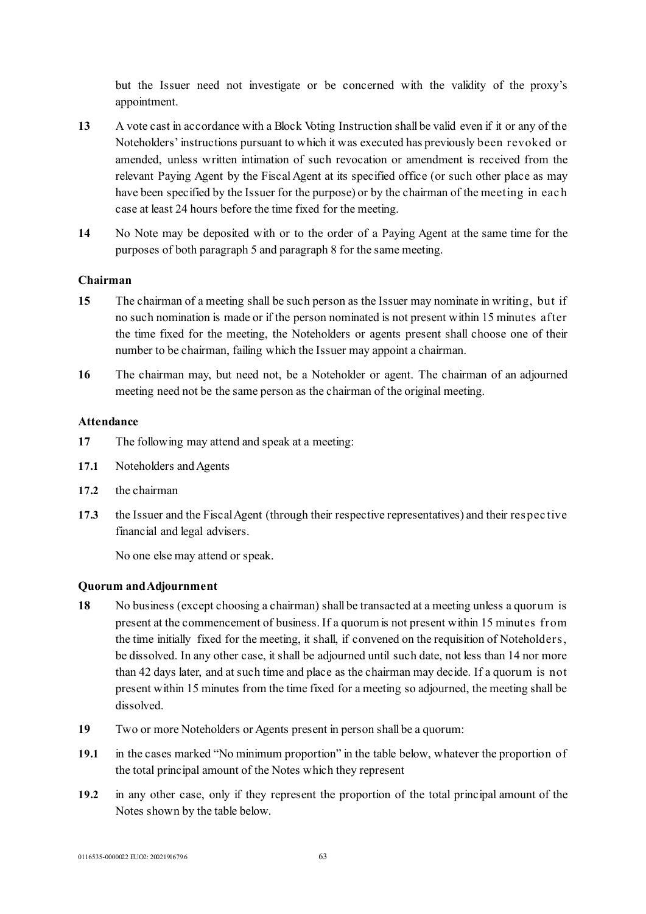but the Issuer need not investigate or be concerned with the validity of the proxy's appointment.

- **13** A vote cast in accordance with a Block Voting Instruction shall be valid even if it or any of the Noteholders' instructions pursuant to which it was executed has previously been revoked or amended, unless written intimation of such revocation or amendment is received from the relevant Paying Agent by the Fiscal Agent at its specified office (or such other place as may have been specified by the Issuer for the purpose) or by the chairman of the meeting in eac h case at least 24 hours before the time fixed for the meeting.
- **14** No Note may be deposited with or to the order of a Paying Agent at the same time for the purposes of both paragraph 5 and paragraph 8 for the same meeting.

# **Chairman**

- **15** The chairman of a meeting shall be such person as the Issuer may nominate in writing, but if no such nomination is made or if the person nominated is not present within 15 minutes after the time fixed for the meeting, the Noteholders or agents present shall choose one of their number to be chairman, failing which the Issuer may appoint a chairman.
- **16** The chairman may, but need not, be a Noteholder or agent. The chairman of an adjourned meeting need not be the same person as the chairman of the original meeting.

### **Attendance**

- **17** The following may attend and speak at a meeting:
- **17.1** Noteholders and Agents
- **17.2** the chairman
- **17.3** the Issuer and the Fiscal Agent (through their respective representatives) and their respec tive financial and legal advisers.

No one else may attend or speak.

### **Quorum and Adjournment**

- **18** No business (except choosing a chairman) shall be transacted at a meeting unless a quorum is present at the commencement of business. If a quorum is not present within 15 minutes from the time initially fixed for the meeting, it shall, if convened on the requisition of Noteholders, be dissolved. In any other case, it shall be adjourned until such date, not less than 14 nor more than 42 days later, and at such time and place as the chairman may decide. If a quorum is not present within 15 minutes from the time fixed for a meeting so adjourned, the meeting shall be dissolved.
- **19** Two or more Noteholders or Agents present in person shall be a quorum:
- **19.1** in the cases marked "No minimum proportion" in the table below, whatever the proportion of the total principal amount of the Notes which they represent
- **19.2** in any other case, only if they represent the proportion of the total principal amount of the Notes shown by the table below.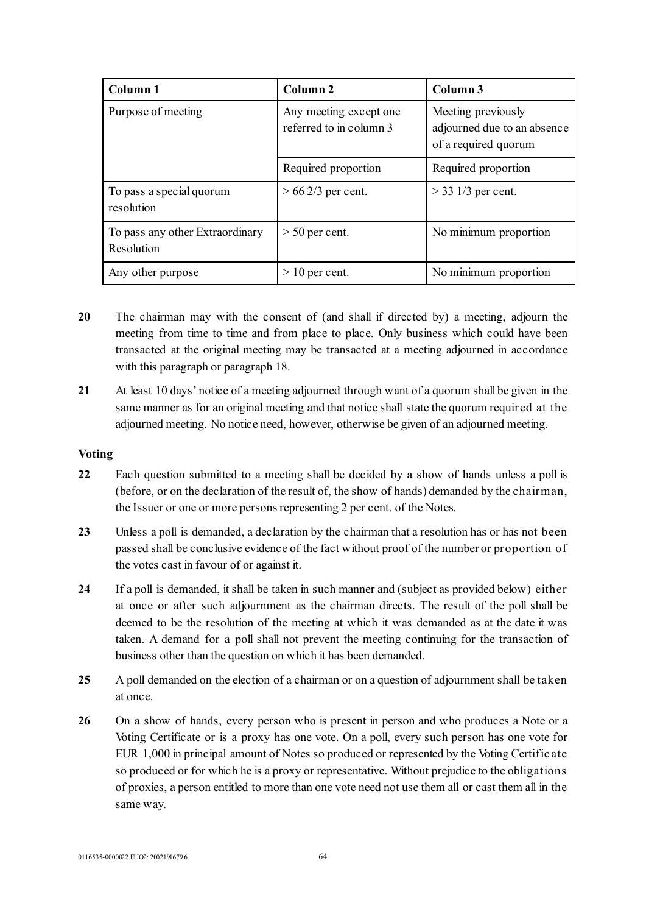| Column 1                                      | Column 2                                          | Column 3                                                                  |
|-----------------------------------------------|---------------------------------------------------|---------------------------------------------------------------------------|
| Purpose of meeting                            | Any meeting except one<br>referred to in column 3 | Meeting previously<br>adjourned due to an absence<br>of a required quorum |
|                                               | Required proportion                               | Required proportion                                                       |
| To pass a special quorum<br>resolution        | $> 66$ 2/3 per cent.                              | $>$ 33 1/3 per cent.                                                      |
| To pass any other Extraordinary<br>Resolution | $> 50$ per cent.                                  | No minimum proportion                                                     |
| Any other purpose                             | $>10$ per cent.                                   | No minimum proportion                                                     |

- **20** The chairman may with the consent of (and shall if directed by) a meeting, adjourn the meeting from time to time and from place to place. Only business which could have been transacted at the original meeting may be transacted at a meeting adjourned in accordance with this paragraph or paragraph 18.
- **21** At least 10 days' notice of a meeting adjourned through want of a quorum shall be given in the same manner as for an original meeting and that notice shall state the quorum required at the adjourned meeting. No notice need, however, otherwise be given of an adjourned meeting.

# **Voting**

- **22** Each question submitted to a meeting shall be decided by a show of hands unless a poll is (before, or on the declaration of the result of, the show of hands) demanded by the chairman, the Issuer or one or more persons representing 2 per cent. of the Notes.
- **23** Unless a poll is demanded, a declaration by the chairman that a resolution has or has not been passed shall be conclusive evidence of the fact without proof of the number or proportion of the votes cast in favour of or against it.
- **24** If a poll is demanded, it shall be taken in such manner and (subject as provided below) either at once or after such adjournment as the chairman directs. The result of the poll shall be deemed to be the resolution of the meeting at which it was demanded as at the date it was taken. A demand for a poll shall not prevent the meeting continuing for the transaction of business other than the question on which it has been demanded.
- **25** A poll demanded on the election of a chairman or on a question of adjournment shall be taken at once.
- **26** On a show of hands, every person who is present in person and who produces a Note or a Voting Certificate or is a proxy has one vote. On a poll, every such person has one vote for EUR 1,000 in principal amount of Notes so produced or represented by the Voting Certific ate so produced or for which he is a proxy or representative. Without prejudice to the obligations of proxies, a person entitled to more than one vote need not use them all or cast them all in the same way.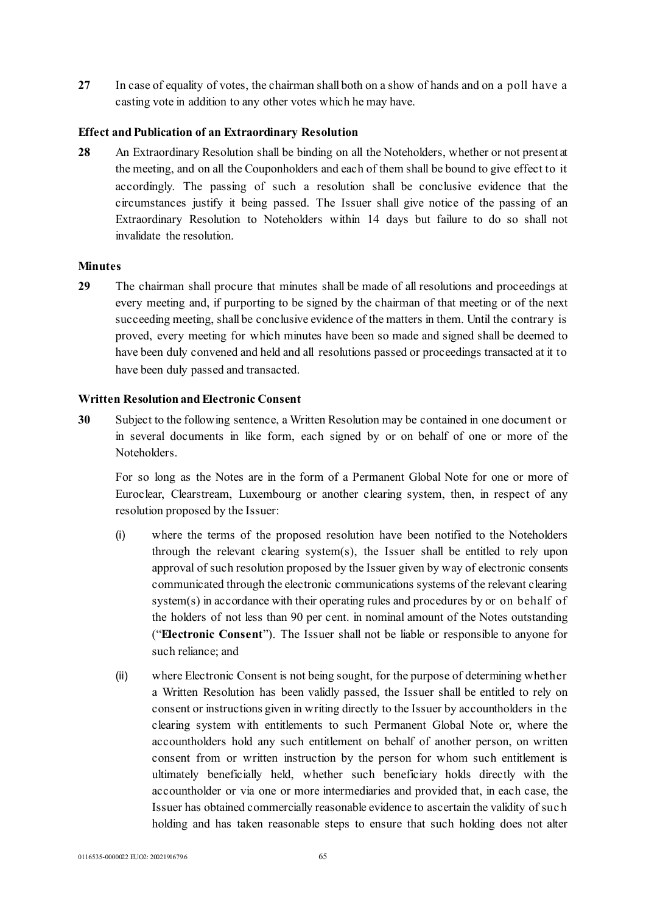**27** In case of equality of votes, the chairman shall both on a show of hands and on a poll have a casting vote in addition to any other votes which he may have.

# **Effect and Publication of an Extraordinary Resolution**

**28** An Extraordinary Resolution shall be binding on all the Noteholders, whether or not present at the meeting, and on all the Couponholders and each of them shall be bound to give effect to it accordingly. The passing of such a resolution shall be conclusive evidence that the circumstances justify it being passed. The Issuer shall give notice of the passing of an Extraordinary Resolution to Noteholders within 14 days but failure to do so shall not invalidate the resolution.

### **Minutes**

**29** The chairman shall procure that minutes shall be made of all resolutions and proceedings at every meeting and, if purporting to be signed by the chairman of that meeting or of the next succeeding meeting, shall be conclusive evidence of the matters in them. Until the contrary is proved, every meeting for which minutes have been so made and signed shall be deemed to have been duly convened and held and all resolutions passed or proceedings transacted at it to have been duly passed and transacted.

### **Written Resolution and Electronic Consent**

**30** Subject to the following sentence, a Written Resolution may be contained in one document or in several documents in like form, each signed by or on behalf of one or more of the Noteholders.

For so long as the Notes are in the form of a Permanent Global Note for one or more of Euroclear, Clearstream, Luxembourg or another clearing system, then, in respect of any resolution proposed by the Issuer:

- (i) where the terms of the proposed resolution have been notified to the Noteholders through the relevant clearing system(s), the Issuer shall be entitled to rely upon approval of such resolution proposed by the Issuer given by way of electronic consents communicated through the electronic communications systems of the relevant clearing system(s) in accordance with their operating rules and procedures by or on behalf of the holders of not less than 90 per cent. in nominal amount of the Notes outstanding ("**Electronic Consent**"). The Issuer shall not be liable or responsible to anyone for such reliance; and
- (ii) where Electronic Consent is not being sought, for the purpose of determining whether a Written Resolution has been validly passed, the Issuer shall be entitled to rely on consent or instructions given in writing directly to the Issuer by accountholders in the clearing system with entitlements to such Permanent Global Note or, where the accountholders hold any such entitlement on behalf of another person, on written consent from or written instruction by the person for whom such entitlement is ultimately beneficially held, whether such beneficiary holds directly with the accountholder or via one or more intermediaries and provided that, in each case, the Issuer has obtained commercially reasonable evidence to ascertain the validity of suc h holding and has taken reasonable steps to ensure that such holding does not alter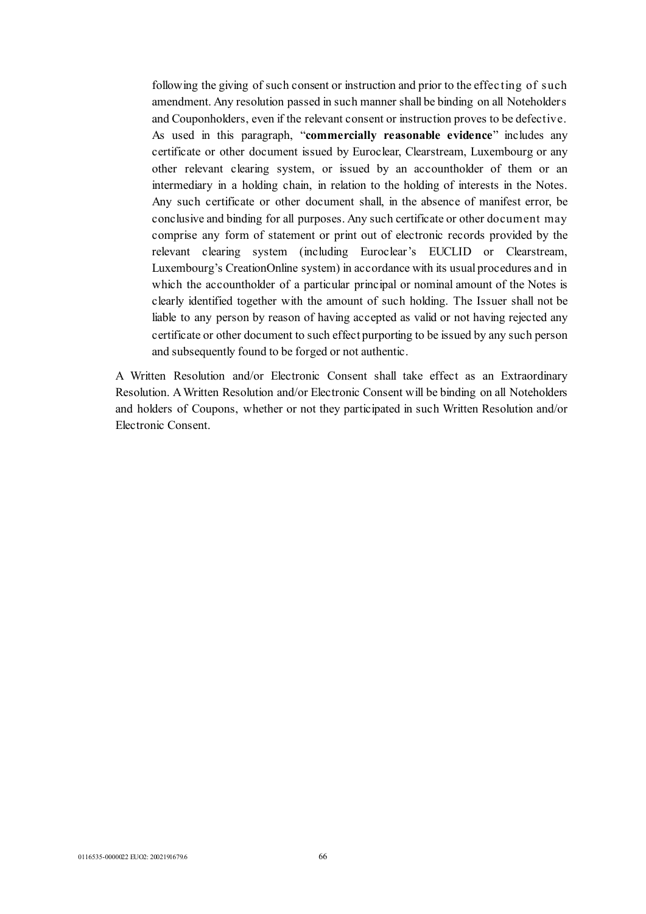following the giving of such consent or instruction and prior to the effec ting of such amendment. Any resolution passed in such manner shall be binding on all Noteholders and Couponholders, even if the relevant consent or instruction proves to be defective. As used in this paragraph, "**commercially reasonable evidence**" includes any certificate or other document issued by Euroclear, Clearstream, Luxembourg or any other relevant clearing system, or issued by an accountholder of them or an intermediary in a holding chain, in relation to the holding of interests in the Notes. Any such certificate or other document shall, in the absence of manifest error, be conclusive and binding for all purposes. Any such certificate or other document may comprise any form of statement or print out of electronic records provided by the relevant clearing system (including Euroclear's EUCLID or Clearstream, Luxembourg's CreationOnline system) in accordance with its usual procedures and in which the accountholder of a particular principal or nominal amount of the Notes is clearly identified together with the amount of such holding. The Issuer shall not be liable to any person by reason of having accepted as valid or not having rejected any certificate or other document to such effect purporting to be issued by any such person and subsequently found to be forged or not authentic.

A Written Resolution and/or Electronic Consent shall take effect as an Extraordinary Resolution. A Written Resolution and/or Electronic Consent will be binding on all Noteholders and holders of Coupons, whether or not they participated in such Written Resolution and/or Electronic Consent.